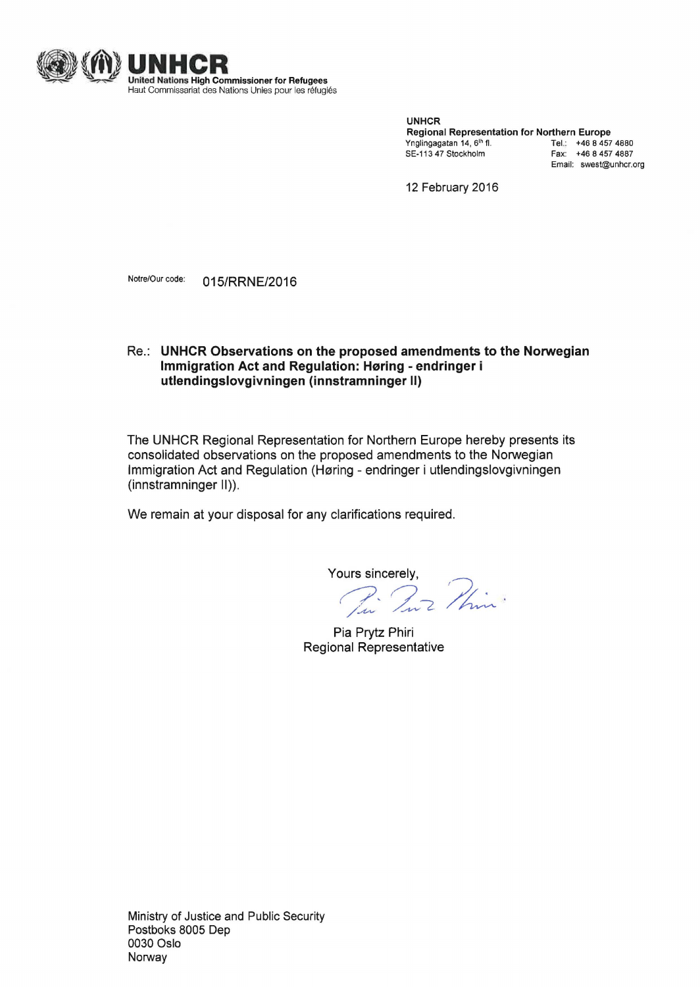

UNHCR Regional Representation for Northern Europe Ynglingagatan 14, 6<sup>th</sup> fl. **Tel.: +46 8 457 4880** SE-113 47 Stockholm Fax: +46 8 457 4887 Email: swest@unhcr.org

12 February 2016

Notre/Our code: 015/RRNE/2016

## Re.: **UNHCR Observations on the proposed amendments to the Norwegian Immigration Act and Regulation: Høring - endringer i utlendingslovgivningen (innstramninger** II)

The UNHCR Regional Representation for Northern Europe hereby presents its consolidated observations on the proposed amendments to the Norwegian Immigration Act and Regulation (Høring - endringer i utlendingslovgivningen (innstramninger II)).

We remain at your disposal for any clarifications required.

Yours sincerely,<br>*This ? Phine* 

Pia Prytz Phiri Regional Representative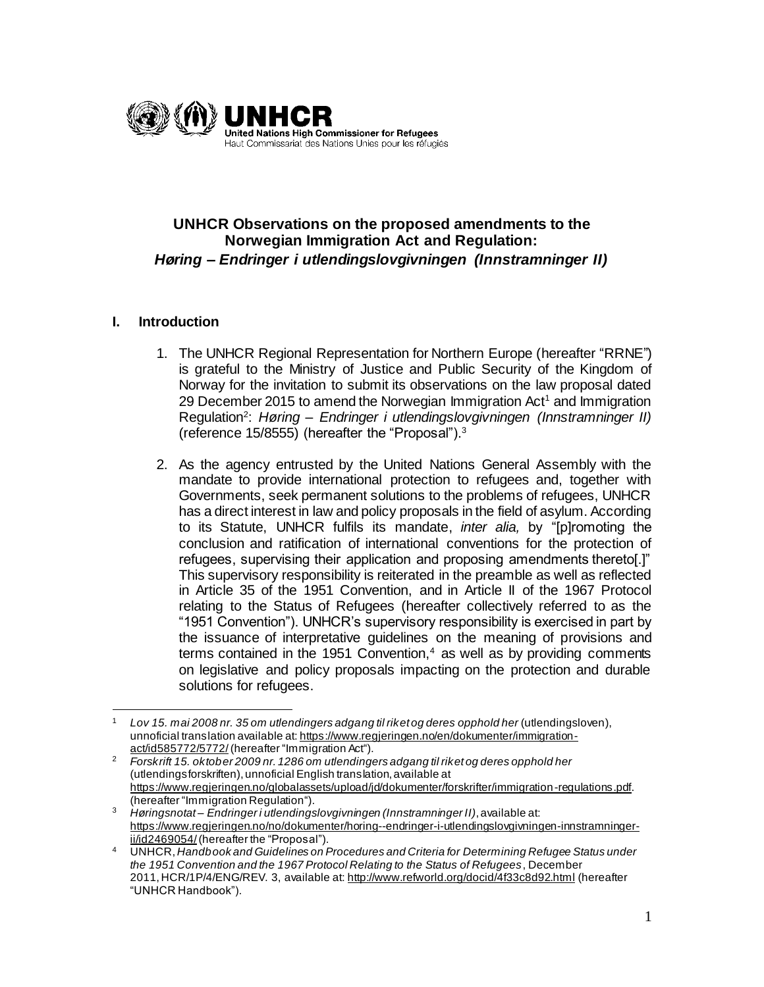

# **UNHCR Observations on the proposed amendments to the Norwegian Immigration Act and Regulation:**  *Høring – Endringer i utlendingslovgivningen (Innstramninger II)*

## **I. Introduction**

- 1. The UNHCR Regional Representation for Northern Europe (hereafter "RRNE") is grateful to the Ministry of Justice and Public Security of the Kingdom of Norway for the invitation to submit its observations on the law proposal dated 29 December 2015 to amend the Norwegian Immigration  $Act<sup>1</sup>$  and Immigration Regulation<sup>2</sup> : *Høring – Endringer i utlendingslovgivningen (Innstramninger II)* (reference 15/8555) (hereafter the "Proposal").<sup>3</sup>
- 2. As the agency entrusted by the United Nations General Assembly with the mandate to provide international protection to refugees and, together with Governments, seek permanent solutions to the problems of refugees, UNHCR has a direct interest in law and policy proposals in the field of asylum. According to its Statute, UNHCR fulfils its mandate, *inter alia,* by "[p]romoting the conclusion and ratification of international conventions for the protection of refugees, supervising their application and proposing amendments thereto[.]" This supervisory responsibility is reiterated in the preamble as well as reflected in Article 35 of the 1951 Convention, and in Article II of the 1967 Protocol relating to the Status of Refugees (hereafter collectively referred to as the "1951 Convention"). UNHCR's supervisory responsibility is exercised in part by the issuance of interpretative guidelines on the meaning of provisions and terms contained in the 1951 Convention, $4$  as well as by providing comments on legislative and policy proposals impacting on the protection and durable solutions for refugees.

 $\overline{a}$ <sup>1</sup> *Lov 15. mai 2008 nr. 35 om utlendingers adgang til riket og deres opphold her* (utlendingsloven), unnoficial translation available at[: https://www.regjeringen.no/en/dokumenter/immigration](https://www.regjeringen.no/en/dokumenter/immigration-act/id585772/5772/)[act/id585772/5772/](https://www.regjeringen.no/en/dokumenter/immigration-act/id585772/5772/) (hereafter "Immigration Act").

<sup>2</sup> *Forskrift 15. oktober 2009 nr. 1286 om utlendingers adgang til riket og deres opphold her* (utlendingsforskriften), unnoficial English translation, available at <https://www.regjeringen.no/globalassets/upload/jd/dokumenter/forskrifter/immigration-regulations.pdf>. (hereafter "Immigration Regulation").

<sup>3</sup> *Høringsnotat – Endringer i utlendingslovgivningen (Innstramninger II)*, available at: [https://www.regjeringen.no/no/dokumenter/horing--endringer-i-utlendingslovgivningen-innstramninger](https://www.regjeringen.no/no/dokumenter/horing--endringer-i-utlendingslovgivningen-innstramninger-ii/id2469054/)[ii/id2469054/](https://www.regjeringen.no/no/dokumenter/horing--endringer-i-utlendingslovgivningen-innstramninger-ii/id2469054/)(hereafter the "Proposal").

<sup>4</sup> UNHCR, *Handbook and Guidelines on Procedures and Criteria for Determining Refugee Status under the 1951 Convention and the 1967 Protocol Relating to the Status of Refugees*, December 2011, HCR/1P/4/ENG/REV. 3, available at[: http://www.refworld.org/docid/4f33c8d92.html](http://www.refworld.org/docid/4f33c8d92.html) (hereafter "UNHCR Handbook").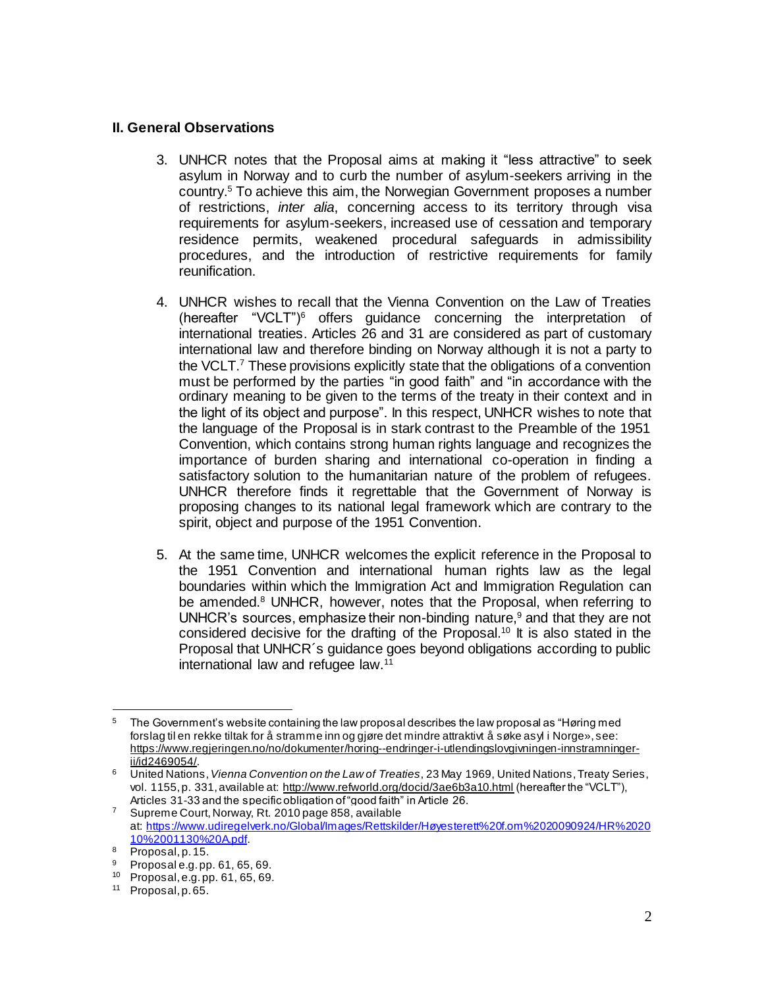#### **II. General Observations**

- 3. UNHCR notes that the Proposal aims at making it "less attractive" to seek asylum in Norway and to curb the number of asylum-seekers arriving in the country.<sup>5</sup> To achieve this aim, the Norwegian Government proposes a number of restrictions, *inter alia*, concerning access to its territory through visa requirements for asylum-seekers, increased use of cessation and temporary residence permits, weakened procedural safeguards in admissibility procedures, and the introduction of restrictive requirements for family reunification.
- 4. UNHCR wishes to recall that the Vienna Convention on the Law of Treaties (hereafter "VCLT")<sup>6</sup> offers guidance concerning the interpretation of international treaties. Articles 26 and 31 are considered as part of customary international law and therefore binding on Norway although it is not a party to the VCLT.<sup>7</sup> These provisions explicitly state that the obligations of a convention must be performed by the parties "in good faith" and "in accordance with the ordinary meaning to be given to the terms of the treaty in their context and in the light of its object and purpose". In this respect, UNHCR wishes to note that the language of the Proposal is in stark contrast to the Preamble of the 1951 Convention, which contains strong human rights language and recognizes the importance of burden sharing and international co-operation in finding a satisfactory solution to the humanitarian nature of the problem of refugees. UNHCR therefore finds it regrettable that the Government of Norway is proposing changes to its national legal framework which are contrary to the spirit, object and purpose of the 1951 Convention.
- 5. At the same time, UNHCR welcomes the explicit reference in the Proposal to the 1951 Convention and international human rights law as the legal boundaries within which the Immigration Act and Immigration Regulation can be amended. $8$  UNHCR, however, notes that the Proposal, when referring to UNHCR's sources, emphasize their non-binding nature, $9$  and that they are not considered decisive for the drafting of the Proposal. <sup>10</sup> It is also stated in the Proposal that UNHCR´s guidance goes beyond obligations according to public international law and refugee law.<sup>11</sup>

<sup>5</sup> The Government's website containing the law proposal describes the law proposal as "Høring med forslag til en rekke tiltak for å stramme inn og gjøre det mindre attraktivt å søke asyl i Norge», see: [https://www.regjeringen.no/no/dokumenter/horing--endringer-i-utlendingslovgivningen-innstramninger](https://www.regjeringen.no/no/dokumenter/horing--endringer-i-utlendingslovgivningen-innstramninger-ii/id2469054/)[ii/id2469054/](https://www.regjeringen.no/no/dokumenter/horing--endringer-i-utlendingslovgivningen-innstramninger-ii/id2469054/).

<sup>6</sup> United Nations, *Vienna Convention on the Law of Treaties*, 23 May 1969, United Nations, Treaty Series, vol. 1155, p. 331, available at:<http://www.refworld.org/docid/3ae6b3a10.html> (hereafter the "VCLT"), Articles 31-33 and the specific obligation of "good faith" in Article 26.

<sup>&</sup>lt;sup>7</sup> Supreme Court, Norway, Rt. 2010 page 858, available at: [https://www.udiregelverk.no/Global/Images/Rettskilder/Høyesterett%20f.om%2020090924/HR%2020](https://www.udiregelverk.no/Global/Images/Rettskilder/Høyesterett%20f.om%2020090924/HR%202010%2001130%20A.pdf) [10%2001130%20A.pdf.](https://www.udiregelverk.no/Global/Images/Rettskilder/Høyesterett%20f.om%2020090924/HR%202010%2001130%20A.pdf)

 $\frac{8}{9}$  Proposal, p. 15.<br>Proposal e.g. pp

<sup>9</sup> Proposal e.g. pp. 61, 65, 69.

<sup>10</sup> Proposal, e.g. pp. 61, 65, 69.

<sup>11</sup> Proposal, p. 65.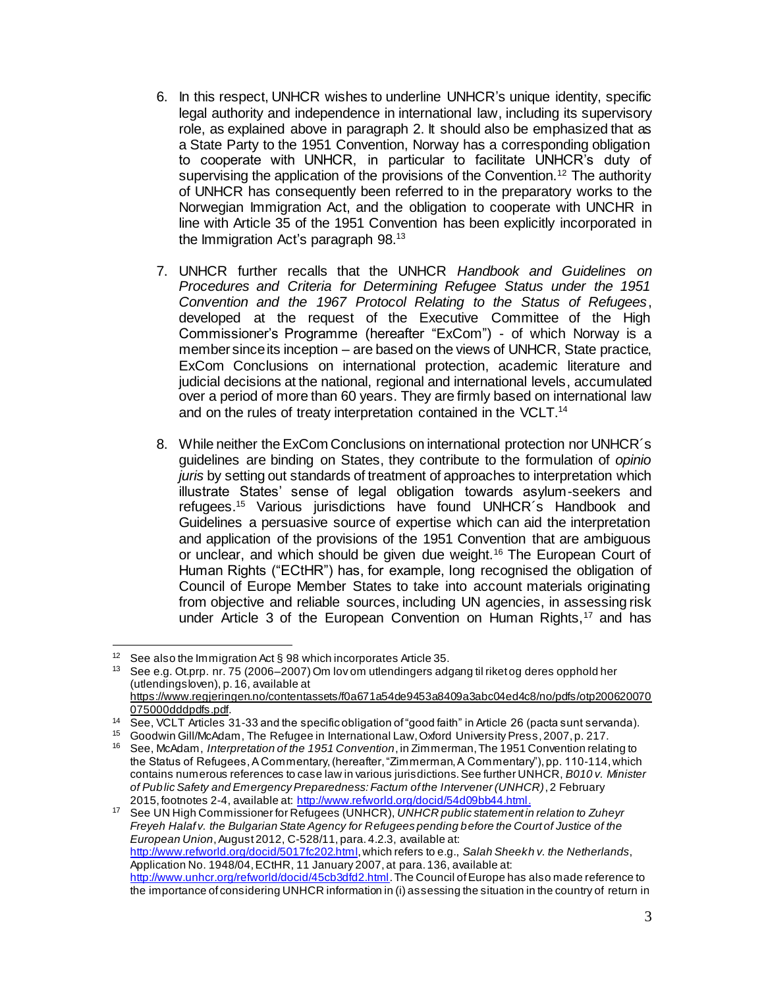- 6. In this respect, UNHCR wishes to underline UNHCR's unique identity, specific legal authority and independence in international law, including its supervisory role, as explained above in paragraph 2. It should also be emphasized that as a State Party to the 1951 Convention, Norway has a corresponding obligation to cooperate with UNHCR, in particular to facilitate UNHCR's duty of supervising the application of the provisions of the Convention.<sup>12</sup> The authority of UNHCR has consequently been referred to in the preparatory works to the Norwegian Immigration Act, and the obligation to cooperate with UNCHR in line with Article 35 of the 1951 Convention has been explicitly incorporated in the Immigration Act's paragraph 98.<sup>13</sup>
- 7. UNHCR further recalls that the UNHCR *Handbook and Guidelines on Procedures and Criteria for Determining Refugee Status under the 1951 Convention and the 1967 Protocol Relating to the Status of Refugees*, developed at the request of the Executive Committee of the High Commissioner's Programme (hereafter "ExCom") - of which Norway is a member since its inception – are based on the views of UNHCR, State practice, ExCom Conclusions on international protection, academic literature and judicial decisions at the national, regional and international levels, accumulated over a period of more than 60 years. They are firmly based on international law and on the rules of treaty interpretation contained in the VCLT.<sup>14</sup>
- 8. While neither the ExCom Conclusions on international protection nor UNHCR´s guidelines are binding on States, they contribute to the formulation of *opinio juris* by setting out standards of treatment of approaches to interpretation which illustrate States' sense of legal obligation towards asylum-seekers and refugees.<sup>15</sup> Various jurisdictions have found UNHCR´s Handbook and Guidelines a persuasive source of expertise which can aid the interpretation and application of the provisions of the 1951 Convention that are ambiguous or unclear, and which should be given due weight.<sup>16</sup> The European Court of Human Rights ("ECtHR") has, for example, long recognised the obligation of Council of Europe Member States to take into account materials originating from objective and reliable sources, including UN agencies, in assessing risk under Article 3 of the European Convention on Human Rights, $17$  and has

<sup>17</sup> See UN High Commissioner for Refugees (UNHCR), *UNHCR public statement in relation to Zuheyr Freyeh Halaf v. the Bulgarian State Agency for Refugees pending before the Court of Justice of the European Union*, August 2012, C-528/11, para. 4.2.3, available at: [http://www.refworld.org/docid/5017fc202.html,](http://www.refworld.org/docid/5017fc202.html) which refers to e.g., *Salah Sheekh v. the Netherlands*, Application No. 1948/04, ECtHR, 11 January 2007, at para. 136, available at: <http://www.unhcr.org/refworld/docid/45cb3dfd2.html>. The Council of Europe has also made reference to the importance of considering UNHCR information in (i) assessing the situation in the country of return in

 $12$ See also the Immigration Act § 98 which incorporates Article 35.

<sup>13</sup> See e.g. Ot.prp. nr. 75 (2006–2007) Om lov om utlendingers adgang til riket og deres opphold her (utlendingsloven), p. 16, available at

[https://www.regjeringen.no/contentassets/f0a671a54de9453a8409a3abc04ed4c8/no/pdfs/otp200620070](https://www.regjeringen.no/contentassets/f0a671a54de9453a8409a3abc04ed4c8/no/pdfs/otp200620070075000dddpdfs.pdf) [075000dddpdfs.pdf.](https://www.regjeringen.no/contentassets/f0a671a54de9453a8409a3abc04ed4c8/no/pdfs/otp200620070075000dddpdfs.pdf)

<sup>14</sup> See, VCLT Articles 31-33 and the specific obligation of "good faith" in Article 26 (pacta sunt servanda).

<sup>15</sup> Goodwin Gill/McAdam, The Refugee in International Law, Oxford University Press, 2007, p. 217.

<sup>16</sup> See, McAdam, *Interpretation of the 1951 Convention*, in Zimmerman, The 1951 Convention relating to the Status of Refugees, A Commentary, (hereafter, "Zimmerman, A Commentary"), pp. 110-114, which contains numerous references to case law in various jurisdictions. See further UNHCR, *B010 v. Minister of Public Safety and Emergency Preparedness: Factum of the Intervener (UNHCR)*, 2 February 2015, footnotes 2-4, available at[: http://www.refworld.org/docid/54d09bb44.html](http://www.refworld.org/docid/54d09bb44.html).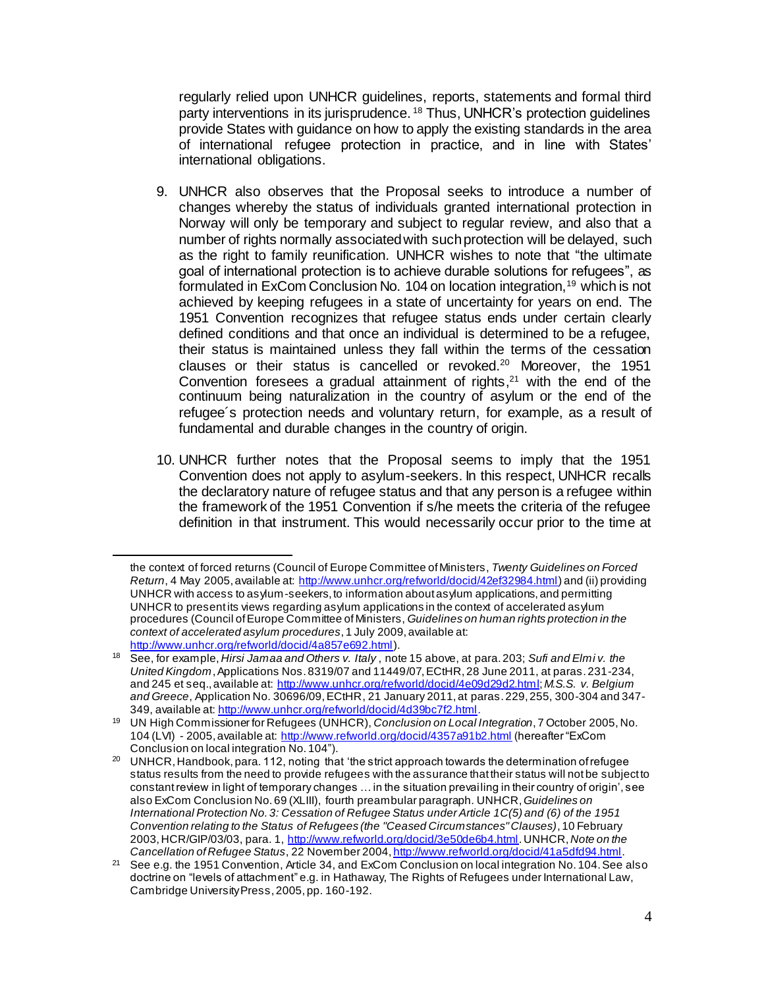regularly relied upon UNHCR guidelines, reports, statements and formal third party interventions in its jurisprudence. <sup>18</sup> Thus, UNHCR's protection guidelines provide States with guidance on how to apply the existing standards in the area of international refugee protection in practice, and in line with States' international obligations.

- 9. UNHCR also observes that the Proposal seeks to introduce a number of changes whereby the status of individuals granted international protection in Norway will only be temporary and subject to regular review, and also that a number of rights normally associated with suchprotection will be delayed, such as the right to family reunification. UNHCR wishes to note that "the ultimate goal of international protection is to achieve durable solutions for refugees", as formulated in ExCom Conclusion No. 104 on location integration,<sup>19</sup> which is not achieved by keeping refugees in a state of uncertainty for years on end. The 1951 Convention recognizes that refugee status ends under certain clearly defined conditions and that once an individual is determined to be a refugee, their status is maintained unless they fall within the terms of the cessation clauses or their status is cancelled or revoked.<sup>20</sup> Moreover, the 1951 Convention foresees a gradual attainment of rights, $21$  with the end of the continuum being naturalization in the country of asylum or the end of the refugee´s protection needs and voluntary return, for example, as a result of fundamental and durable changes in the country of origin.
- 10. UNHCR further notes that the Proposal seems to imply that the 1951 Convention does not apply to asylum-seekers. In this respect, UNHCR recalls the declaratory nature of refugee status and that any person is a refugee within the framework of the 1951 Convention if s/he meets the criteria of the refugee definition in that instrument. This would necessarily occur prior to the time at

the context of forced returns (Council of Europe Committee of Ministers, *Twenty Guidelines on Forced Return*, 4 May 2005, available at:<http://www.unhcr.org/refworld/docid/42ef32984.html>) and (ii) providing UNHCR with access to asylum-seekers, to information about asylum applications, and permitting UNHCR to present its views regarding asylum applications in the context of accelerated asylum procedures (Council of Europe Committee of Ministers, *Guidelines on human rights protection in the context of accelerated asylum procedures*, 1 July 2009, available at: <http://www.unhcr.org/refworld/docid/4a857e692.html>).

<sup>18</sup> See, for example, *Hirsi Jamaa and Others v. Italy* , note 15 above, at para. 203; *Sufi and Elmi v. the United Kingdom*, Applications Nos. 8319/07 and 11449/07, ECtHR, 28 June 2011, at paras. 231-234, and 245 et seq., available at:<http://www.unhcr.org/refworld/docid/4e09d29d2.html>; *M.S.S. v. Belgium and Greece*, Application No. 30696/09, ECtHR, 21 January 2011, at paras. 229, 255, 300-304 and 347- 349, available at[: http://www.unhcr.org/refworld/docid/4d39bc7f2.html](http://www.unhcr.org/refworld/docid/4d39bc7f2.html).

<sup>19</sup> UN High Commissioner for Refugees (UNHCR), *Conclusion on Local Integration*, 7 October 2005, No. 104 (LVI) - 2005, available at:<http://www.refworld.org/docid/4357a91b2.html> (hereafter "ExCom Conclusion on local integration No. 104").

<sup>&</sup>lt;sup>20</sup> UNHCR, Handbook, para. 112, noting that 'the strict approach towards the determination of refugee status results from the need to provide refugees with the assurance that their status will not be subject to constant review in light of temporary changes … in the situation prevailing in their country of origin', see also ExCom Conclusion No. 69 (XLIII), fourth preambular paragraph. UNHCR, *Guidelines on International Protection No. 3: Cessation of Refugee Status under Article 1C(5) and (6) of the 1951 Convention relating to the Status of Refugees (the "Ceased Circumstances" Clauses)*, 10 February 2003,HCR/GIP/03/03, para. 1,<http://www.refworld.org/docid/3e50de6b4.html>. UNHCR, *Note on the Cancellation of Refugee Status*, 22 November 2004, <http://www.refworld.org/docid/41a5dfd94.html>.

<sup>&</sup>lt;sup>21</sup> See e.g. the 1951 Convention, Article 34, and ExCom Conclusion on local integration No. 104. See also doctrine on "levels of attachment" e.g. in Hathaway, The Rights of Refugees under International Law, Cambridge University Press, 2005, pp. 160-192.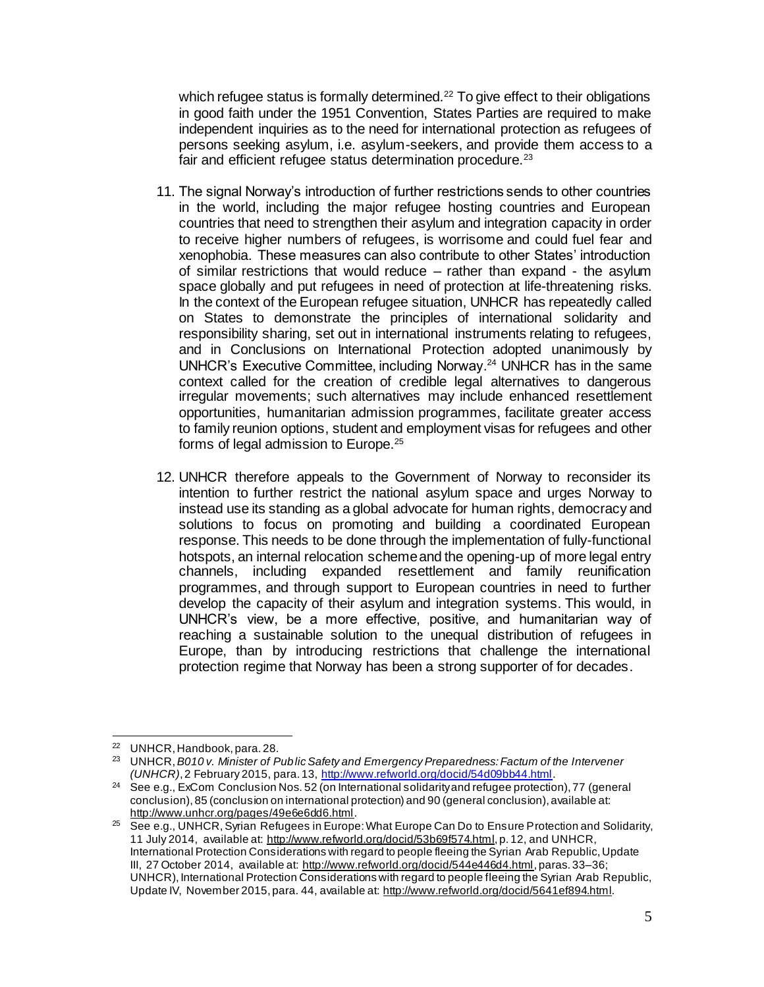which refugee status is formally determined.<sup>22</sup> To give effect to their obligations in good faith under the 1951 Convention, States Parties are required to make independent inquiries as to the need for international protection as refugees of persons seeking asylum, i.e. asylum-seekers, and provide them access to a fair and efficient refugee status determination procedure.<sup>23</sup>

- 11. The signal Norway's introduction of further restrictions sends to other countries in the world, including the major refugee hosting countries and European countries that need to strengthen their asylum and integration capacity in order to receive higher numbers of refugees, is worrisome and could fuel fear and xenophobia. These measures can also contribute to other States' introduction of similar restrictions that would reduce – rather than expand - the asylum space globally and put refugees in need of protection at life-threatening risks. In the context of the European refugee situation, UNHCR has repeatedly called on States to demonstrate the principles of international solidarity and responsibility sharing, set out in international instruments relating to refugees, and in Conclusions on International Protection adopted unanimously by UNHCR's Executive Committee, including Norway. <sup>24</sup> UNHCR has in the same context called for the creation of credible legal alternatives to dangerous irregular movements; such alternatives may include enhanced resettlement opportunities, humanitarian admission programmes, facilitate greater access to family reunion options, student and employment visas for refugees and other forms of legal admission to Europe.<sup>25</sup>
- 12. UNHCR therefore appeals to the Government of Norway to reconsider its intention to further restrict the national asylum space and urges Norway to instead use its standing as a global advocate for human rights, democracy and solutions to focus on promoting and building a coordinated European response. This needs to be done through the implementation of fully-functional hotspots, an internal relocation scheme and the opening-up of more legal entry channels, including expanded resettlement and family reunification programmes, and through support to European countries in need to further develop the capacity of their asylum and integration systems. This would, in UNHCR's view, be a more effective, positive, and humanitarian way of reaching a sustainable solution to the unequal distribution of refugees in Europe, than by introducing restrictions that challenge the international protection regime that Norway has been a strong supporter of for decades.

 $\overline{a}$  $22$  UNHCR, Handbook, para. 28.

<sup>23</sup> UNHCR, *B010 v. Minister of Public Safety and Emergency Preparedness: Factum of the Intervener (UNHCR)*, 2 February 2015, para. 13,<http://www.refworld.org/docid/54d09bb44.html>.

<sup>&</sup>lt;sup>24</sup> See e.g., ExCom Conclusion Nos. 52 (on International solidarity and refugee protection), 77 (general conclusion), 85 (conclusion on international protection) and 90 (general conclusion), available at: <http://www.unhcr.org/pages/49e6e6dd6.html>.

<sup>&</sup>lt;sup>25</sup> See e.g., UNHCR, Syrian Refugees in Europe: What Europe Can Do to Ensure Protection and Solidarity, 11 July 2014, available at[: http://www.refworld.org/docid/53b69f574.html](http://www.refworld.org/docid/53b69f574.html), p. 12, and UNHCR, International Protection Considerations with regard to people fleeing the Syrian Arab Republic, Update III, 27 October 2014, available at:<http://www.refworld.org/docid/544e446d4.html>, paras. 33-36; UNHCR), International Protection Considerations with regard to people fleeing the Syrian Arab Republic, Update IV, November 2015, para. 44, available at:<http://www.refworld.org/docid/5641ef894.html>.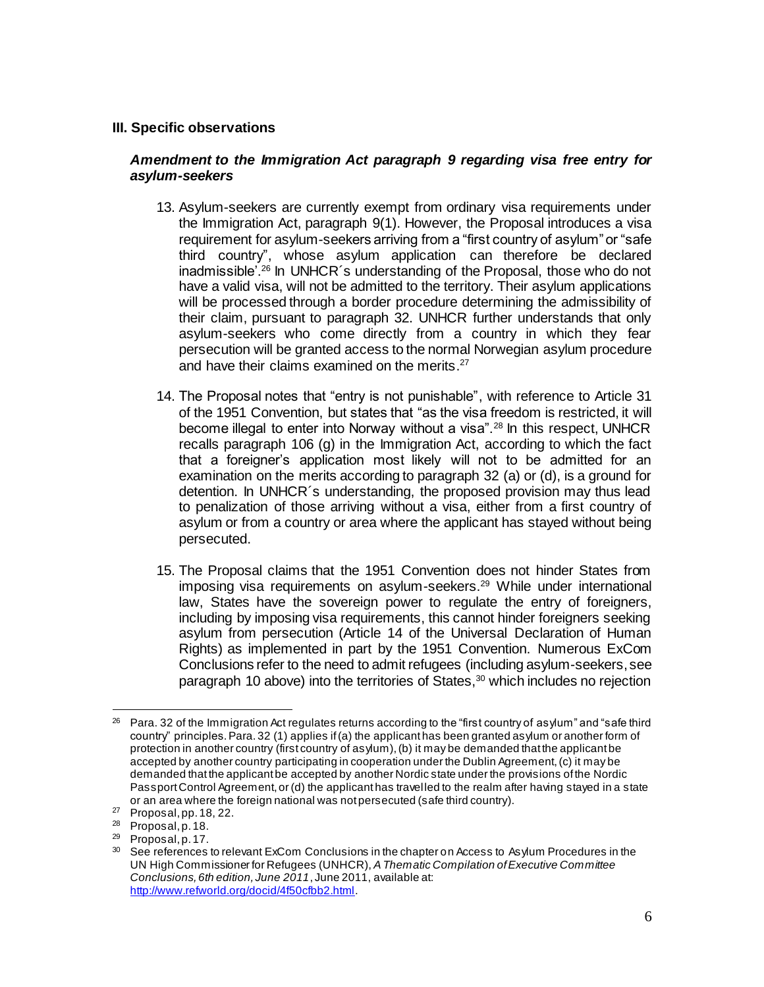#### **III. Specific observations**

#### *Amendment to the Immigration Act paragraph 9 regarding visa free entry for asylum-seekers*

- 13. Asylum-seekers are currently exempt from ordinary visa requirements under the Immigration Act, paragraph 9(1). However, the Proposal introduces a visa requirement for asylum-seekers arriving from a "first country of asylum" or "safe third country", whose asylum application can therefore be declared inadmissible'.<sup>26</sup> In UNHCR´s understanding of the Proposal, those who do not have a valid visa, will not be admitted to the territory. Their asylum applications will be processed through a border procedure determining the admissibility of their claim, pursuant to paragraph 32. UNHCR further understands that only asylum-seekers who come directly from a country in which they fear persecution will be granted access to the normal Norwegian asylum procedure and have their claims examined on the merits. 27
- 14. The Proposal notes that "entry is not punishable", with reference to Article 31 of the 1951 Convention, but states that "as the visa freedom is restricted, it will become illegal to enter into Norway without a visa".<sup>28</sup> In this respect, UNHCR recalls paragraph 106 (g) in the Immigration Act, according to which the fact that a foreigner's application most likely will not to be admitted for an examination on the merits according to paragraph 32 (a) or (d), is a ground for detention. In UNHCR´s understanding, the proposed provision may thus lead to penalization of those arriving without a visa, either from a first country of asylum or from a country or area where the applicant has stayed without being persecuted.
- 15. The Proposal claims that the 1951 Convention does not hinder States from imposing visa requirements on asylum-seekers.<sup>29</sup> While under international law, States have the sovereign power to regulate the entry of foreigners, including by imposing visa requirements, this cannot hinder foreigners seeking asylum from persecution (Article 14 of the Universal Declaration of Human Rights) as implemented in part by the 1951 Convention. Numerous ExCom Conclusions refer to the need to admit refugees (including asylum-seekers, see paragraph 10 above) into the territories of States,<sup>30</sup> which includes no rejection

 $\overline{a}$ <sup>26</sup> Para. 32 of the Immigration Act regulates returns according to the "first country of asylum" and "safe third country" principles. Para. 32 (1) applies if (a) the applicant has been granted asylum or another form of protection in another country (first country of asylum), (b) it may be demanded that the applicant be accepted by another country participating in cooperation under the Dublin Agreement, (c) it may be demanded that the applicant be accepted by another Nordic state under the provisions of the Nordic Passport Control Agreement, or (d) the applicant has travelled to the realm after having stayed in a state or an area where the foreign national was not persecuted (safe third country).

<sup>27</sup> Proposal, pp. 18, 22.

<sup>28</sup> Proposal, p. 18.

<sup>29</sup> Proposal, p. 17.

<sup>&</sup>lt;sup>30</sup> See references to relevant ExCom Conclusions in the chapter on Access to Asylum Procedures in the UN High Commissioner for Refugees (UNHCR), *A Thematic Compilation of Executive Committee Conclusions, 6th edition, June 2011*, June 2011, available at: <http://www.refworld.org/docid/4f50cfbb2.html>.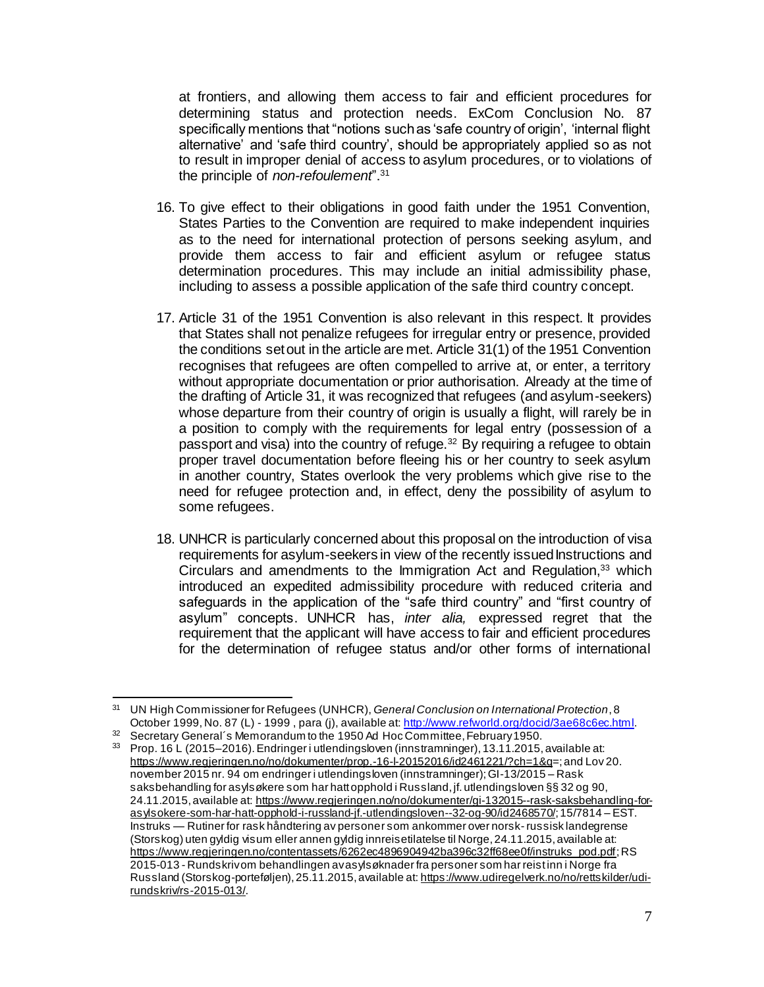at frontiers, and allowing them access to fair and efficient procedures for determining status and protection needs. ExCom Conclusion No. 87 specifically mentions that "notions such as 'safe country of origin', 'internal flight alternative' and 'safe third country', should be appropriately applied so as not to result in improper denial of access to asylum procedures, or to violations of the principle of *non-refoulement*".<sup>31</sup>

- 16. To give effect to their obligations in good faith under the 1951 Convention, States Parties to the Convention are required to make independent inquiries as to the need for international protection of persons seeking asylum, and provide them access to fair and efficient asylum or refugee status determination procedures. This may include an initial admissibility phase, including to assess a possible application of the safe third country concept.
- 17. Article 31 of the 1951 Convention is also relevant in this respect. It provides that States shall not penalize refugees for irregular entry or presence, provided the conditions set out in the article are met. Article 31(1) of the 1951 Convention recognises that refugees are often compelled to arrive at, or enter, a territory without appropriate documentation or prior authorisation. Already at the time of the drafting of Article 31, it was recognized that refugees (and asylum-seekers) whose departure from their country of origin is usually a flight, will rarely be in a position to comply with the requirements for legal entry (possession of a passport and visa) into the country of refuge.<sup>32</sup> By requiring a refugee to obtain proper travel documentation before fleeing his or her country to seek asylum in another country, States overlook the very problems which give rise to the need for refugee protection and, in effect, deny the possibility of asylum to some refugees.
- 18. UNHCR is particularly concerned about this proposal on the introduction of visa requirements for asylum-seekers in view of the recently issued Instructions and Circulars and amendments to the Immigration Act and Regulation, <sup>33</sup> which introduced an expedited admissibility procedure with reduced criteria and safeguards in the application of the "safe third country" and "first country of asylum" concepts. UNHCR has, *inter alia,* expressed regret that the requirement that the applicant will have access to fair and efficient procedures for the determination of refugee status and/or other forms of international

 $\overline{a}$ <sup>31</sup> UN High Commissioner for Refugees (UNHCR), *General Conclusion on International Protection*, 8 October 1999, No. 87 (L) - 1999, para (j), available at[: http://www.refworld.org/docid/3ae68c6ec.html](http://www.refworld.org/docid/3ae68c6ec.html).

<sup>&</sup>lt;sup>32</sup> Secretary General's Memorandum to the 1950 Ad Hoc Committee, February 1950.

<sup>33</sup> Prop. 16 L (2015–2016). Endringer i utlendingsloven (innstramninger), 13.11.2015, available at: <https://www.regjeringen.no/no/dokumenter/prop.-16-l-20152016/id2461221/?ch=1&q>=; and Lov 20. november 2015 nr. 94 om endringer i utlendingsloven (innstramninger); GI-13/2015 – Rask saksbehandling for asylsøkere som har hatt opphold i Russland, jf. utlendingsloven §§ 32 og 90, 24.11.2015, available at: [https://www.regjeringen.no/no/dokumenter/gi-132015--rask-saksbehandling-for](https://www.regjeringen.no/no/dokumenter/gi-132015--rask-saksbehandling-for-asylsokere-som-har-hatt-opphold-i-russland-jf.-utlendingsloven--32-og-90/id2468570/)[asylsokere-som-har-hatt-opphold-i-russland-jf.-utlendingsloven--32-og-90/id2468570/](https://www.regjeringen.no/no/dokumenter/gi-132015--rask-saksbehandling-for-asylsokere-som-har-hatt-opphold-i-russland-jf.-utlendingsloven--32-og-90/id2468570/); 15/7814 – EST. Instruks — Rutiner for rask håndtering av personer som ankommer over norsk- russisk landegrense (Storskog) uten gyldig visum eller annen gyldig innreisetilatelse til Norge, 24.11.2015, available at: [https://www.regjeringen.no/contentassets/6262ec4896904942ba396c32ff68ee0f/instruks\\_pod.pdf](https://www.regjeringen.no/contentassets/6262ec4896904942ba396c32ff68ee0f/instruks_pod.pdf); RS 2015-013 - Rundskriv om behandlingen av asylsøknader fra personer som har reist inn i Norge fra Russland (Storskog-porteføljen), 25.11.2015, available at[: https://www.udiregelverk.no/no/rettskilder/udi](https://www.udiregelverk.no/no/rettskilder/udi-rundskriv/rs-2015-013/)[rundskriv/rs-2015-013/](https://www.udiregelverk.no/no/rettskilder/udi-rundskriv/rs-2015-013/).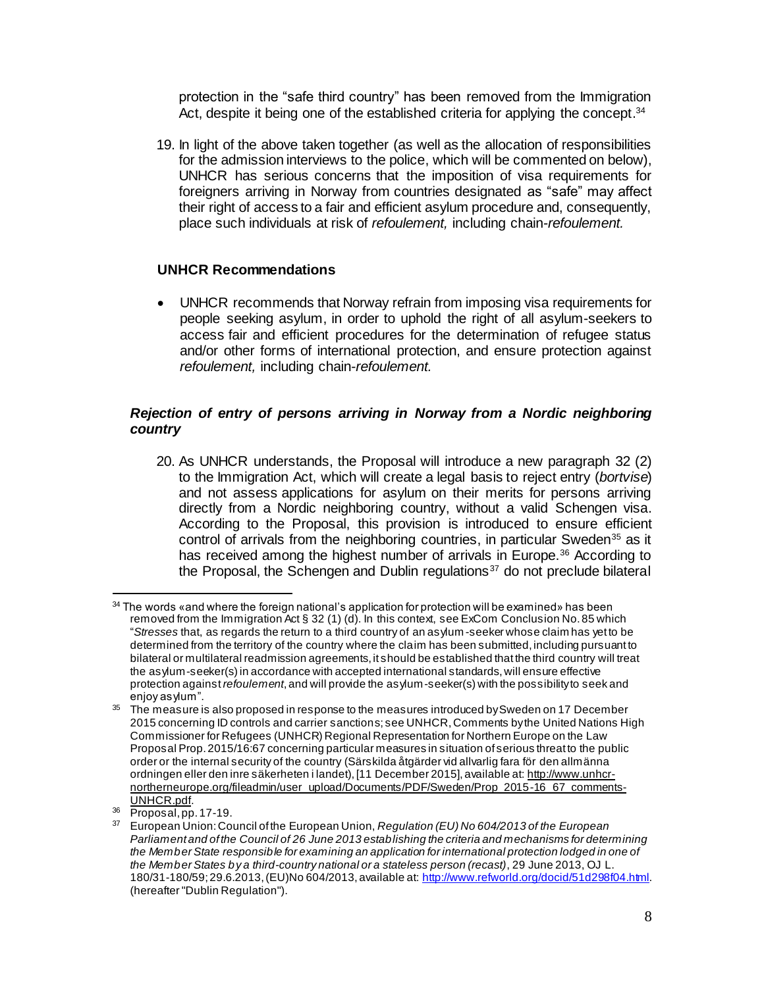protection in the "safe third country" has been removed from the Immigration Act, despite it being one of the established criteria for applying the concept.<sup>34</sup>

19. In light of the above taken together (as well as the allocation of responsibilities for the admission interviews to the police, which will be commented on below), UNHCR has serious concerns that the imposition of visa requirements for foreigners arriving in Norway from countries designated as "safe" may affect their right of access to a fair and efficient asylum procedure and, consequently, place such individuals at risk of *refoulement,* including chain*-refoulement.* 

## **UNHCR Recommendations**

 UNHCR recommends that Norway refrain from imposing visa requirements for people seeking asylum, in order to uphold the right of all asylum-seekers to access fair and efficient procedures for the determination of refugee status and/or other forms of international protection, and ensure protection against *refoulement,* including chain-*refoulement.*

#### *Rejection of entry of persons arriving in Norway from a Nordic neighboring country*

20. As UNHCR understands, the Proposal will introduce a new paragraph 32 (2) to the Immigration Act, which will create a legal basis to reject entry (*bortvise*) and not assess applications for asylum on their merits for persons arriving directly from a Nordic neighboring country, without a valid Schengen visa. According to the Proposal, this provision is introduced to ensure efficient control of arrivals from the neighboring countries, in particular Sweden<sup>35</sup> as it has received among the highest number of arrivals in Europe.<sup>36</sup> According to the Proposal, the Schengen and Dublin regulations $37$  do not preclude bilateral

<sup>&</sup>lt;sup>34</sup> The words «and where the foreign national's application for protection will be examined» has been removed from the Immigration Act § 32 (1) (d). In this context, see ExCom Conclusion No. 85 which "*Stresses* that, as regards the return to a third country of an asylum -seeker whose claim has yet to be determined from the territory of the country where the claim has been submitted, including pursuant to bilateral or multilateral readmission agreements, it should be established that the third country will treat the asylum-seeker(s) in accordance with accepted international standards, will ensure effective protection against *refoulement*, and will provide the asylum-seeker(s) with the possibility to seek and enjoy asylum".

<sup>&</sup>lt;sup>35</sup> The measure is also proposed in response to the measures introduced by Sweden on 17 December 2015 concerning ID controls and carrier sanctions; see UNHCR, Comments by the United Nations High Commissioner for Refugees (UNHCR) Regional Representation for Northern Europe on the Law Proposal Prop. 2015/16:67 concerning particular measures in situation of serious threat to the public order or the internal security of the country (Särskilda åtgärder vid allvarlig fara för den allmänna ordningen eller den inre säkerheten i landet), [11 December 2015], available at[: http://www.unhcr](http://www.unhcr-northerneurope.org/fileadmin/user_upload/Documents/PDF/Sweden/Prop_2015-16_67_comments-UNHCR.pdf)[northerneurope.org/fileadmin/user\\_upload/Documents/PDF/Sweden/Prop\\_2015-16\\_67\\_comments-](http://www.unhcr-northerneurope.org/fileadmin/user_upload/Documents/PDF/Sweden/Prop_2015-16_67_comments-UNHCR.pdf)[UNHCR.pdf.](http://www.unhcr-northerneurope.org/fileadmin/user_upload/Documents/PDF/Sweden/Prop_2015-16_67_comments-UNHCR.pdf)

<sup>36</sup> Proposal, pp. 17-19.

<sup>37</sup> European Union: Council of the European Union, *Regulation (EU) No 604/2013 of the European Parliament and of the Council of 26 June 2013 establishing the criteria and mechanisms for determining the Member State responsible for examining an application for international protection lodged in one of the Member States by a third-country national or a stateless person (recast)*, 29 June 2013, OJ L. 180/31-180/59; 29.6.2013, (EU)No 604/2013, available at[: http://www.refworld.org/docid/51d298f04.html.](http://www.refworld.org/docid/51d298f04.html) (hereafter "Dublin Regulation").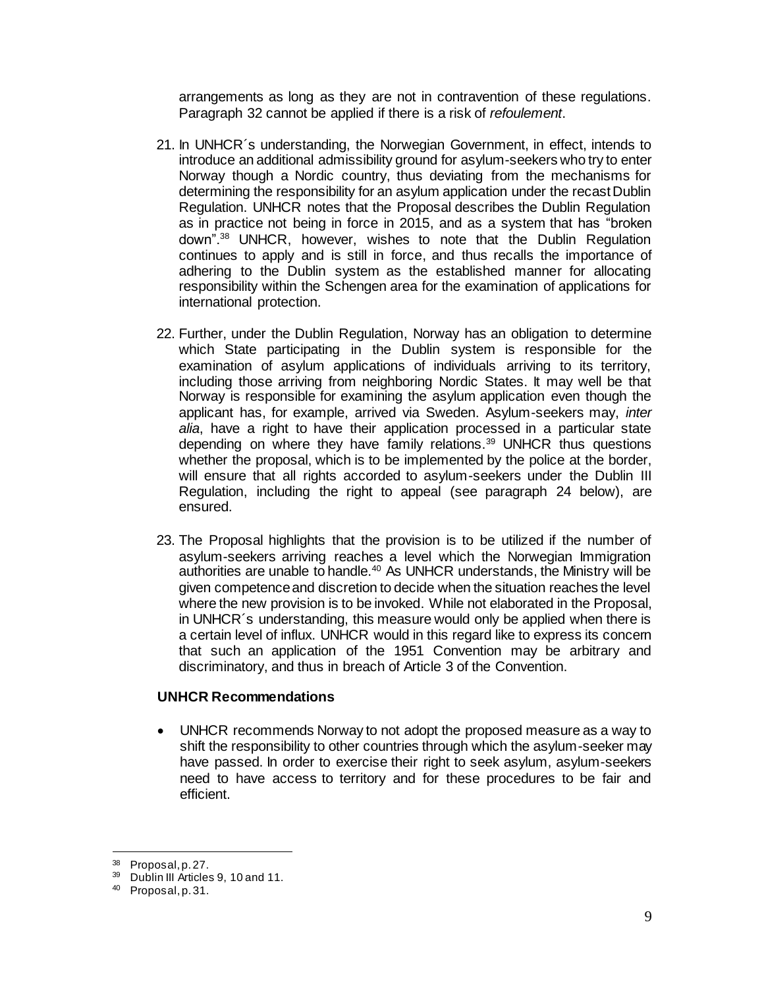arrangements as long as they are not in contravention of these regulations. Paragraph 32 cannot be applied if there is a risk of *refoulement*.

- 21. In UNHCR´s understanding, the Norwegian Government, in effect, intends to introduce an additional admissibility ground for asylum-seekers who try to enter Norway though a Nordic country, thus deviating from the mechanisms for determining the responsibility for an asylum application under the recast Dublin Regulation. UNHCR notes that the Proposal describes the Dublin Regulation as in practice not being in force in 2015, and as a system that has "broken down".<sup>38</sup> UNHCR, however, wishes to note that the Dublin Regulation continues to apply and is still in force, and thus recalls the importance of adhering to the Dublin system as the established manner for allocating responsibility within the Schengen area for the examination of applications for international protection.
- 22. Further, under the Dublin Regulation, Norway has an obligation to determine which State participating in the Dublin system is responsible for the examination of asylum applications of individuals arriving to its territory, including those arriving from neighboring Nordic States. It may well be that Norway is responsible for examining the asylum application even though the applicant has, for example, arrived via Sweden. Asylum-seekers may, *inter alia*, have a right to have their application processed in a particular state depending on where they have family relations.<sup>39</sup> UNHCR thus questions whether the proposal, which is to be implemented by the police at the border, will ensure that all rights accorded to asylum-seekers under the Dublin III Regulation, including the right to appeal (see paragraph 24 below), are ensured.
- 23. The Proposal highlights that the provision is to be utilized if the number of asylum-seekers arriving reaches a level which the Norwegian Immigration authorities are unable to handle.<sup>40</sup> As UNHCR understands, the Ministry will be given competence and discretion to decide when the situation reaches the level where the new provision is to be invoked. While not elaborated in the Proposal, in UNHCR´s understanding, this measure would only be applied when there is a certain level of influx. UNHCR would in this regard like to express its concern that such an application of the 1951 Convention may be arbitrary and discriminatory, and thus in breach of Article 3 of the Convention.

#### **UNHCR Recommendations**

 UNHCR recommends Norway to not adopt the proposed measure as a way to shift the responsibility to other countries through which the asylum-seeker may have passed. In order to exercise their right to seek asylum, asylum-seekers need to have access to territory and for these procedures to be fair and efficient.

 $38$  Proposal, p. 27.

Dublin III Articles 9, 10 and 11.

<sup>40</sup> Proposal, p. 31.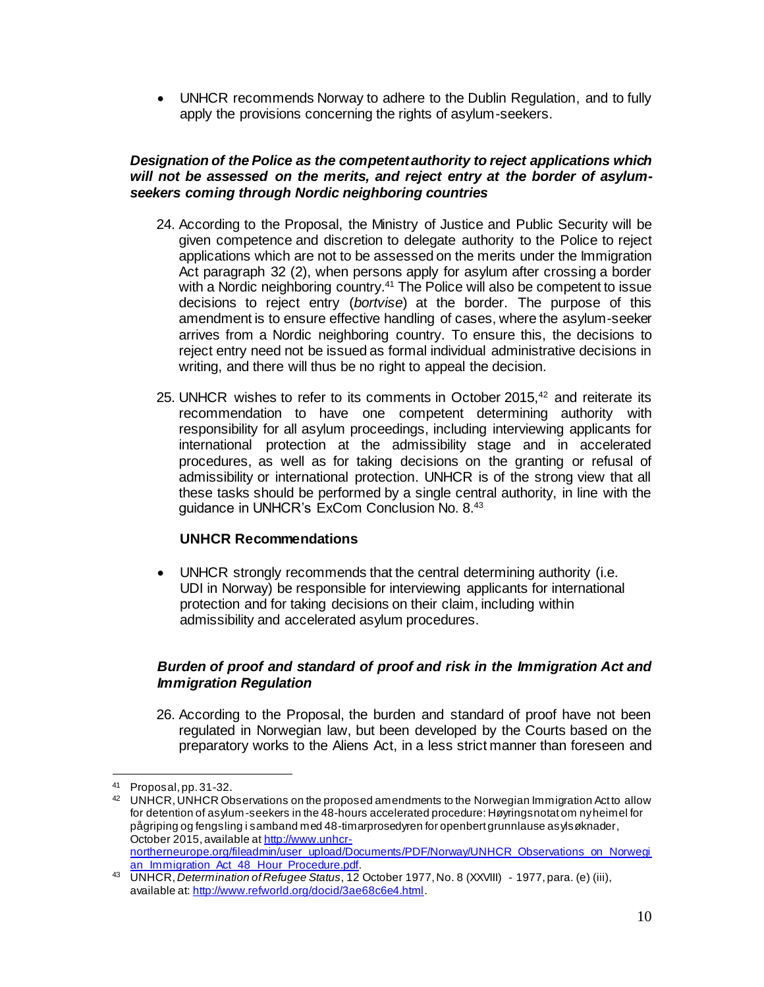UNHCR recommends Norway to adhere to the Dublin Regulation, and to fully apply the provisions concerning the rights of asylum-seekers.

#### *Designation of the Police as the competent authority to reject applications which will not be assessed on the merits, and reject entry at the border of asylumseekers coming through Nordic neighboring countries*

- 24. According to the Proposal, the Ministry of Justice and Public Security will be given competence and discretion to delegate authority to the Police to reject applications which are not to be assessed on the merits under the Immigration Act paragraph 32 (2), when persons apply for asylum after crossing a border with a Nordic neighboring country.<sup>41</sup> The Police will also be competent to issue decisions to reject entry (*bortvise*) at the border. The purpose of this amendment is to ensure effective handling of cases, where the asylum-seeker arrives from a Nordic neighboring country. To ensure this, the decisions to reject entry need not be issued as formal individual administrative decisions in writing, and there will thus be no right to appeal the decision.
- 25. UNHCR wishes to refer to its comments in October 2015,<sup>42</sup> and reiterate its recommendation to have one competent determining authority with responsibility for all asylum proceedings, including interviewing applicants for international protection at the admissibility stage and in accelerated procedures, as well as for taking decisions on the granting or refusal of admissibility or international protection. UNHCR is of the strong view that all these tasks should be performed by a single central authority, in line with the guidance in UNHCR's ExCom Conclusion No. 8.<sup>43</sup>

## **UNHCR Recommendations**

 UNHCR strongly recommends that the central determining authority (i.e. UDI in Norway) be responsible for interviewing applicants for international protection and for taking decisions on their claim, including within admissibility and accelerated asylum procedures.

## *Burden of proof and standard of proof and risk in the Immigration Act and Immigration Regulation*

26. According to the Proposal, the burden and standard of proof have not been regulated in Norwegian law, but been developed by the Courts based on the preparatory works to the Aliens Act, in a less strict manner than foreseen and

Proposal, pp. 31-32.

 $42$  UNHCR, UNHCR Observations on the proposed amendments to the Norwegian Immigration Act to allow for detention of asylum-seekers in the 48-hours accelerated procedure: Høyringsnotat om ny heimel for pågriping og fengsling i samband med 48-timarprosedyren for openbert grunnlause asylsøknader, October 2015, available at [http://www.unhcr](http://www.unhcr-northerneurope.org/fileadmin/user_upload/Documents/PDF/Norway/UNHCR_Observations_on_Norwegian_Immigration_Act_48_Hour_Procedure.pdf)[northerneurope.org/fileadmin/user\\_upload/Documents/PDF/Norway/UNHCR\\_Observations\\_on\\_Norwegi](http://www.unhcr-northerneurope.org/fileadmin/user_upload/Documents/PDF/Norway/UNHCR_Observations_on_Norwegian_Immigration_Act_48_Hour_Procedure.pdf)

[an\\_Immigration\\_Act\\_48\\_Hour\\_Procedure.pdf.](http://www.unhcr-northerneurope.org/fileadmin/user_upload/Documents/PDF/Norway/UNHCR_Observations_on_Norwegian_Immigration_Act_48_Hour_Procedure.pdf) <sup>43</sup> UNHCR, *Determination of Refugee Status*, 12 October 1977, No. 8 (XXVIII) - 1977, para. (e) (iii), available at[: http://www.refworld.org/docid/3ae68c6e4.html](http://www.refworld.org/docid/3ae68c6e4.html).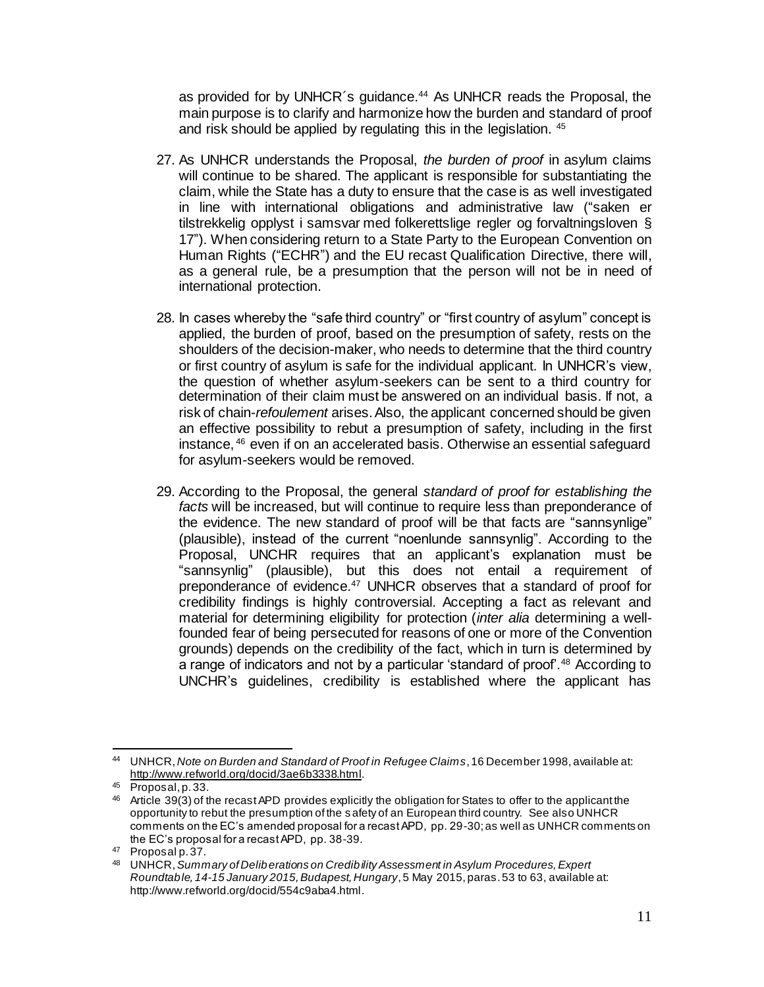as provided for by UNHCR's guidance.<sup>44</sup> As UNHCR reads the Proposal, the main purpose is to clarify and harmonize how the burden and standard of proof and risk should be applied by regulating this in the legislation. 45

- 27. As UNHCR understands the Proposal, *the burden of proof* in asylum claims will continue to be shared. The applicant is responsible for substantiating the claim, while the State has a duty to ensure that the case is as well investigated in line with international obligations and administrative law ("saken er tilstrekkelig opplyst i samsvar med folkerettslige regler og forvaltningsloven § 17"). When considering return to a State Party to the European Convention on Human Rights ("ECHR") and the EU recast Qualification Directive, there will, as a general rule, be a presumption that the person will not be in need of international protection.
- 28. In cases whereby the "safe third country" or "first country of asylum" concept is applied, the burden of proof, based on the presumption of safety, rests on the shoulders of the decision-maker, who needs to determine that the third country or first country of asylum is safe for the individual applicant. In UNHCR's view, the question of whether asylum-seekers can be sent to a third country for determination of their claim must be answered on an individual basis. If not, a risk of chain-*refoulement* arises. Also, the applicant concerned should be given an effective possibility to rebut a presumption of safety, including in the first instance, <sup>46</sup> even if on an accelerated basis. Otherwise an essential safeguard for asylum-seekers would be removed.
- 29. According to the Proposal, the general *standard of proof for establishing the facts* will be increased, but will continue to require less than preponderance of the evidence. The new standard of proof will be that facts are "sannsynlige" (plausible), instead of the current "noenlunde sannsynlig". According to the Proposal, UNCHR requires that an applicant's explanation must be "sannsynlig" (plausible), but this does not entail a requirement of preponderance of evidence.<sup>47</sup> UNHCR observes that a standard of proof for credibility findings is highly controversial. Accepting a fact as relevant and material for determining eligibility for protection (*inter alia* determining a wellfounded fear of being persecuted for reasons of one or more of the Convention grounds) depends on the credibility of the fact, which in turn is determined by a range of indicators and not by a particular 'standard of proof'.<sup>48</sup> According to UNCHR's guidelines, credibility is established where the applicant has

l <sup>44</sup> UNHCR, *Note on Burden and Standard of Proof in Refugee Claims*, 16 December 1998, available at: [http://www.refworld.org/docid/3ae6b3338.html.](http://www.refworld.org/docid/3ae6b3338.html)

<sup>45</sup> Proposal, p. 33.

<sup>&</sup>lt;sup>46</sup> Article 39(3) of the recast APD provides explicitly the obligation for States to offer to the applicant the opportunity to rebut the presumption of the safety of an European third country. See also UNHCR comments on the EC's amended proposal for a recast APD, pp. 29-30; as well as UNHCR comments on the EC's proposal for a recast APD, pp. 38-39.

<sup>47</sup> Proposal p. 37.

<sup>48</sup> UNHCR, *Summary of Deliberations on Credibility Assessment in Asylum Procedures, Expert Roundtable, 14-15 January 2015, Budapest, Hungary*, 5 May 2015, paras. 53 to 63, available at: <http://www.refworld.org/docid/554c9aba4.html>.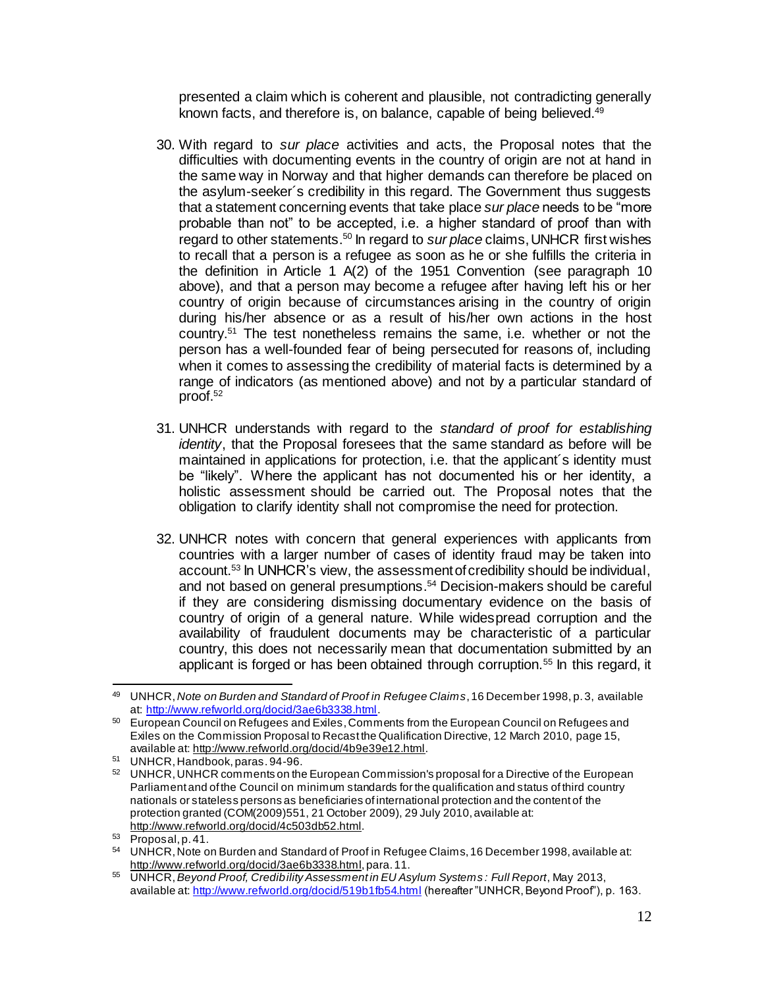presented a claim which is coherent and plausible, not contradicting generally known facts, and therefore is, on balance, capable of being believed.<sup>49</sup>

- 30. With regard to *sur place* activities and acts, the Proposal notes that the difficulties with documenting events in the country of origin are not at hand in the same way in Norway and that higher demands can therefore be placed on the asylum-seeker´s credibility in this regard. The Government thus suggests that a statement concerning events that take place *sur place* needs to be "more probable than not" to be accepted, i.e. a higher standard of proof than with regard to other statements. <sup>50</sup> In regard to *sur place* claims, UNHCR first wishes to recall that a person is a refugee as soon as he or she fulfills the criteria in the definition in Article 1 A(2) of the 1951 Convention (see paragraph 10 above), and that a person may become a refugee after having left his or her country of origin because of circumstances arising in the country of origin during his/her absence or as a result of his/her own actions in the host country.<sup>51</sup> The test nonetheless remains the same, i.e. whether or not the person has a well-founded fear of being persecuted for reasons of, including when it comes to assessing the credibility of material facts is determined by a range of indicators (as mentioned above) and not by a particular standard of proof. 52
- 31. UNHCR understands with regard to the *standard of proof for establishing identity*, that the Proposal foresees that the same standard as before will be maintained in applications for protection, i.e. that the applicant´s identity must be "likely". Where the applicant has not documented his or her identity, a holistic assessment should be carried out. The Proposal notes that the obligation to clarify identity shall not compromise the need for protection.
- 32. UNHCR notes with concern that general experiences with applicants from countries with a larger number of cases of identity fraud may be taken into account.<sup>53</sup> In UNHCR's view, the assessment of credibility should be individual, and not based on general presumptions. <sup>54</sup> Decision-makers should be careful if they are considering dismissing documentary evidence on the basis of country of origin of a general nature. While widespread corruption and the availability of fraudulent documents may be characteristic of a particular country, this does not necessarily mean that documentation submitted by an applicant is forged or has been obtained through corruption.<sup>55</sup> In this regard, it

 $\overline{a}$ <sup>49</sup> UNHCR, *Note on Burden and Standard of Proof in Refugee Claims*, 16 December 1998, p. 3, available at[: http://www.refworld.org/docid/3ae6b3338.html](http://www.refworld.org/docid/3ae6b3338.html).

<sup>50</sup> European Council on Refugees and Exiles, Comments from the European Council on Refugees and Exiles on the Commission Proposal to Recast the Qualification Directive, 12 March 2010, page 15, available at[: http://www.refworld.org/docid/4b9e39e12.html](http://www.refworld.org/docid/4b9e39e12.html).

<sup>51</sup> UNHCR, Handbook, paras. 94-96.

<sup>52</sup> UNHCR, UNHCR comments on the European Commission's proposal for a Directive of the European Parliament and of the Council on minimum standards for the qualification and status of third country nationals or stateless persons as beneficiaries of international protection and the content of the protection granted (COM(2009)551, 21 October 2009), 29 July 2010, available at: <http://www.refworld.org/docid/4c503db52.html>.

<sup>53</sup> Proposal, p. 41.

<sup>54</sup> UNHCR, Note on Burden and Standard of Proof in Refugee Claims, 16 December 1998, available at: [http://www.refworld.org/docid/3ae6b3338.html,](http://www.refworld.org/docid/3ae6b3338.html) para. 11.

<sup>55</sup> UNHCR, *Beyond Proof, Credibility Assessment in EU Asylum Systems : Full Report*, May 2013, available at[: http://www.refworld.org/docid/519b1fb54.html](http://www.refworld.org/docid/519b1fb54.html) (hereafter "UNHCR, Beyond Proof"), p. 163.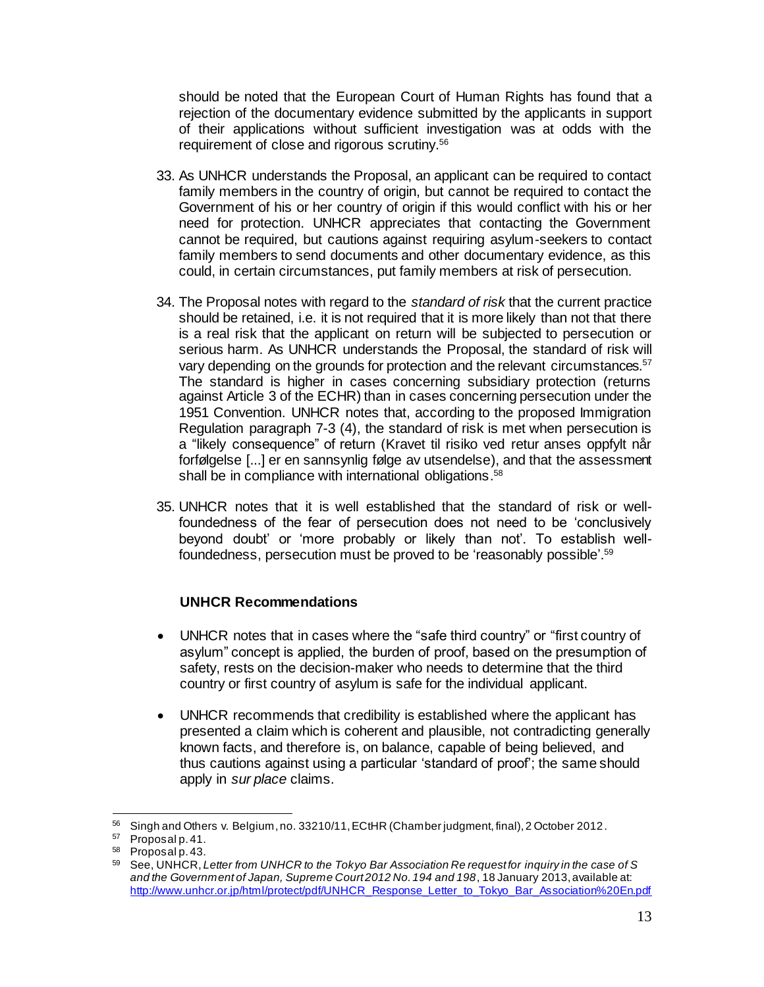should be noted that the European Court of Human Rights has found that a rejection of the documentary evidence submitted by the applicants in support of their applications without sufficient investigation was at odds with the requirement of close and rigorous scrutiny.<sup>56</sup>

- 33. As UNHCR understands the Proposal, an applicant can be required to contact family members in the country of origin, but cannot be required to contact the Government of his or her country of origin if this would conflict with his or her need for protection. UNHCR appreciates that contacting the Government cannot be required, but cautions against requiring asylum-seekers to contact family members to send documents and other documentary evidence, as this could, in certain circumstances, put family members at risk of persecution.
- 34. The Proposal notes with regard to the *standard of risk* that the current practice should be retained, i.e. it is not required that it is more likely than not that there is a real risk that the applicant on return will be subjected to persecution or serious harm. As UNHCR understands the Proposal, the standard of risk will vary depending on the grounds for protection and the relevant circumstances.<sup>57</sup> The standard is higher in cases concerning subsidiary protection (returns against Article 3 of the ECHR) than in cases concerning persecution under the 1951 Convention. UNHCR notes that, according to the proposed Immigration Regulation paragraph 7-3 (4), the standard of risk is met when persecution is a "likely consequence" of return (Kravet til risiko ved retur anses oppfylt når forfølgelse [...] er en sannsynlig følge av utsendelse), and that the assessment shall be in compliance with international obligations.<sup>58</sup>
- 35. UNHCR notes that it is well established that the standard of risk or wellfoundedness of the fear of persecution does not need to be 'conclusively beyond doubt' or 'more probably or likely than not'. To establish wellfoundedness, persecution must be proved to be 'reasonably possible'.<sup>59</sup>

## **UNHCR Recommendations**

- UNHCR notes that in cases where the "safe third country" or "first country of asylum" concept is applied, the burden of proof, based on the presumption of safety, rests on the decision-maker who needs to determine that the third country or first country of asylum is safe for the individual applicant.
- UNHCR recommends that credibility is established where the applicant has presented a claim which is coherent and plausible, not contradicting generally known facts, and therefore is, on balance, capable of being believed, and thus cautions against using a particular 'standard of proof'; the same should apply in *sur place* claims.

<sup>56</sup> <sup>56</sup> Singh and Others v. Belgium, no. 33210/11, ECtHR (Chamber judgment, final), 2 October 2012.

<sup>57</sup> Proposal p. 41.

 $^{58}$  Proposal p. 43.

<sup>59</sup> See, UNHCR, *Letter from UNHCR to the Tokyo Bar Association Re request for inquiry in the case of S and the Government of Japan, Supreme Court 2012 No. 194 and 198*, 18 January 2013, available at: [http://www.unhcr.or.jp/html/protect/pdf/UNHCR\\_Response\\_Letter\\_to\\_Tokyo\\_Bar\\_Association%20En.pdf](http://www.unhcr.or.jp/html/protect/pdf/UNHCR_Response_Letter_to_Tokyo_Bar_Association%20En.pdf)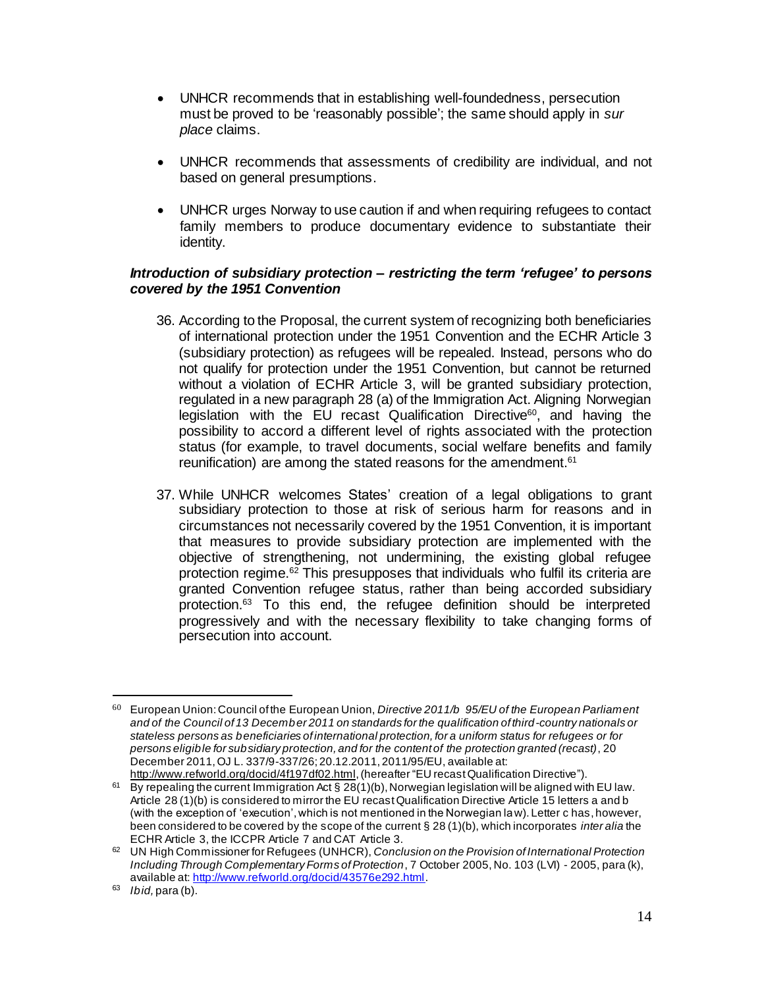- UNHCR recommends that in establishing well-foundedness, persecution must be proved to be 'reasonably possible'; the same should apply in *sur place* claims.
- UNHCR recommends that assessments of credibility are individual, and not based on general presumptions.
- UNHCR urges Norway to use caution if and when requiring refugees to contact family members to produce documentary evidence to substantiate their identity.

#### *Introduction of subsidiary protection – restricting the term 'refugee' to persons covered by the 1951 Convention*

- 36. According to the Proposal, the current system of recognizing both beneficiaries of international protection under the 1951 Convention and the ECHR Article 3 (subsidiary protection) as refugees will be repealed. Instead, persons who do not qualify for protection under the 1951 Convention, but cannot be returned without a violation of ECHR Article 3, will be granted subsidiary protection, regulated in a new paragraph 28 (a) of the Immigration Act. Aligning Norwegian legislation with the EU recast Qualification Directive<sup>60</sup>, and having the possibility to accord a different level of rights associated with the protection status (for example, to travel documents, social welfare benefits and family reunification) are among the stated reasons for the amendment. 61
- 37. While UNHCR welcomes States' creation of a legal obligations to grant subsidiary protection to those at risk of serious harm for reasons and in circumstances not necessarily covered by the 1951 Convention, it is important that measures to provide subsidiary protection are implemented with the objective of strengthening, not undermining, the existing global refugee protection regime.<sup>62</sup> This presupposes that individuals who fulfil its criteria are granted Convention refugee status, rather than being accorded subsidiary protection.<sup>63</sup> To this end, the refugee definition should be interpreted progressively and with the necessary flexibility to take changing forms of persecution into account.

<sup>60</sup> European Union: Council of the European Union, *Directive 2011/b 95/EU of the European Parliament and of the Council of 13 December 2011 on standards for the qualification of third-country nationals or stateless persons as beneficiaries of international protection, for a uniform status for refugees or for persons eligible for subsidiary protection, and for the content of the protection granted (recast)*, 20 December 2011, OJ L. 337/9-337/26; 20.12.2011, 2011/95/EU, available at:

<http://www.refworld.org/docid/4f197df02.html>, (hereafter "EU recast Qualification Directive"). <sup>61</sup> By repealing the current Immigration Act § 28(1)(b), Norwegian legislation will be aligned with EU law. Article 28 (1)(b) is considered to mirror the EU recast Qualification Directive Article 15 letters a and b (with the exception of 'execution', which is not mentioned in the Norwegian law). Letter c has, however, been considered to be covered by the scope of the current § 28 (1)(b), which incorporates *inter alia* the ECHR Article 3, the ICCPR Article 7 and CAT Article 3.

<sup>62</sup> UN High Commissioner for Refugees (UNHCR), *Conclusion on the Provision of International Protection Including Through Complementary Forms of Protection*, 7 October 2005, No. 103 (LVI) - 2005, para (k), available at[: http://www.refworld.org/docid/43576e292.html](http://www.refworld.org/docid/43576e292.html).

<sup>63</sup> *Ibid,*para (b).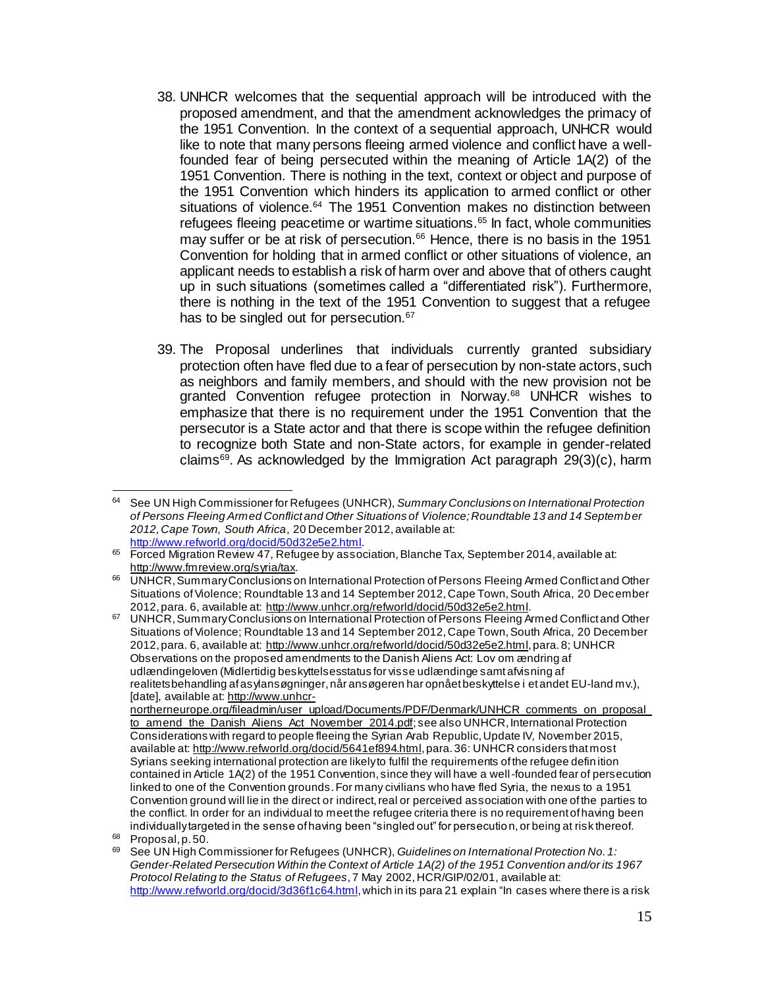- 38. UNHCR welcomes that the sequential approach will be introduced with the proposed amendment, and that the amendment acknowledges the primacy of the 1951 Convention. In the context of a sequential approach, UNHCR would like to note that many persons fleeing armed violence and conflict have a wellfounded fear of being persecuted within the meaning of Article 1A(2) of the 1951 Convention. There is nothing in the text, context or object and purpose of the 1951 Convention which hinders its application to armed conflict or other situations of violence.<sup>64</sup> The 1951 Convention makes no distinction between refugees fleeing peacetime or wartime situations.<sup>65</sup> In fact, whole communities may suffer or be at risk of persecution.<sup>66</sup> Hence, there is no basis in the 1951 Convention for holding that in armed conflict or other situations of violence, an applicant needs to establish a risk of harm over and above that of others caught up in such situations (sometimes called a "differentiated risk"). Furthermore, there is nothing in the text of the 1951 Convention to suggest that a refugee has to be singled out for persecution.<sup>67</sup>
- 39. The Proposal underlines that individuals currently granted subsidiary protection often have fled due to a fear of persecution by non-state actors, such as neighbors and family members, and should with the new provision not be granted Convention refugee protection in Norway.<sup>68</sup> UNHCR wishes to emphasize that there is no requirement under the 1951 Convention that the persecutor is a State actor and that there is scope within the refugee definition to recognize both State and non-State actors, for example in gender-related claims<sup>69</sup> . As acknowledged by the Immigration Act paragraph 29(3)(c), harm

 $\overline{a}$ <sup>64</sup> See UN High Commissioner for Refugees (UNHCR), *Summary Conclusions on International Protection of Persons Fleeing Armed Conflict and Other Situations of Violence; Roundtable 13 and 14 September 2012, Cape Town, South Africa*, 20 December 2012, available at: [http://www.refworld.org/docid/50d32e5e2.html.](http://www.refworld.org/docid/50d32e5e2.html)

<sup>65</sup> Forced Migration Review 47, Refugee by association, Blanche Tax, September 2014, available at: [http://www.fmreview.org/syria/tax.](http://www.fmreview.org/syria/tax)

<sup>66</sup> UNHCR, Summary Conclusions on International Protection of Persons Fleeing Armed Conflict and Other Situations of Violence; Roundtable 13 and 14 September 2012, Cape Town, South Africa, 20 December 2012, para. 6, available at:<http://www.unhcr.org/refworld/docid/50d32e5e2.html>.

<sup>67</sup> UNHCR, Summary Conclusions on International Protection of Persons Fleeing Armed Conflict and Other Situations of Violence; Roundtable 13 and 14 September 2012, Cape Town, South Africa, 20 December 2012, para. 6, available at:<http://www.unhcr.org/refworld/docid/50d32e5e2.html>, para. 8; UNHCR Observations on the proposed amendments to the Danish Aliens Act: Lov om ændring af udlændingeloven (Midlertidig beskyttelsesstatus for visse udlændinge samt afvisning af realitetsbehandling af asylansøgninger, når ansøgeren har opnået beskyttelse i et andet EU-land mv.), [date], available at[: http://www.unhcr-](http://www.unhcr-northerneurope.org/fileadmin/user_upload/Documents/PDF/Denmark/UNHCR_comments_on_proposal_to_amend_the_Danish_Aliens_Act_November_2014.pdf)

[northerneurope.org/fileadmin/user\\_upload/Documents/PDF/Denmark/UNHCR\\_comments\\_on\\_proposal\\_](http://www.unhcr-northerneurope.org/fileadmin/user_upload/Documents/PDF/Denmark/UNHCR_comments_on_proposal_to_amend_the_Danish_Aliens_Act_November_2014.pdf) [to\\_amend\\_the\\_Danish\\_Aliens\\_Act\\_November\\_2014.pdf](http://www.unhcr-northerneurope.org/fileadmin/user_upload/Documents/PDF/Denmark/UNHCR_comments_on_proposal_to_amend_the_Danish_Aliens_Act_November_2014.pdf); see also UNHCR, International Protection Considerations with regard to people fleeing the Syrian Arab Republic, Update IV, November 2015, available at[: http://www.refworld.org/docid/5641ef894.html,](http://www.refworld.org/docid/5641ef894.html) para. 36: UNHCR considers that most Syrians seeking international protection are likely to fulfil the requirements of the refugee defin ition contained in Article 1A(2) of the 1951 Convention, since they will have a well-founded fear of persecution linked to one of the Convention grounds. For many civilians who have fled Syria, the nexus to a 1951 Convention ground will lie in the direct or indirect, real or perceived association with one of the parties to the conflict. In order for an individual to meet the refugee criteria there is no requirement of having been individually targeted in the sense of having been "singled out" for persecution, or being at risk thereof.

 $68$  Proposal, p. 50.

<sup>69</sup> See UN High Commissioner for Refugees (UNHCR), *Guidelines on International Protection No. 1: Gender-Related Persecution Within the Context of Article 1A(2) of the 1951 Convention and/or its 1967 Protocol Relating to the Status of Refugees*, 7 May 2002, HCR/GIP/02/01, available at: [http://www.refworld.org/docid/3d36f1c64.html,](http://www.refworld.org/docid/3d36f1c64.html) which in its para 21 explain "In cases where there is a risk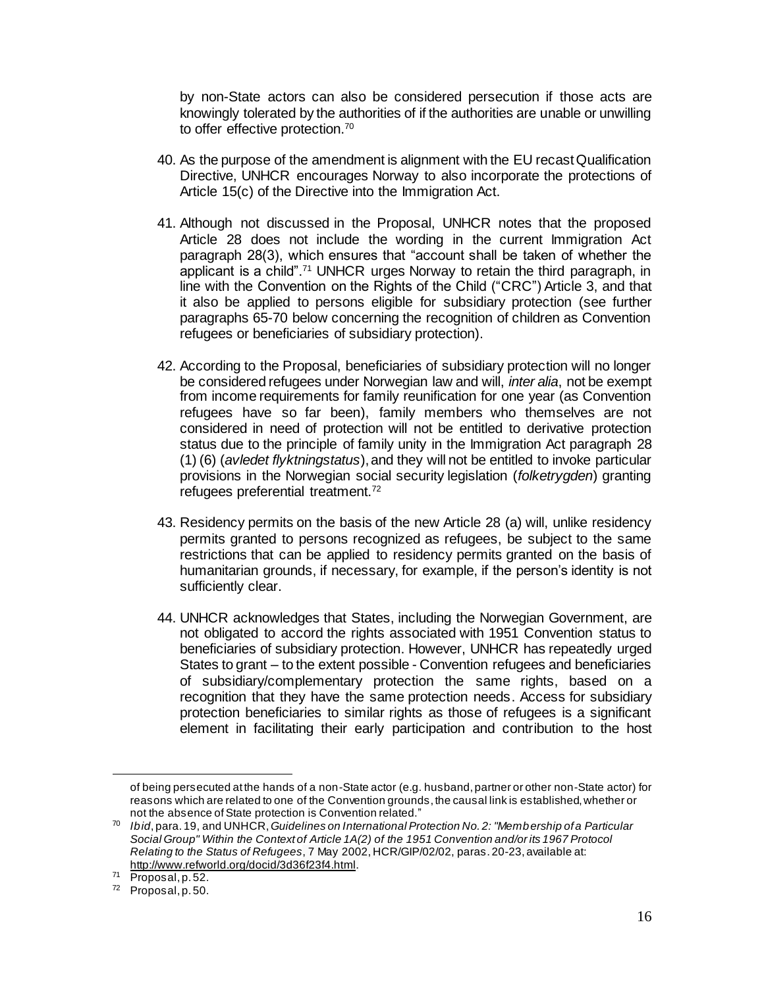by non-State actors can also be considered persecution if those acts are knowingly tolerated by the authorities of if the authorities are unable or unwilling to offer effective protection.<sup>70</sup>

- 40. As the purpose of the amendment is alignment with the EU recast Qualification Directive, UNHCR encourages Norway to also incorporate the protections of Article 15(c) of the Directive into the Immigration Act.
- 41. Although not discussed in the Proposal, UNHCR notes that the proposed Article 28 does not include the wording in the current Immigration Act paragraph 28(3), which ensures that "account shall be taken of whether the applicant is a child".<sup>71</sup> UNHCR urges Norway to retain the third paragraph, in line with the Convention on the Rights of the Child ("CRC") Article 3, and that it also be applied to persons eligible for subsidiary protection (see further paragraphs 65-70 below concerning the recognition of children as Convention refugees or beneficiaries of subsidiary protection).
- 42. According to the Proposal, beneficiaries of subsidiary protection will no longer be considered refugees under Norwegian law and will, *inter alia*, not be exempt from income requirements for family reunification for one year (as Convention refugees have so far been), family members who themselves are not considered in need of protection will not be entitled to derivative protection status due to the principle of family unity in the Immigration Act paragraph 28 (1) (6) (*avledet flyktningstatus*), and they will not be entitled to invoke particular provisions in the Norwegian social security legislation (*folketrygden*) granting refugees preferential treatment.<sup>72</sup>
- 43. Residency permits on the basis of the new Article 28 (a) will, unlike residency permits granted to persons recognized as refugees, be subject to the same restrictions that can be applied to residency permits granted on the basis of humanitarian grounds, if necessary, for example, if the person's identity is not sufficiently clear.
- 44. UNHCR acknowledges that States, including the Norwegian Government, are not obligated to accord the rights associated with 1951 Convention status to beneficiaries of subsidiary protection. However, UNHCR has repeatedly urged States to grant – to the extent possible - Convention refugees and beneficiaries of subsidiary/complementary protection the same rights, based on a recognition that they have the same protection needs. Access for subsidiary protection beneficiaries to similar rights as those of refugees is a significant element in facilitating their early participation and contribution to the host

of being persecuted at the hands of a non-State actor (e.g. husband, partner or other non-State actor) for reasons which are related to one of the Convention grounds, the causal link is established, whether or not the absence of State protection is Convention related."

<sup>70</sup> *Ibid*, para.19, and UNHCR,*Guidelines on International Protection No. 2: "Membership of a Particular Social Group" Within the Context of Article 1A(2) of the 1951 Convention and/or its 1967 Protocol Relating to the Status of Refugees*, 7 May 2002, HCR/GIP/02/02, paras. 20-23, available at: <http://www.refworld.org/docid/3d36f23f4.html>.

<sup>71</sup> Proposal, p. 52.

<sup>72</sup> Proposal, p. 50.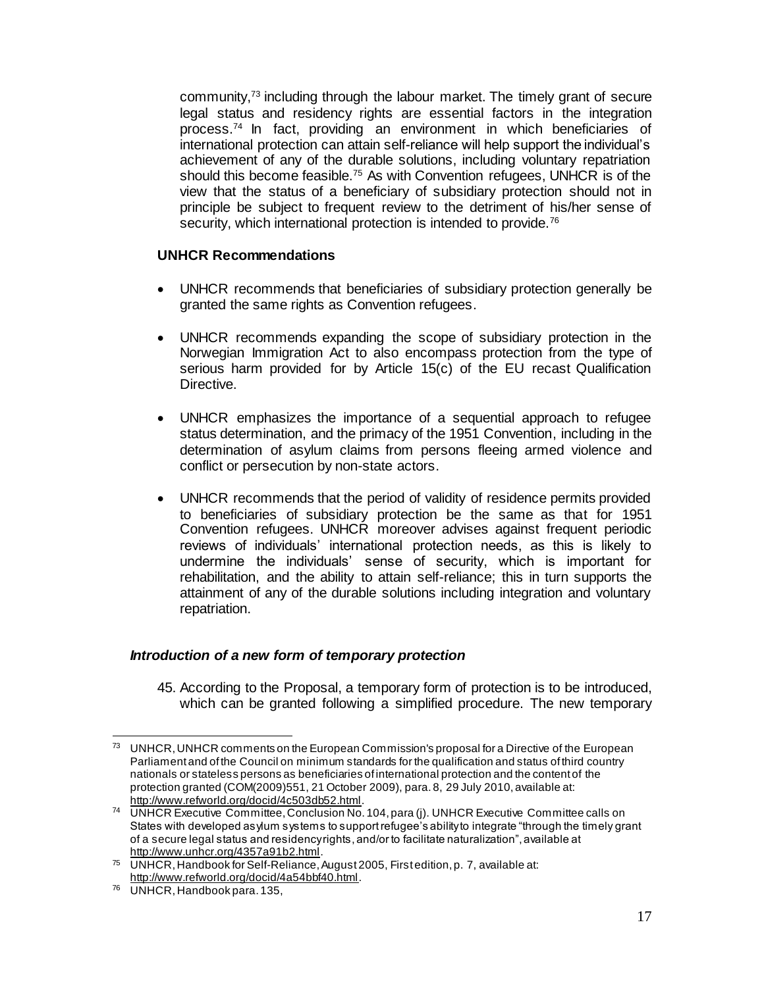community,<sup>73</sup> including through the labour market. The timely grant of secure legal status and residency rights are essential factors in the integration process.<sup>74</sup> In fact, providing an environment in which beneficiaries of international protection can attain self-reliance will help support the individual's achievement of any of the durable solutions, including voluntary repatriation should this become feasible.<sup>75</sup> As with Convention refugees, UNHCR is of the view that the status of a beneficiary of subsidiary protection should not in principle be subject to frequent review to the detriment of his/her sense of security, which international protection is intended to provide.<sup>76</sup>

#### **UNHCR Recommendations**

- UNHCR recommends that beneficiaries of subsidiary protection generally be granted the same rights as Convention refugees.
- UNHCR recommends expanding the scope of subsidiary protection in the Norwegian Immigration Act to also encompass protection from the type of serious harm provided for by Article 15(c) of the EU recast Qualification Directive.
- UNHCR emphasizes the importance of a sequential approach to refugee status determination, and the primacy of the 1951 Convention, including in the determination of asylum claims from persons fleeing armed violence and conflict or persecution by non-state actors.
- UNHCR recommends that the period of validity of residence permits provided to beneficiaries of subsidiary protection be the same as that for 1951 Convention refugees. UNHCR moreover advises against frequent periodic reviews of individuals' international protection needs, as this is likely to undermine the individuals' sense of security, which is important for rehabilitation, and the ability to attain self-reliance; this in turn supports the attainment of any of the durable solutions including integration and voluntary repatriation.

## *Introduction of a new form of temporary protection*

45. According to the Proposal, a temporary form of protection is to be introduced, which can be granted following a simplified procedure. The new temporary

<sup>73</sup> UNHCR, UNHCR comments on the European Commission's proposal for a Directive of the European Parliament and of the Council on minimum standards for the qualification and status of third country nationals or stateless persons as beneficiaries of international protection and the content of the protection granted (COM(2009)551, 21 October 2009), para. 8, 29 July 2010, available at: <http://www.refworld.org/docid/4c503db52.html>.

<sup>74</sup> UNHCR Executive Committee, Conclusion No. 104, para (j). UNHCR Executive Committee calls on States with developed asylum systems to support refugee's ability to integrate "through the timely grant of a secure legal status and residency rights, and/or to facilitate naturalization", available at <http://www.unhcr.org/4357a91b2.html>.

<sup>75</sup> UNHCR, Handbook for Self-Reliance, August 2005, First edition, p. 7, available at: <http://www.refworld.org/docid/4a54bbf40.html>.

<sup>76</sup> UNHCR, Handbook para.135,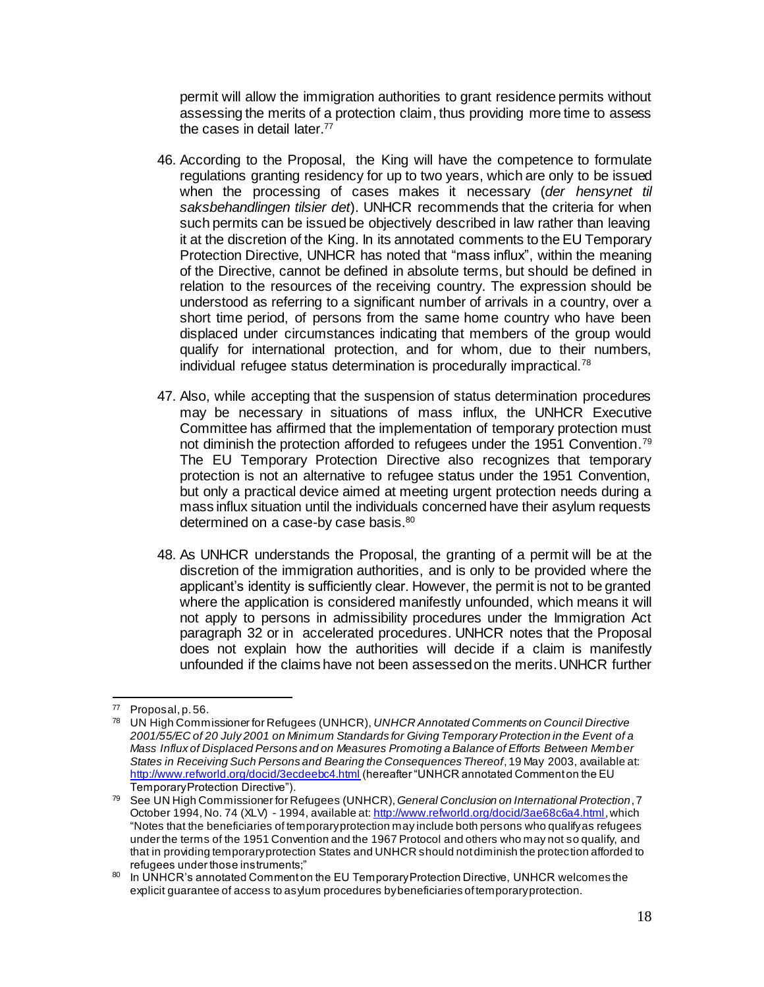permit will allow the immigration authorities to grant residence permits without assessing the merits of a protection claim, thus providing more time to assess the cases in detail later.<sup>77</sup>

- 46. According to the Proposal, the King will have the competence to formulate regulations granting residency for up to two years, which are only to be issued when the processing of cases makes it necessary (*der hensynet til saksbehandlingen tilsier det*). UNHCR recommends that the criteria for when such permits can be issued be objectively described in law rather than leaving it at the discretion of the King. In its annotated comments to the EU Temporary Protection Directive, UNHCR has noted that "mass influx", within the meaning of the Directive, cannot be defined in absolute terms, but should be defined in relation to the resources of the receiving country. The expression should be understood as referring to a significant number of arrivals in a country, over a short time period, of persons from the same home country who have been displaced under circumstances indicating that members of the group would qualify for international protection, and for whom, due to their numbers. individual refugee status determination is procedurally impractical.<sup>78</sup>
- 47. Also, while accepting that the suspension of status determination procedures may be necessary in situations of mass influx, the UNHCR Executive Committee has affirmed that the implementation of temporary protection must not diminish the protection afforded to refugees under the 1951 Convention.<sup>79</sup> The EU Temporary Protection Directive also recognizes that temporary protection is not an alternative to refugee status under the 1951 Convention, but only a practical device aimed at meeting urgent protection needs during a mass influx situation until the individuals concerned have their asylum requests determined on a case-by case basis.<sup>80</sup>
- 48. As UNHCR understands the Proposal, the granting of a permit will be at the discretion of the immigration authorities, and is only to be provided where the applicant's identity is sufficiently clear. However, the permit is not to be granted where the application is considered manifestly unfounded, which means it will not apply to persons in admissibility procedures under the Immigration Act paragraph 32 or in accelerated procedures. UNHCR notes that the Proposal does not explain how the authorities will decide if a claim is manifestly unfounded if the claims have not been assessed on the merits. UNHCR further

 $\overline{a}$  $77$  Proposal, p. 56.

<sup>78</sup> UN High Commissioner for Refugees (UNHCR), *UNHCR Annotated Comments on Council Directive 2001/55/EC of 20 July 2001 on Minimum Standards for Giving Temporary Protection in the Event of a Mass Influx of Displaced Persons and on Measures Promoting a Balance of Efforts Between Member States in Receiving Such Persons and Bearing the Consequences Thereof*, 19 May 2003, available at: <http://www.refworld.org/docid/3ecdeebc4.html> (hereafter "UNHCR annotated Comment on the EU Temporary Protection Directive").

<sup>79</sup> See UN High Commissioner for Refugees (UNHCR), *General Conclusion on International Protection*, 7 October 1994, No. 74 (XLV) - 1994, available at[: http://www.refworld.org/docid/3ae68c6a4.html](http://www.refworld.org/docid/3ae68c6a4.html), which "Notes that the beneficiaries of temporary protection may include both persons who qualify as refugees under the terms of the 1951 Convention and the 1967 Protocol and others who may not so qualify, and that in providing temporary protection States and UNHCR should not diminish the protection afforded to refugees under those instruments;"

<sup>80</sup> In UNHCR's annotated Comment on the EU Temporary Protection Directive, UNHCR welcomes the explicit guarantee of access to asylum procedures by beneficiaries of temporary protection.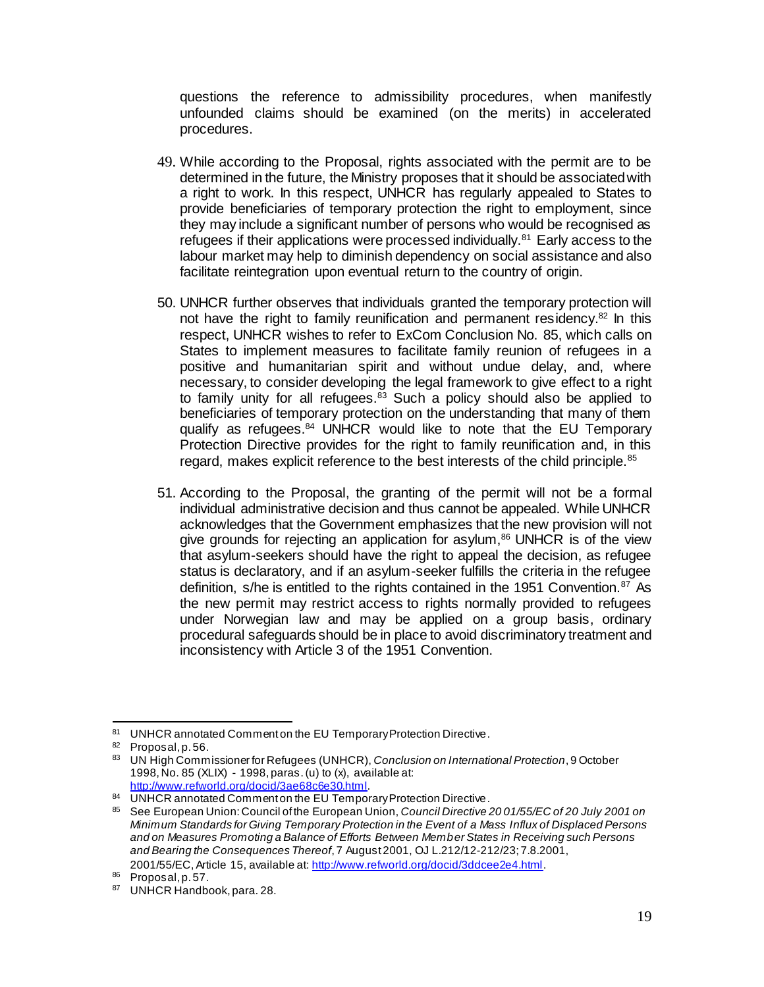questions the reference to admissibility procedures, when manifestly unfounded claims should be examined (on the merits) in accelerated procedures.

- 49. While according to the Proposal, rights associated with the permit are to be determined in the future, the Ministry proposes that it should be associated with a right to work. In this respect, UNHCR has regularly appealed to States to provide beneficiaries of temporary protection the right to employment, since they may include a significant number of persons who would be recognised as refugees if their applications were processed individually.<sup>81</sup> Early access to the labour market may help to diminish dependency on social assistance and also facilitate reintegration upon eventual return to the country of origin.
- 50. UNHCR further observes that individuals granted the temporary protection will not have the right to family reunification and permanent residency.<sup>82</sup> In this respect, UNHCR wishes to refer to ExCom Conclusion No. 85, which calls on States to implement measures to facilitate family reunion of refugees in a positive and humanitarian spirit and without undue delay, and, where necessary, to consider developing the legal framework to give effect to a right to family unity for all refugees. $83$  Such a policy should also be applied to beneficiaries of temporary protection on the understanding that many of them qualify as refugees.<sup>84</sup> UNHCR would like to note that the EU Temporary Protection Directive provides for the right to family reunification and, in this regard, makes explicit reference to the best interests of the child principle.<sup>85</sup>
- 51. According to the Proposal, the granting of the permit will not be a formal individual administrative decision and thus cannot be appealed. While UNHCR acknowledges that the Government emphasizes that the new provision will not give grounds for rejecting an application for asylum, $86$  UNHCR is of the view that asylum-seekers should have the right to appeal the decision, as refugee status is declaratory, and if an asylum-seeker fulfills the criteria in the refugee definition, s/he is entitled to the rights contained in the 1951 Convention. $87$  As the new permit may restrict access to rights normally provided to refugees under Norwegian law and may be applied on a group basis, ordinary procedural safeguards should be in place to avoid discriminatory treatment and inconsistency with Article 3 of the 1951 Convention.

2001/55/EC,Article 15, available at:<http://www.refworld.org/docid/3ddcee2e4.html>.

 $\overline{a}$ 81 UNHCR annotated Comment on the EU Temporary Protection Directive.

<sup>82</sup> Proposal, p. 56.

<sup>83</sup> UN High Commissioner for Refugees (UNHCR), *Conclusion on International Protection*, 9 October 1998,No. 85 (XLIX) - 1998, paras. (u) to (x), available at: <http://www.refworld.org/docid/3ae68c6e30.html>.

<sup>84</sup> UNHCR annotated Comment on the EU Temporary Protection Directive.

<sup>85</sup> See European Union: Council of the European Union, *Council Directive 20 01/55/EC of 20 July 2001 on Minimum Standards for Giving Temporary Protection in the Event of a Mass Influx of Displaced Persons and on Measures Promoting a Balance of Efforts Between Member States in Receiving such Persons and Bearing the Consequences Thereof*, 7 August 2001, OJ L.212/12-212/23; 7.8.2001,

<sup>86</sup> Proposal, p. 57.

<sup>87</sup> UNHCR Handbook, para. 28.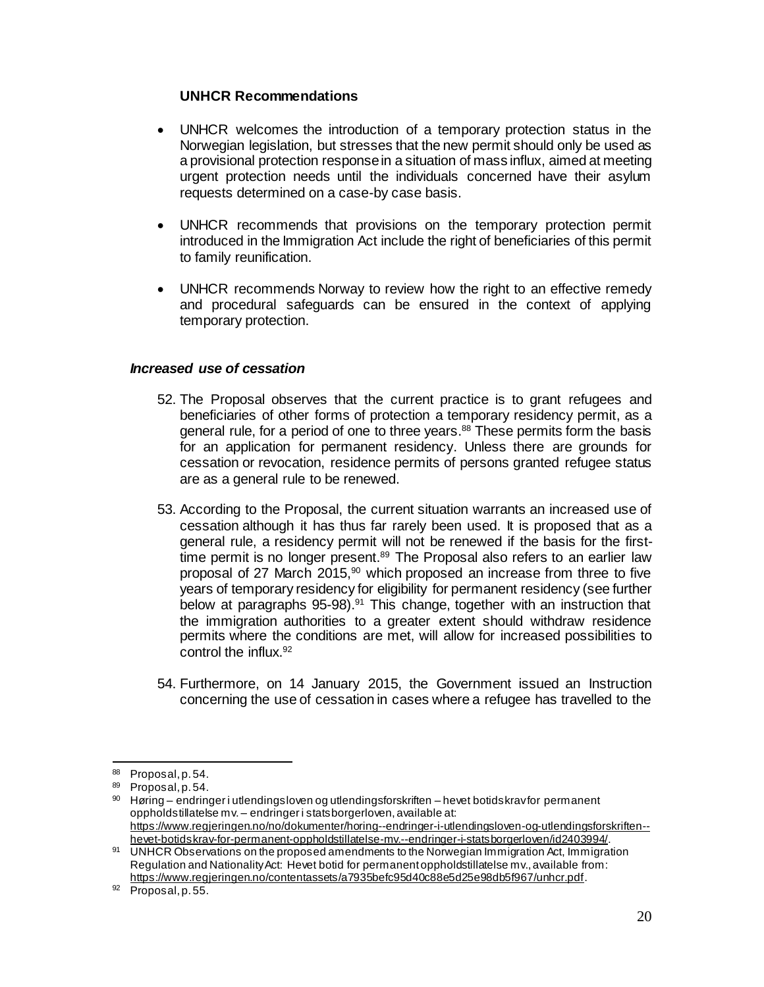#### **UNHCR Recommendations**

- UNHCR welcomes the introduction of a temporary protection status in the Norwegian legislation, but stresses that the new permit should only be used as a provisional protection response in a situation of mass influx, aimed at meeting urgent protection needs until the individuals concerned have their asylum requests determined on a case-by case basis.
- UNHCR recommends that provisions on the temporary protection permit introduced in the Immigration Act include the right of beneficiaries of this permit to family reunification.
- UNHCR recommends Norway to review how the right to an effective remedy and procedural safeguards can be ensured in the context of applying temporary protection.

#### *Increased use of cessation*

- 52. The Proposal observes that the current practice is to grant refugees and beneficiaries of other forms of protection a temporary residency permit, as a general rule, for a period of one to three years.<sup>88</sup> These permits form the basis for an application for permanent residency. Unless there are grounds for cessation or revocation, residence permits of persons granted refugee status are as a general rule to be renewed.
- 53. According to the Proposal, the current situation warrants an increased use of cessation although it has thus far rarely been used. It is proposed that as a general rule, a residency permit will not be renewed if the basis for the firsttime permit is no longer present.<sup>89</sup> The Proposal also refers to an earlier law proposal of 27 March 2015, $90$  which proposed an increase from three to five years of temporary residency for eligibility for permanent residency (see further below at paragraphs 95-98).<sup>91</sup> This change, together with an instruction that the immigration authorities to a greater extent should withdraw residence permits where the conditions are met, will allow for increased possibilities to control the influx.<sup>92</sup>
- 54. Furthermore, on 14 January 2015, the Government issued an Instruction concerning the use of cessation in cases where a refugee has travelled to the

<sup>88</sup> Proposal, p. 54.

<sup>89</sup> Proposal, p. 54.

 $90$  Høring – endringer i utlendingsloven og utlendingsforskriften – hevet botidskrav for permanent oppholdstillatelse mv. – endringer i statsborgerloven, available at: [https://www.regjeringen.no/no/dokumenter/horing--endringer-i-utlendingsloven-og-utlendingsforskriften-](https://www.regjeringen.no/no/dokumenter/horing--endringer-i-utlendingsloven-og-utlendingsforskriften--hevet-botidskrav-for-permanent-oppholdstillatelse-mv.--endringer-i-statsborgerloven/id2403994/) [hevet-botidskrav-for-permanent-oppholdstillatelse-mv.--endringer-i-statsborgerloven/id2403994/](https://www.regjeringen.no/no/dokumenter/horing--endringer-i-utlendingsloven-og-utlendingsforskriften--hevet-botidskrav-for-permanent-oppholdstillatelse-mv.--endringer-i-statsborgerloven/id2403994/).

<sup>91</sup> UNHCR Observations on the proposed amendments to the Norwegian Immigration Act, Immigration Regulation and Nationality Act: Hevet botid for permanent oppholdstillatelse mv., available from: <https://www.regjeringen.no/contentassets/a7935befc95d40c88e5d25e98db5f967/unhcr.pdf>.

 $92$  Proposal, p. 55.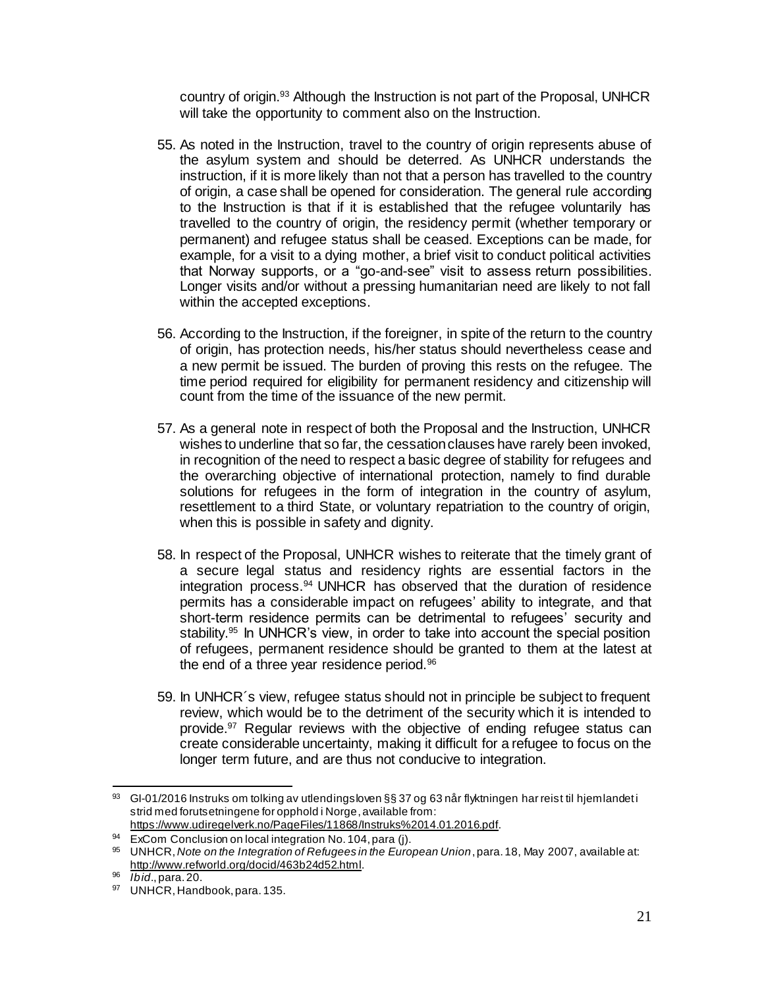country of origin.<sup>93</sup> Although the Instruction is not part of the Proposal, UNHCR will take the opportunity to comment also on the Instruction.

- 55. As noted in the Instruction, travel to the country of origin represents abuse of the asylum system and should be deterred. As UNHCR understands the instruction, if it is more likely than not that a person has travelled to the country of origin, a case shall be opened for consideration. The general rule according to the Instruction is that if it is established that the refugee voluntarily has travelled to the country of origin, the residency permit (whether temporary or permanent) and refugee status shall be ceased. Exceptions can be made, for example, for a visit to a dying mother, a brief visit to conduct political activities that Norway supports, or a "go-and-see" visit to assess return possibilities. Longer visits and/or without a pressing humanitarian need are likely to not fall within the accepted exceptions.
- 56. According to the Instruction, if the foreigner, in spite of the return to the country of origin, has protection needs, his/her status should nevertheless cease and a new permit be issued. The burden of proving this rests on the refugee. The time period required for eligibility for permanent residency and citizenship will count from the time of the issuance of the new permit.
- 57. As a general note in respect of both the Proposal and the Instruction, UNHCR wishes to underline that so far, the cessation clauses have rarely been invoked, in recognition of the need to respect a basic degree of stability for refugees and the overarching objective of international protection, namely to find durable solutions for refugees in the form of integration in the country of asylum, resettlement to a third State, or voluntary repatriation to the country of origin, when this is possible in safety and dignity.
- 58. In respect of the Proposal, UNHCR wishes to reiterate that the timely grant of a secure legal status and residency rights are essential factors in the integration process.<sup>94</sup> UNHCR has observed that the duration of residence permits has a considerable impact on refugees' ability to integrate, and that short-term residence permits can be detrimental to refugees' security and stability.<sup>95</sup> In UNHCR's view, in order to take into account the special position of refugees, permanent residence should be granted to them at the latest at the end of a three year residence period.<sup>96</sup>
- 59. In UNHCR´s view, refugee status should not in principle be subject to frequent review, which would be to the detriment of the security which it is intended to provide.<sup>97</sup> Regular reviews with the objective of ending refugee status can create considerable uncertainty, making it difficult for a refugee to focus on the longer term future, and are thus not conducive to integration.

l 93 GI-01/2016 Instruks om tolking av utlendingsloven §§ 37 og 63 når flyktningen har reist til hjemlandet i strid med forutsetningene for opphold i Norge, available from: <https://www.udiregelverk.no/PageFiles/11868/Instruks%2014.01.2016.pdf>.

 $94$  ExCom Conclusion on local integration No. 104, para (j).

<sup>95</sup> UNHCR, *Note on the Integration of Refugees in the European Union*, para. 18, May 2007, available at: [http://www.refworld.org/docid/463b24d52.html.](http://www.refworld.org/docid/463b24d52.html)

<sup>96</sup> *Ibid*., para. 20.

<sup>97</sup> UNHCR, Handbook, para. 135.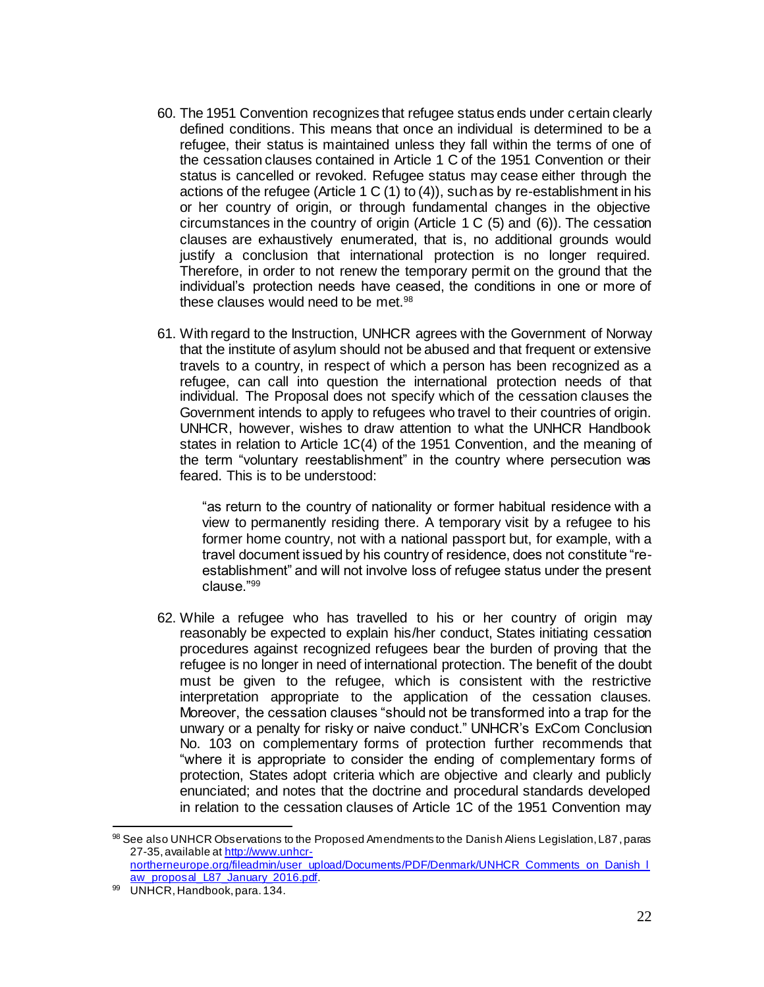- 60. The 1951 Convention recognizes that refugee status ends under certain clearly defined conditions. This means that once an individual is determined to be a refugee, their status is maintained unless they fall within the terms of one of the cessation clauses contained in Article 1 C of the 1951 Convention or their status is cancelled or revoked. Refugee status may cease either through the actions of the refugee (Article 1 C  $(1)$  to  $(4)$ ), such as by re-establishment in his or her country of origin, or through fundamental changes in the objective circumstances in the country of origin (Article 1 C (5) and (6)). The cessation clauses are exhaustively enumerated, that is, no additional grounds would justify a conclusion that international protection is no longer required. Therefore, in order to not renew the temporary permit on the ground that the individual's protection needs have ceased, the conditions in one or more of these clauses would need to be met.<sup>98</sup>
- 61. With regard to the Instruction, UNHCR agrees with the Government of Norway that the institute of asylum should not be abused and that frequent or extensive travels to a country, in respect of which a person has been recognized as a refugee, can call into question the international protection needs of that individual. The Proposal does not specify which of the cessation clauses the Government intends to apply to refugees who travel to their countries of origin. UNHCR, however, wishes to draw attention to what the UNHCR Handbook states in relation to Article 1C(4) of the 1951 Convention, and the meaning of the term "voluntary reestablishment" in the country where persecution was feared. This is to be understood:

"as return to the country of nationality or former habitual residence with a view to permanently residing there. A temporary visit by a refugee to his former home country, not with a national passport but, for example, with a travel document issued by his country of residence, does not constitute "reestablishment" and will not involve loss of refugee status under the present clause."<sup>99</sup>

62. While a refugee who has travelled to his or her country of origin may reasonably be expected to explain his/her conduct, States initiating cessation procedures against recognized refugees bear the burden of proving that the refugee is no longer in need of international protection. The benefit of the doubt must be given to the refugee, which is consistent with the restrictive interpretation appropriate to the application of the cessation clauses. Moreover, the cessation clauses "should not be transformed into a trap for the unwary or a penalty for risky or naive conduct." UNHCR's ExCom Conclusion No. 103 on complementary forms of protection further recommends that "where it is appropriate to consider the ending of complementary forms of protection, States adopt criteria which are objective and clearly and publicly enunciated; and notes that the doctrine and procedural standards developed in relation to the cessation clauses of Article 1C of the 1951 Convention may

<sup>98</sup> See also UNHCR Observations to the Proposed Amendments to the Danish Aliens Legislation, L87, paras 27-35, available a[t http://www.unhcr](http://www.unhcr-northerneurope.org/fileadmin/user_upload/Documents/PDF/Denmark/UNHCR_Comments_on_Danish_law_proposal_L87_January_2016.pdf)northerneurope.org/fileadmin/user\_upload/Documents/PDF/Denmark/UNHCR\_Comments\_on\_Danish\_I [aw\\_proposal\\_L87\\_January\\_2016.pdf.](http://www.unhcr-northerneurope.org/fileadmin/user_upload/Documents/PDF/Denmark/UNHCR_Comments_on_Danish_law_proposal_L87_January_2016.pdf)

<sup>99</sup> UNHCR, Handbook, para. 134.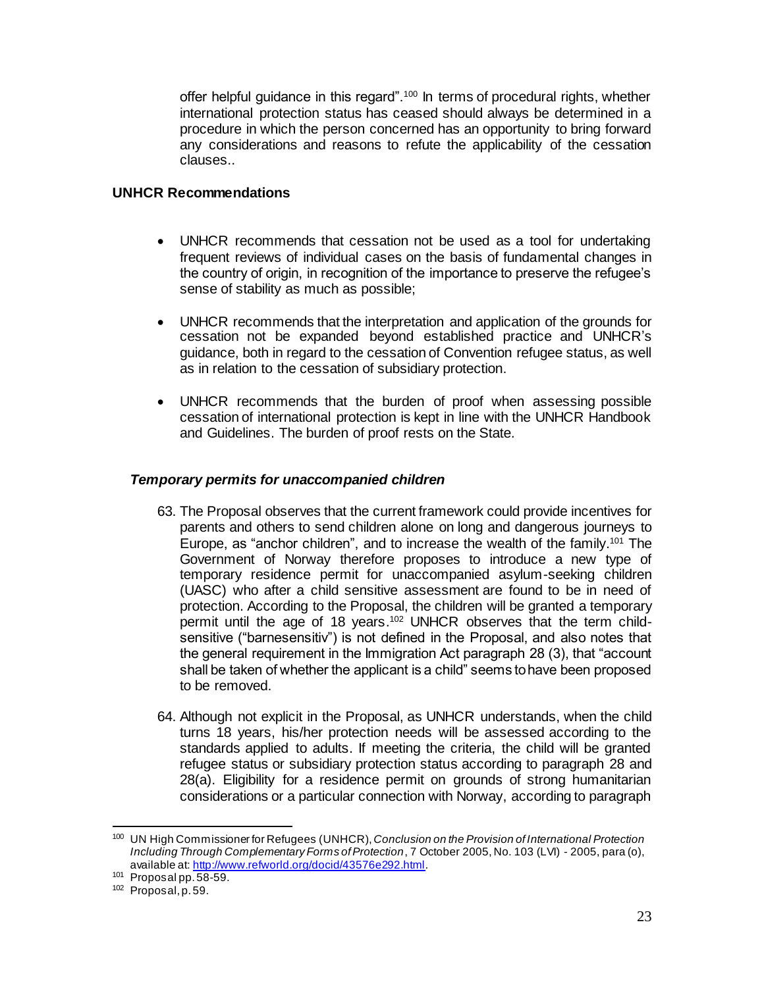offer helpful guidance in this regard".<sup>100</sup> In terms of procedural rights, whether international protection status has ceased should always be determined in a procedure in which the person concerned has an opportunity to bring forward any considerations and reasons to refute the applicability of the cessation clauses..

## **UNHCR Recommendations**

- UNHCR recommends that cessation not be used as a tool for undertaking frequent reviews of individual cases on the basis of fundamental changes in the country of origin, in recognition of the importance to preserve the refugee's sense of stability as much as possible;
- UNHCR recommends that the interpretation and application of the grounds for cessation not be expanded beyond established practice and UNHCR's guidance, both in regard to the cessation of Convention refugee status, as well as in relation to the cessation of subsidiary protection.
- UNHCR recommends that the burden of proof when assessing possible cessation of international protection is kept in line with the UNHCR Handbook and Guidelines. The burden of proof rests on the State.

## *Temporary permits for unaccompanied children*

- 63. The Proposal observes that the current framework could provide incentives for parents and others to send children alone on long and dangerous journeys to Europe, as "anchor children", and to increase the wealth of the family.<sup>101</sup> The Government of Norway therefore proposes to introduce a new type of temporary residence permit for unaccompanied asylum-seeking children (UASC) who after a child sensitive assessment are found to be in need of protection. According to the Proposal, the children will be granted a temporary permit until the age of 18 years.<sup>102</sup> UNHCR observes that the term childsensitive ("barnesensitiv") is not defined in the Proposal, and also notes that the general requirement in the Immigration Act paragraph 28 (3), that "account shall be taken of whether the applicant is a child" seems to have been proposed to be removed.
- 64. Although not explicit in the Proposal, as UNHCR understands, when the child turns 18 years, his/her protection needs will be assessed according to the standards applied to adults. If meeting the criteria, the child will be granted refugee status or subsidiary protection status according to paragraph 28 and 28(a). Eligibility for a residence permit on grounds of strong humanitarian considerations or a particular connection with Norway, according to paragraph

<sup>100</sup> UN High Commissioner for Refugees (UNHCR), *Conclusion on the Provision of International Protection Including Through Complementary Forms of Protection*, 7 October 2005, No. 103 (LVI) - 2005, para (o), available at[: http://www.refworld.org/docid/43576e292.html](http://www.refworld.org/docid/43576e292.html).

 $101$  Proposal pp.  $58-59$ .

<sup>102</sup> Proposal, p. 59.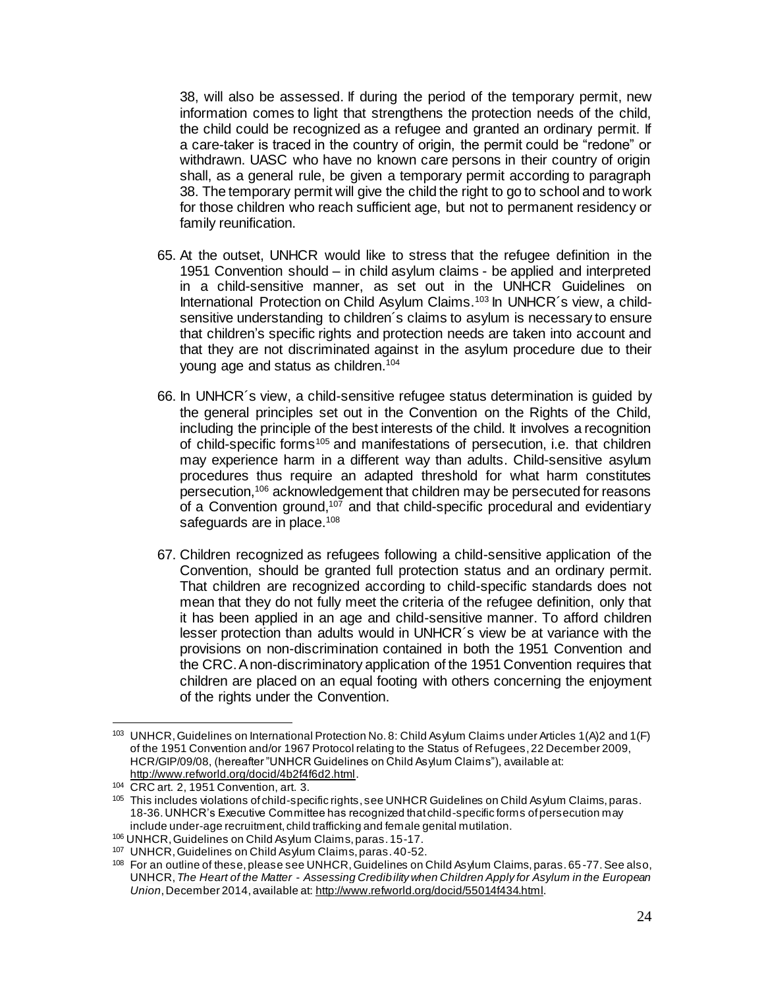38, will also be assessed. If during the period of the temporary permit, new information comes to light that strengthens the protection needs of the child, the child could be recognized as a refugee and granted an ordinary permit. If a care-taker is traced in the country of origin, the permit could be "redone" or withdrawn. UASC who have no known care persons in their country of origin shall, as a general rule, be given a temporary permit according to paragraph 38. The temporary permit will give the child the right to go to school and to work for those children who reach sufficient age, but not to permanent residency or family reunification.

- 65. At the outset, UNHCR would like to stress that the refugee definition in the 1951 Convention should – in child asylum claims - be applied and interpreted in a child-sensitive manner, as set out in the UNHCR Guidelines on International Protection on Child Asylum Claims.<sup>103</sup> In UNHCR's view, a childsensitive understanding to children´s claims to asylum is necessary to ensure that children's specific rights and protection needs are taken into account and that they are not discriminated against in the asylum procedure due to their young age and status as children.<sup>104</sup>
- 66. In UNHCR´s view, a child-sensitive refugee status determination is guided by the general principles set out in the Convention on the Rights of the Child, including the principle of the best interests of the child. It involves a recognition of child-specific forms<sup>105</sup> and manifestations of persecution, i.e. that children may experience harm in a different way than adults. Child-sensitive asylum procedures thus require an adapted threshold for what harm constitutes persecution,<sup>106</sup> acknowledgement that children may be persecuted for reasons of a Convention ground,<sup>107</sup> and that child-specific procedural and evidentiary safeguards are in place.<sup>108</sup>
- 67. Children recognized as refugees following a child-sensitive application of the Convention, should be granted full protection status and an ordinary permit. That children are recognized according to child-specific standards does not mean that they do not fully meet the criteria of the refugee definition, only that it has been applied in an age and child-sensitive manner. To afford children lesser protection than adults would in UNHCR´s view be at variance with the provisions on non-discrimination contained in both the 1951 Convention and the CRC. A non-discriminatory application of the 1951 Convention requires that children are placed on an equal footing with others concerning the enjoyment of the rights under the Convention.

<sup>103</sup> UNHCR, Guidelines on International Protection No. 8: Child Asylum Claims under Articles 1(A)2 and 1(F) of the 1951 Convention and/or 1967 Protocol relating to the Status of Refugees, 22 December 2009, HCR/GIP/09/08, (hereafter "UNHCR Guidelines on Child Asylum Claims"), available at: <http://www.refworld.org/docid/4b2f4f6d2.html>.

<sup>104</sup> CRC art. 2, 1951 Convention, art. 3.

<sup>&</sup>lt;sup>105</sup> This includes violations of child-specific rights, see UNHCR Guidelines on Child Asylum Claims, paras. 18-36. UNHCR's Executive Committee has recognized that child-specific forms of persecution may include under-age recruitment, child trafficking and female genital mutilation.

<sup>106</sup> UNHCR, Guidelines on Child Asylum Claims, paras. 15-17.

<sup>107</sup> UNHCR, Guidelines on Child Asylum Claims, paras. 40-52.

<sup>108</sup> For an outline of these, please see UNHCR, Guidelines on Child Asylum Claims, paras. 65 -77. See also, UNHCR,*The Heart of the Matter - Assessing Credibility when Children Apply for Asylum in the European Union*, December 2014, available at[: http://www.refworld.org/docid/55014f434.html](http://www.refworld.org/docid/55014f434.html).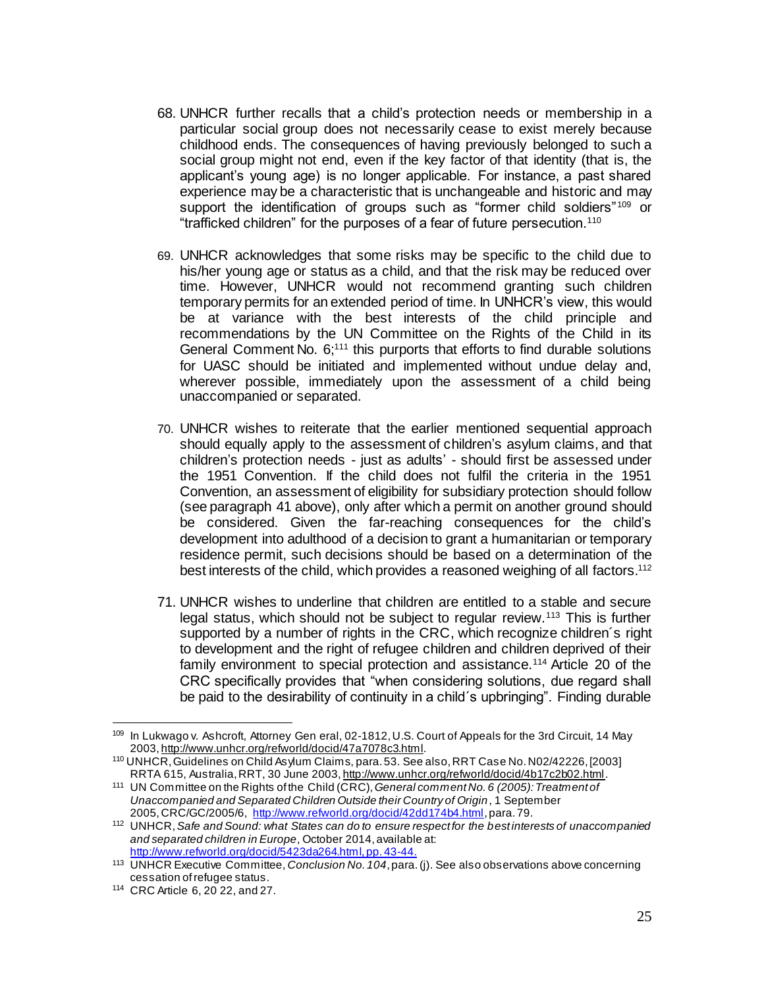- 68. UNHCR further recalls that a child's protection needs or membership in a particular social group does not necessarily cease to exist merely because childhood ends. The consequences of having previously belonged to such a social group might not end, even if the key factor of that identity (that is, the applicant's young age) is no longer applicable. For instance, a past shared experience may be a characteristic that is unchangeable and historic and may support the identification of groups such as "former child soldiers"<sup>109</sup> or "trafficked children" for the purposes of a fear of future persecution.<sup>110</sup>
- 69. UNHCR acknowledges that some risks may be specific to the child due to his/her young age or status as a child, and that the risk may be reduced over time. However, UNHCR would not recommend granting such children temporary permits for an extended period of time. In UNHCR's view, this would be at variance with the best interests of the child principle and recommendations by the UN Committee on the Rights of the Child in its General Comment No. 6;<sup>111</sup> this purports that efforts to find durable solutions for UASC should be initiated and implemented without undue delay and, wherever possible, immediately upon the assessment of a child being unaccompanied or separated.
- 70. UNHCR wishes to reiterate that the earlier mentioned sequential approach should equally apply to the assessment of children's asylum claims, and that children's protection needs - just as adults' - should first be assessed under the 1951 Convention. If the child does not fulfil the criteria in the 1951 Convention, an assessment of eligibility for subsidiary protection should follow (see paragraph 41 above), only after which a permit on another ground should be considered. Given the far-reaching consequences for the child's development into adulthood of a decision to grant a humanitarian or temporary residence permit, such decisions should be based on a determination of the best interests of the child, which provides a reasoned weighing of all factors.<sup>112</sup>
- 71. UNHCR wishes to underline that children are entitled to a stable and secure legal status, which should not be subject to regular review.<sup>113</sup> This is further supported by a number of rights in the CRC, which recognize children´s right to development and the right of refugee children and children deprived of their family environment to special protection and assistance.<sup>114</sup> Article 20 of the CRC specifically provides that "when considering solutions, due regard shall be paid to the desirability of continuity in a child´s upbringing". Finding durable

<sup>109</sup> In Lukwago v. Ashcroft, Attorney Gen eral, 02-1812, U.S. Court of Appeals for the 3rd Circuit, 14 May 2003[, http://www.unhcr.org/refworld/docid/47a7078c3.html](http://www.unhcr.org/refworld/docid/47a7078c3.html).

<sup>110</sup> UNHCR, Guidelines on Child Asylum Claims, para. 53. See also, RRT Case No. N02/42226, [2003] RRTA 615, Australia, RRT, 30 June 2003[, http://www.unhcr.org/refworld/docid/4b17c2b02.html](http://www.unhcr.org/refworld/docid/4b17c2b02.html).

<sup>111</sup> UN Committee on the Rights of the Child (CRC), *General comment No. 6 (2005): Treatment of Unaccompanied and Separated Children Outside their Country of Origin*, 1 September 2005,CRC/GC/2005/6, <http://www.refworld.org/docid/42dd174b4.html>,para. 79.

<sup>112</sup> UNHCR, *Safe and Sound: what States can do to ensure respect for the best interests of unaccompanied and separated children in Europe*, October 2014, available at: [http://www.refworld.org/docid/5423da264.html,](http://www.refworld.org/docid/5423da264.html) pp. 43-44.

<sup>113</sup> UNHCR Executive Committee, *Conclusion No. 104*, para. (j). See also observations above concerning cessation of refugee status.

<sup>114</sup> CRC Article 6, 20 22, and 27.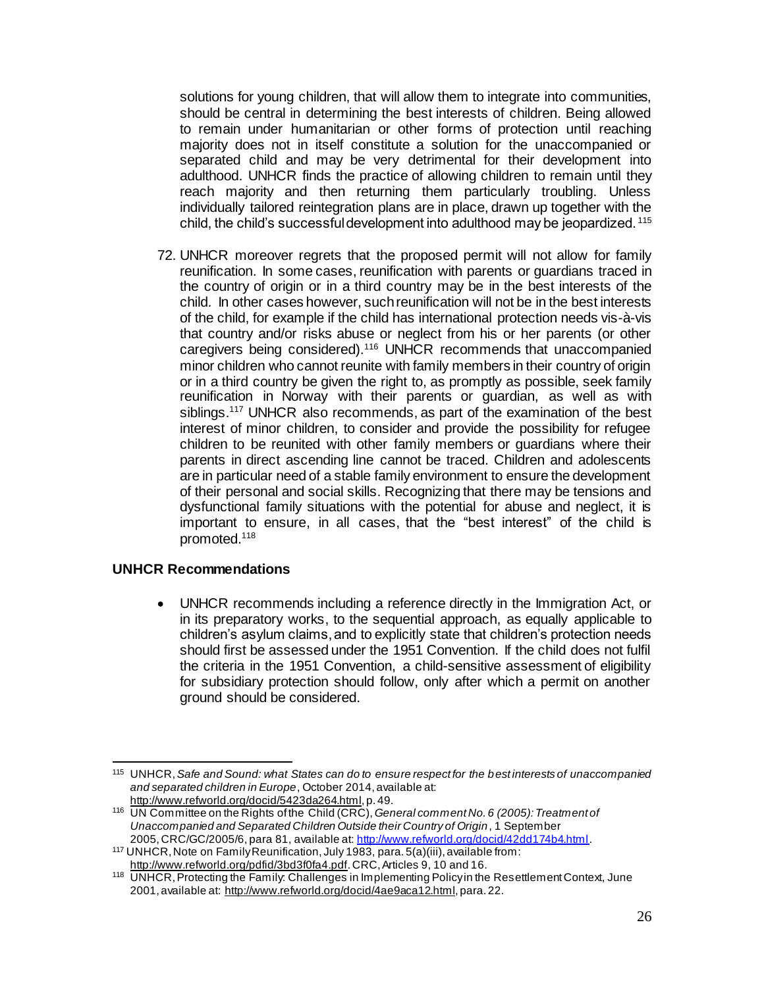solutions for young children, that will allow them to integrate into communities, should be central in determining the best interests of children. Being allowed to remain under humanitarian or other forms of protection until reaching majority does not in itself constitute a solution for the unaccompanied or separated child and may be very detrimental for their development into adulthood. UNHCR finds the practice of allowing children to remain until they reach majority and then returning them particularly troubling. Unless individually tailored reintegration plans are in place, drawn up together with the child, the child's successful development into adulthood may be jeopardized. <sup>115</sup>

72. UNHCR moreover regrets that the proposed permit will not allow for family reunification. In some cases, reunification with parents or guardians traced in the country of origin or in a third country may be in the best interests of the child. In other cases however, such reunification will not be in the best interests of the child, for example if the child has international protection needs vis-à-vis that country and/or risks abuse or neglect from his or her parents (or other caregivers being considered).<sup>116</sup> UNHCR recommends that unaccompanied minor children who cannot reunite with family members in their country of origin or in a third country be given the right to, as promptly as possible, seek family reunification in Norway with their parents or guardian, as well as with siblings.<sup>117</sup> UNHCR also recommends, as part of the examination of the best interest of minor children, to consider and provide the possibility for refugee children to be reunited with other family members or guardians where their parents in direct ascending line cannot be traced. Children and adolescents are in particular need of a stable family environment to ensure the development of their personal and social skills. Recognizing that there may be tensions and dysfunctional family situations with the potential for abuse and neglect, it is important to ensure, in all cases, that the "best interest" of the child is promoted. 118

# **UNHCR Recommendations**

 UNHCR recommends including a reference directly in the Immigration Act, or in its preparatory works, to the sequential approach, as equally applicable to children's asylum claims, and to explicitly state that children's protection needs should first be assessed under the 1951 Convention. If the child does not fulfil the criteria in the 1951 Convention, a child-sensitive assessment of eligibility for subsidiary protection should follow, only after which a permit on another ground should be considered.

l <sup>115</sup> UNHCR, *Safe and Sound: what States can do to ensure respect for the best interests of unaccompanied and separated children in Europe*, October 2014, available at: [http://www.refworld.org/docid/5423da264.html,](http://www.refworld.org/docid/5423da264.html) p. 49.

<sup>116</sup> UN Committee on the Rights of the Child (CRC), *General comment No. 6 (2005): Treatment of Unaccompanied and Separated Children Outside their Country of Origin*, 1 September 2005,CRC/GC/2005/6, para 81, available at:<http://www.refworld.org/docid/42dd174b4.html>.

<sup>117</sup> UNHCR, Note on Family Reunification, July 1983, para. 5(a)(iii), available from: <http://www.refworld.org/pdfid/3bd3f0fa4.pdf>. CRC, Articles 9, 10 and 16.

<sup>118</sup> UNHCR, Protecting the Family: Challenges in Implementing Policy in the Resettlement Context, June 2001, available at: [http://www.refworld.org/docid/4ae9aca12.html,](http://www.refworld.org/docid/4ae9aca12.html) para. 22.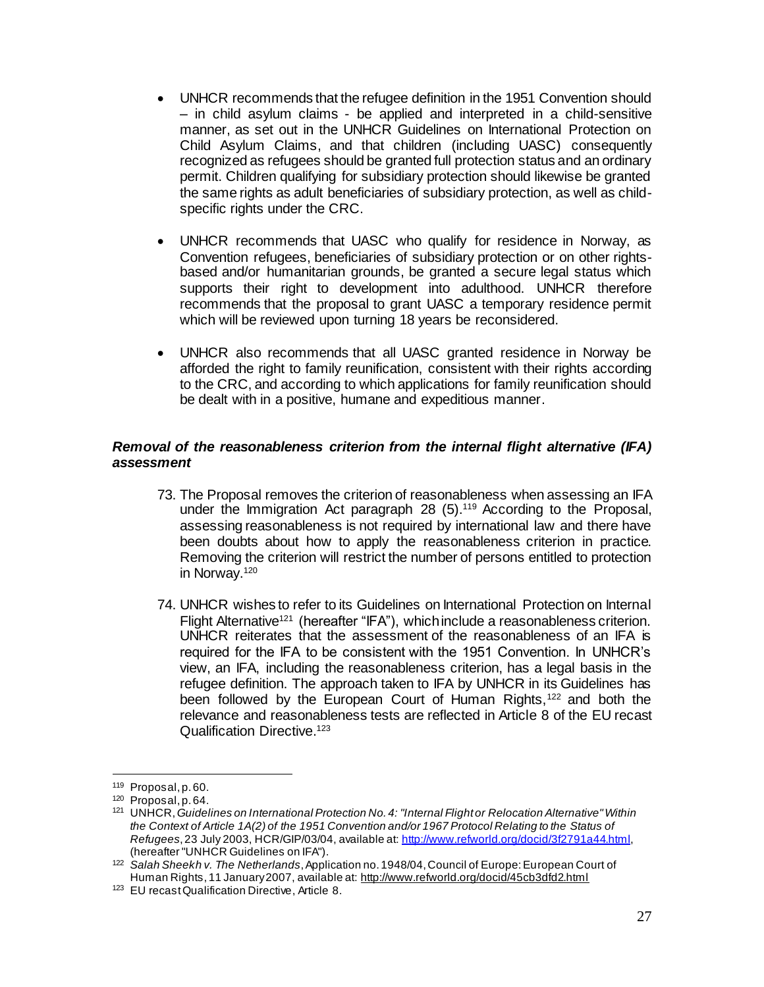- UNHCR recommends that the refugee definition in the 1951 Convention should – in child asylum claims - be applied and interpreted in a child-sensitive manner, as set out in the UNHCR Guidelines on International Protection on Child Asylum Claims, and that children (including UASC) consequently recognized as refugees should be granted full protection status and an ordinary permit. Children qualifying for subsidiary protection should likewise be granted the same rights as adult beneficiaries of subsidiary protection, as well as childspecific rights under the CRC.
- UNHCR recommends that UASC who qualify for residence in Norway, as Convention refugees, beneficiaries of subsidiary protection or on other rightsbased and/or humanitarian grounds, be granted a secure legal status which supports their right to development into adulthood. UNHCR therefore recommends that the proposal to grant UASC a temporary residence permit which will be reviewed upon turning 18 years be reconsidered.
- UNHCR also recommends that all UASC granted residence in Norway be afforded the right to family reunification, consistent with their rights according to the CRC, and according to which applications for family reunification should be dealt with in a positive, humane and expeditious manner.

## *Removal of the reasonableness criterion from the internal flight alternative (IFA) assessment*

- 73. The Proposal removes the criterion of reasonableness when assessing an IFA under the Immigration Act paragraph 28 (5).<sup>119</sup> According to the Proposal, assessing reasonableness is not required by international law and there have been doubts about how to apply the reasonableness criterion in practice. Removing the criterion will restrict the number of persons entitled to protection in Norway.<sup>120</sup>
- 74. UNHCR wishes to refer to its Guidelines on International Protection on Internal Flight Alternative<sup>121</sup> (hereafter "IFA"), which include a reasonableness criterion. UNHCR reiterates that the assessment of the reasonableness of an IFA is required for the IFA to be consistent with the 1951 Convention. In UNHCR's view, an IFA, including the reasonableness criterion, has a legal basis in the refugee definition. The approach taken to IFA by UNHCR in its Guidelines has been followed by the European Court of Human Rights,<sup>122</sup> and both the relevance and reasonableness tests are reflected in Article 8 of the EU recast Qualification Directive. 123

<sup>119</sup> Proposal, p. 60.

<sup>120</sup> Proposal, p. 64.

<sup>121</sup> UNHCR, *Guidelines on International Protection No. 4: "Internal Flight or Relocation Alternative" Within the Context of Article 1A(2) of the 1951 Convention and/or 1967 Protocol Relating to the Status of Refugees*, 23 July 2003, HCR/GIP/03/04, available at:<http://www.refworld.org/docid/3f2791a44.html>, (hereafter "UNHCR Guidelines on IFA").

<sup>122</sup> *Salah Sheekh v. The Netherlands*, Application no. 1948/04, Council of Europe: European Court of Human Rights, 11 January 2007, available at:<http://www.refworld.org/docid/45cb3dfd2.html>

<sup>123</sup> EU recast Qualification Directive, Article 8.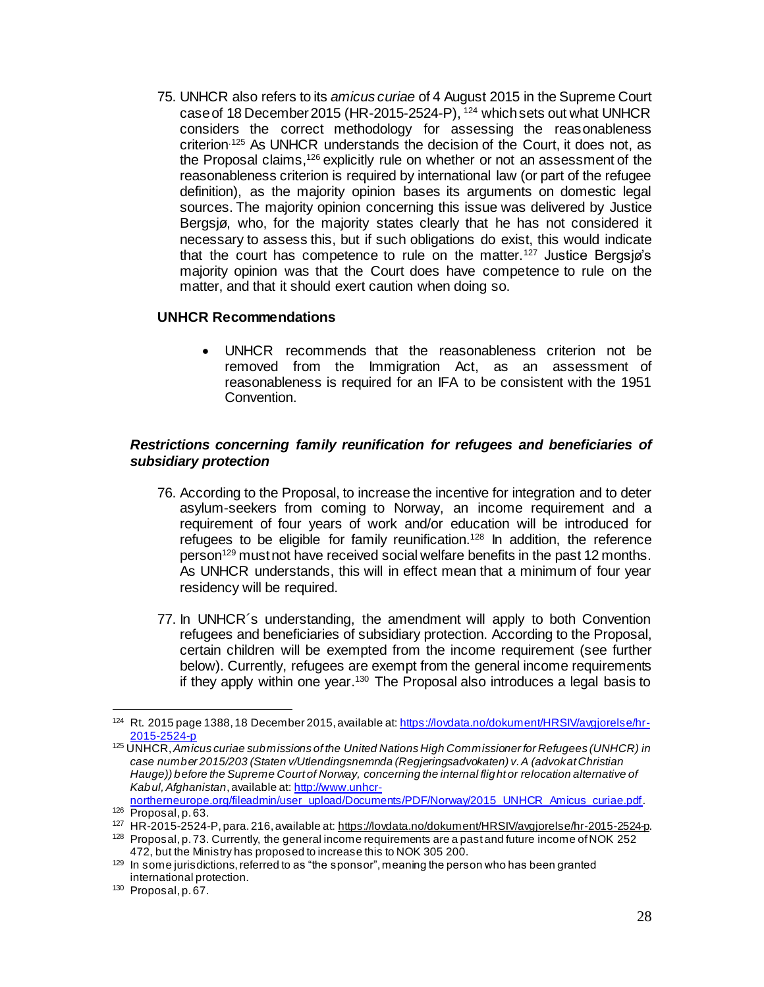75. UNHCR also refers to its *amicus curiae* of 4 August 2015 in the Supreme Court case of 18 December 2015 (HR-2015-2524-P), <sup>124</sup> which sets out what UNHCR considers the correct methodology for assessing the reasonableness criterion.125 As UNHCR understands the decision of the Court, it does not, as the Proposal claims,<sup>126</sup> explicitly rule on whether or not an assessment of the reasonableness criterion is required by international law (or part of the refugee definition), as the majority opinion bases its arguments on domestic legal sources. The majority opinion concerning this issue was delivered by Justice Bergsjø, who, for the majority states clearly that he has not considered it necessary to assess this, but if such obligations do exist, this would indicate that the court has competence to rule on the matter.<sup>127</sup> Justice Bergsjø's majority opinion was that the Court does have competence to rule on the matter, and that it should exert caution when doing so.

#### **UNHCR Recommendations**

 UNHCR recommends that the reasonableness criterion not be removed from the Immigration Act, as an assessment of reasonableness is required for an IFA to be consistent with the 1951 Convention.

## *Restrictions concerning family reunification for refugees and beneficiaries of subsidiary protection*

- 76. According to the Proposal, to increase the incentive for integration and to deter asylum-seekers from coming to Norway, an income requirement and a requirement of four years of work and/or education will be introduced for refugees to be eligible for family reunification.<sup>128</sup> In addition, the reference person<sup>129</sup> must not have received social welfare benefits in the past 12 months. As UNHCR understands, this will in effect mean that a minimum of four year residency will be required.
- 77. In UNHCR´s understanding, the amendment will apply to both Convention refugees and beneficiaries of subsidiary protection. According to the Proposal, certain children will be exempted from the income requirement (see further below). Currently, refugees are exempt from the general income requirements if they apply within one year.<sup>130</sup> The Proposal also introduces a legal basis to

<sup>&</sup>lt;sup>124</sup> Rt. 2015 page 1388, 18 December 2015, available at[: https://lovdata.no/dokument/HRSIV/avgjorelse/hr-](https://lovdata.no/dokument/HRSIV/avgjorelse/hr-2015-2524-p)[2015-2524-p](https://lovdata.no/dokument/HRSIV/avgjorelse/hr-2015-2524-p)

<sup>125</sup> UNHCR, *Amicus curiae submissions of the United Nations High Commissioner for Refugees (UNHCR) in case number 2015/203 (Staten v/Utlendingsnemnda (Regjeringsadvokaten) v. A (advokat Christian Hauge)) before the Supreme Court of Norway, concerning the internal flight or relocation alternative of Kabul, Afghanistan*,available at[: http://www.unhcr-](http://www.unhcr-northerneurope.org/fileadmin/user_upload/Documents/PDF/Norway/2015_UNHCR_Amicus_curiae.pdf)

[northerneurope.org/fileadmin/user\\_upload/Documents/PDF/Norway/2015\\_UNHCR\\_Amicus\\_curiae.pdf](http://www.unhcr-northerneurope.org/fileadmin/user_upload/Documents/PDF/Norway/2015_UNHCR_Amicus_curiae.pdf). <sup>126</sup> Proposal, p. 63.

<sup>127</sup> HR-2015-2524-P, para. 216, available at: [https://lovdata.no/dokument/HRSIV/avgjorelse/hr-2015-2524-p.](https://lovdata.no/dokument/HRSIV/avgjorelse/hr-2015-2524-p)

<sup>&</sup>lt;sup>128</sup> Proposal, p. 73. Currently, the general income requirements are a past and future income of NOK 252 472, but the Ministry has proposed to increase this to NOK 305 200.

<sup>129</sup> In some jurisdictions, referred to as "the sponsor", meaning the person who has been granted international protection.

<sup>130</sup> Proposal, p. 67.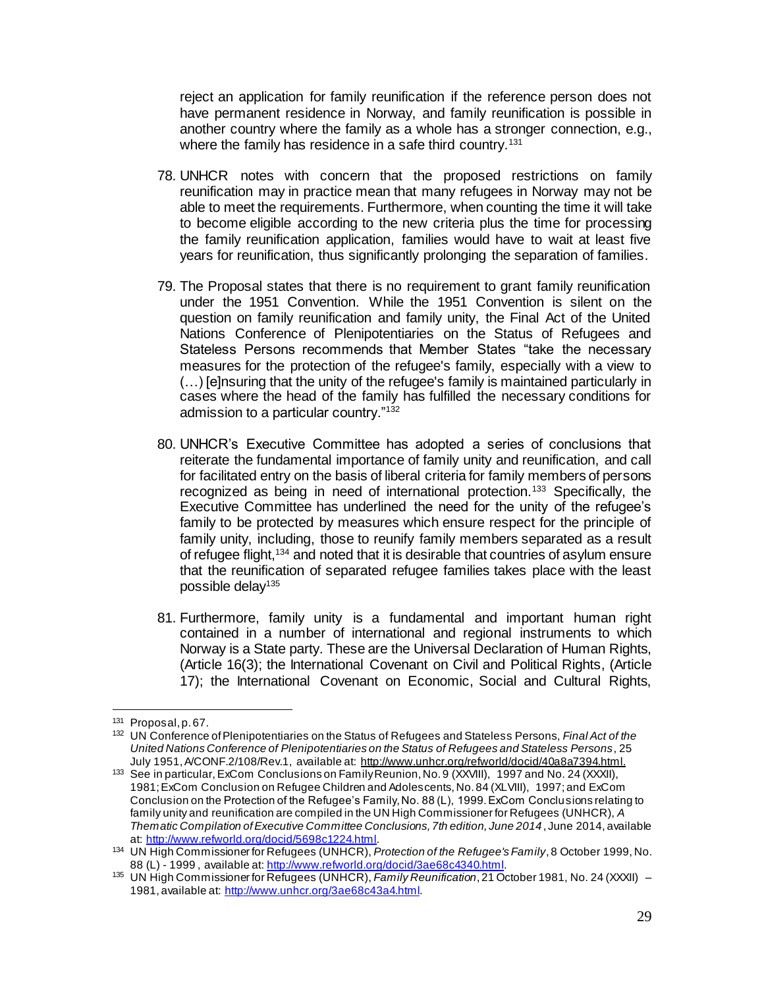reject an application for family reunification if the reference person does not have permanent residence in Norway, and family reunification is possible in another country where the family as a whole has a stronger connection, e.g., where the family has residence in a safe third country.<sup>131</sup>

- 78. UNHCR notes with concern that the proposed restrictions on family reunification may in practice mean that many refugees in Norway may not be able to meet the requirements. Furthermore, when counting the time it will take to become eligible according to the new criteria plus the time for processing the family reunification application, families would have to wait at least five years for reunification, thus significantly prolonging the separation of families.
- 79. The Proposal states that there is no requirement to grant family reunification under the 1951 Convention. While the 1951 Convention is silent on the question on family reunification and family unity, the Final Act of the United Nations Conference of Plenipotentiaries on the Status of Refugees and Stateless Persons recommends that Member States "take the necessary measures for the protection of the refugee's family, especially with a view to (…) [e]nsuring that the unity of the refugee's family is maintained particularly in cases where the head of the family has fulfilled the necessary conditions for admission to a particular country."<sup>132</sup>
- 80. UNHCR's Executive Committee has adopted a series of conclusions that reiterate the fundamental importance of family unity and reunification, and call for facilitated entry on the basis of liberal criteria for family members of persons recognized as being in need of international protection.<sup>133</sup> Specifically, the Executive Committee has underlined the need for the unity of the refugee's family to be protected by measures which ensure respect for the principle of family unity, including, those to reunify family members separated as a result of refugee flight,<sup>134</sup> and noted that it is desirable that countries of asylum ensure that the reunification of separated refugee families takes place with the least possible delay<sup>135</sup>
- 81. Furthermore, family unity is a fundamental and important human right contained in a number of international and regional instruments to which Norway is a State party. These are the Universal Declaration of Human Rights, (Article 16(3); the International Covenant on Civil and Political Rights, (Article 17); the International Covenant on Economic, Social and Cultural Rights,

<sup>131</sup> Proposal, p. 67.

<sup>132</sup> UN Conference of Plenipotentiaries on the Status of Refugees and Stateless Persons, *Final Act of the United Nations Conference of Plenipotentiaries on the Status of Refugees and Stateless Persons*, 25 July 1951, A/CONF.2/108/Rev.1, available at:<http://www.unhcr.org/refworld/docid/40a8a7394.html>.

<sup>133</sup> See in particular, ExCom Conclusions on Family Reunion, No. 9 (XXVIII), 1997 and No. 24 (XXXII), 1981; ExCom Conclusion on Refugee Children and Adolescents, No. 84 (XLVIII), 1997; and ExCom Conclusion on the Protection of the Refugee's Family, No. 88 (L), 1999. ExCom Conclusions relating to family unity and reunification are compiled in the UN High Commissioner for Refugees (UNHCR), *A Thematic Compilation of Executive Committee Conclusions, 7th edition, June 2014*, June 2014, available at[: http://www.refworld.org/docid/5698c1224.html.](http://www.refworld.org/docid/5698c1224.html)

<sup>134</sup> UN High Commissioner for Refugees (UNHCR), *Protection of the Refugee's Family*, 8 October 1999, No. 88 (L) - 1999, available at:<http://www.refworld.org/docid/3ae68c4340.html>.

<sup>135</sup> UN High Commissioner for Refugees (UNHCR), *Family Reunification*,21 October 1981, No. 24 (XXXII) – 1981, available at: <http://www.unhcr.org/3ae68c43a4.html>.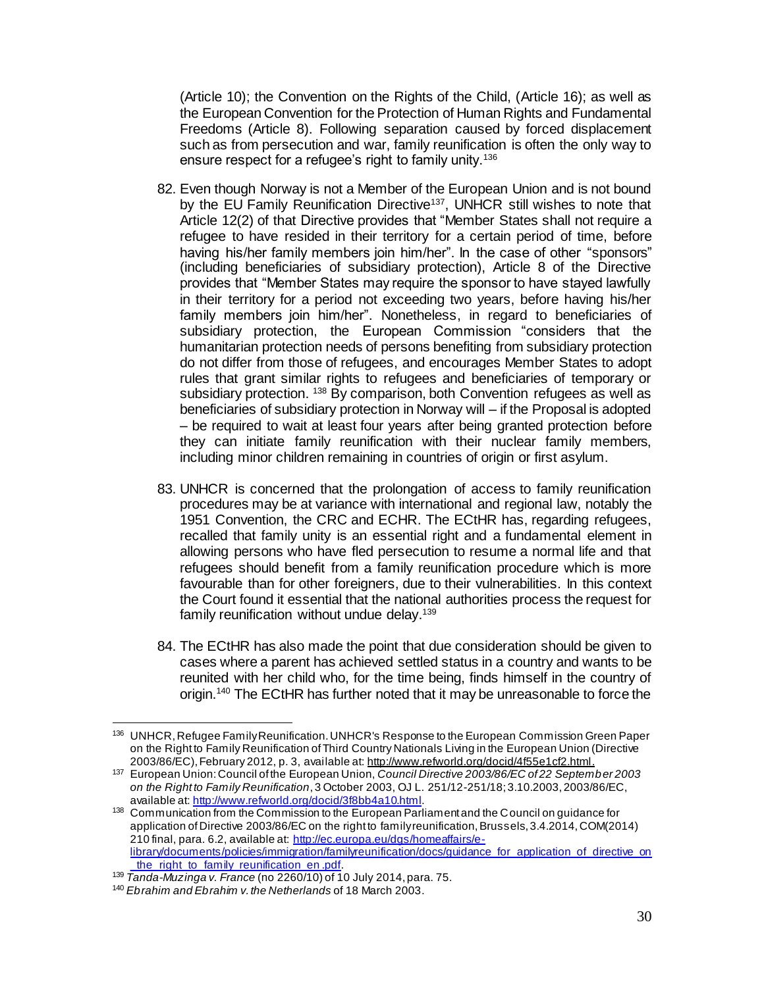(Article 10); the Convention on the Rights of the Child, (Article 16); as well as the European Convention for the Protection of Human Rights and Fundamental Freedoms (Article 8). Following separation caused by forced displacement such as from persecution and war, family reunification is often the only way to ensure respect for a refugee's right to family unity.<sup>136</sup>

- 82. Even though Norway is not a Member of the European Union and is not bound by the EU Family Reunification Directive<sup>137</sup>, UNHCR still wishes to note that Article 12(2) of that Directive provides that "Member States shall not require a refugee to have resided in their territory for a certain period of time, before having his/her family members join him/her". In the case of other "sponsors" (including beneficiaries of subsidiary protection), Article 8 of the Directive provides that "Member States may require the sponsor to have stayed lawfully in their territory for a period not exceeding two years, before having his/her family members join him/her". Nonetheless, in regard to beneficiaries of subsidiary protection, the European Commission "considers that the humanitarian protection needs of persons benefiting from subsidiary protection do not differ from those of refugees, and encourages Member States to adopt rules that grant similar rights to refugees and beneficiaries of temporary or subsidiary protection. <sup>138</sup> By comparison, both Convention refugees as well as beneficiaries of subsidiary protection in Norway will – if the Proposal is adopted – be required to wait at least four years after being granted protection before they can initiate family reunification with their nuclear family members, including minor children remaining in countries of origin or first asylum.
- 83. UNHCR is concerned that the prolongation of access to family reunification procedures may be at variance with international and regional law, notably the 1951 Convention, the CRC and ECHR. The ECtHR has, regarding refugees, recalled that family unity is an essential right and a fundamental element in allowing persons who have fled persecution to resume a normal life and that refugees should benefit from a family reunification procedure which is more favourable than for other foreigners, due to their vulnerabilities. In this context the Court found it essential that the national authorities process the request for family reunification without undue delay. 139
- 84. The ECtHR has also made the point that due consideration should be given to cases where a parent has achieved settled status in a country and wants to be reunited with her child who, for the time being, finds himself in the country of origin.<sup>140</sup> The ECtHR has further noted that it may be unreasonable to force the

 $\overline{a}$ <sup>136</sup> UNHCR, Refugee Family Reunification. UNHCR's Response to the European Commission Green Paper on the Right to Family Reunification of Third Country Nationals Living in the European Union (Directive 2003/86/EC), February 2012, p. 3, available at[: http://www.refworld.org/docid/4f55e1cf2.html](http://www.refworld.org/docid/4f55e1cf2.html).

<sup>137</sup> European Union: Council of the European Union, *Council Directive 2003/86/EC of 22 September 2003 on the Right to Family Reunification*, 3 October 2003, OJ L. 251/12-251/18; 3.10.2003, 2003/86/EC, available at[: http://www.refworld.org/docid/3f8bb4a10.html.](http://www.refworld.org/docid/3f8bb4a10.html)

<sup>138</sup> Communication from the Commission to the European Parliament and the Council on guidance for application of Directive 2003/86/EC on the right to family reunification, Brussels, 3.4.2014, COM(2014) 210 final, para. 6.2, available at[: http://ec.europa.eu/dgs/homeaffairs/e](http://ec.europa.eu/dgs/homeaffairs/e-library/documents/policies/immigration/familyreunification/docs/guidance_for_application_of_directive_on_the_right_to_family_reunification_en%20.pdf)[library/documents/policies/immigration/familyreunification/docs/guidance\\_for\\_application\\_of\\_directive\\_on](http://ec.europa.eu/dgs/homeaffairs/e-library/documents/policies/immigration/familyreunification/docs/guidance_for_application_of_directive_on_the_right_to_family_reunification_en%20.pdf) the right to family reunification en .pdf.

<sup>139</sup> *Tanda-Muzinga v. France* (no 2260/10) of 10 July 2014, para. 75.

<sup>140</sup> *Ebrahim and Ebrahim v. the Netherlands* of 18 March 2003.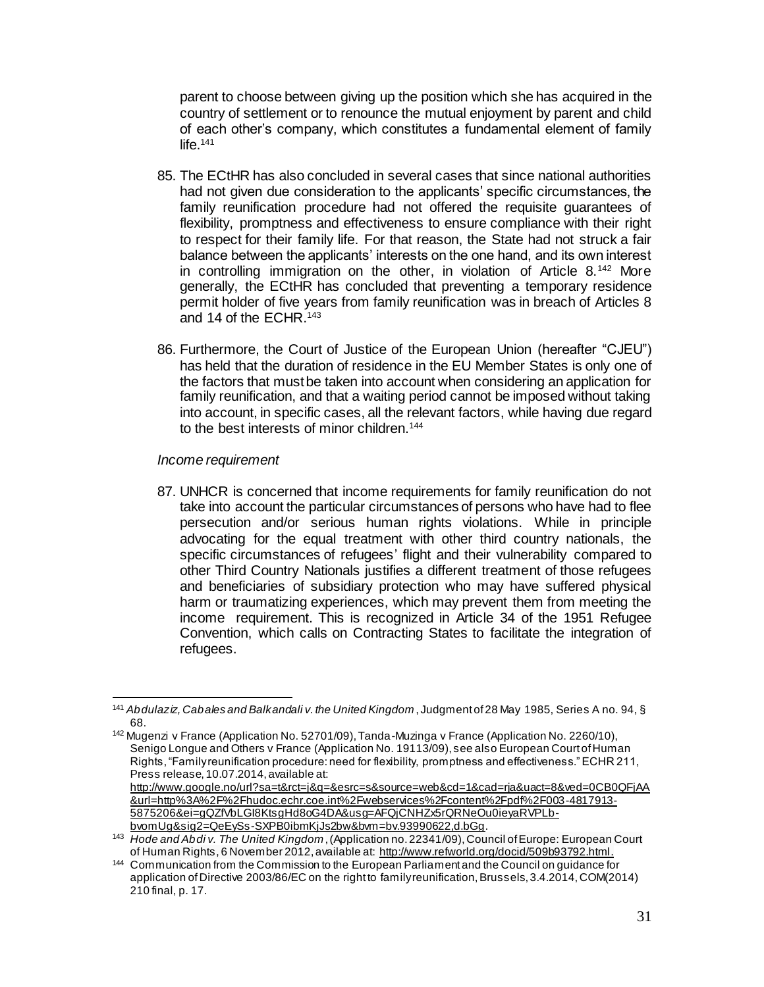parent to choose between giving up the position which she has acquired in the country of settlement or to renounce the mutual enjoyment by parent and child of each other's company, which constitutes a fundamental element of family life. 141

- 85. The ECtHR has also concluded in several cases that since national authorities had not given due consideration to the applicants' specific circumstances, the family reunification procedure had not offered the requisite guarantees of flexibility, promptness and effectiveness to ensure compliance with their right to respect for their family life. For that reason, the State had not struck a fair balance between the applicants' interests on the one hand, and its own interest in controlling immigration on the other, in violation of Article  $8^{142}$  More generally, the ECtHR has concluded that preventing a temporary residence permit holder of five years from family reunification was in breach of Articles 8 and 14 of the FCHR.<sup>143</sup>
- 86. Furthermore, the Court of Justice of the European Union (hereafter "CJEU") has held that the duration of residence in the EU Member States is only one of the factors that must be taken into account when considering an application for family reunification, and that a waiting period cannot be imposed without taking into account, in specific cases, all the relevant factors, while having due regard to the best interests of minor children.<sup>144</sup>

#### *Income requirement*

87. UNHCR is concerned that income requirements for family reunification do not take into account the particular circumstances of persons who have had to flee persecution and/or serious human rights violations. While in principle advocating for the equal treatment with other third country nationals, the specific circumstances of refugees' flight and their vulnerability compared to other Third Country Nationals justifies a different treatment of those refugees and beneficiaries of subsidiary protection who may have suffered physical harm or traumatizing experiences, which may prevent them from meeting the income requirement. This is recognized in Article 34 of the 1951 Refugee Convention, which calls on Contracting States to facilitate the integration of refugees.

 $\overline{a}$ <sup>141</sup> *Abdulaziz, Cabales and Balkandali v. the United Kingdom* , Judgment of 28 May 1985, Series A no. 94, § 68.

<sup>&</sup>lt;sup>142</sup> Mugenzi v France (Application No. 52701/09), Tanda-Muzinga v France (Application No. 2260/10), Senigo Longue and Others v France (Application No. 19113/09), see also European Court of Human Rights, "Family reunification procedure: need for flexibility, promptness and effectiveness." ECHR 211, Press release, 10.07.2014, available at: [http://www.google.no/url?sa=t&rct=j&q=&esrc=s&source=web&cd=1&cad=rja&uact=8&ved=0CB0QFjAA](http://www.google.no/url?sa=t&rct=j&q=&esrc=s&source=web&cd=1&cad=rja&uact=8&ved=0CB0QFjAA&url=http%3A%2F%2Fhudoc.echr.coe.int%2Fwebservices%2Fcontent%2Fpdf%2F003-4817913-5875206&ei=gQZfVbLGI8KtsgHd8oG4DA&usg=AFQjCNHZx5rQRNeOu0ieyaRVPLb-bvomUg&sig2=QeEySs-SXPB0ibmKjJs2bw&bvm=bv.93990622,d.bGg)

[<sup>&</sup>amp;url=http%3A%2F%2Fhudoc.echr.coe.int%2Fwebservices%2Fcontent%2Fpdf%2F003-4817913-](http://www.google.no/url?sa=t&rct=j&q=&esrc=s&source=web&cd=1&cad=rja&uact=8&ved=0CB0QFjAA&url=http%3A%2F%2Fhudoc.echr.coe.int%2Fwebservices%2Fcontent%2Fpdf%2F003-4817913-5875206&ei=gQZfVbLGI8KtsgHd8oG4DA&usg=AFQjCNHZx5rQRNeOu0ieyaRVPLb-bvomUg&sig2=QeEySs-SXPB0ibmKjJs2bw&bvm=bv.93990622,d.bGg) [5875206&ei=gQZfVbLGI8KtsgHd8oG4DA&usg=AFQjCNHZx5rQRNeOu0ieyaRVPLb](http://www.google.no/url?sa=t&rct=j&q=&esrc=s&source=web&cd=1&cad=rja&uact=8&ved=0CB0QFjAA&url=http%3A%2F%2Fhudoc.echr.coe.int%2Fwebservices%2Fcontent%2Fpdf%2F003-4817913-5875206&ei=gQZfVbLGI8KtsgHd8oG4DA&usg=AFQjCNHZx5rQRNeOu0ieyaRVPLb-bvomUg&sig2=QeEySs-SXPB0ibmKjJs2bw&bvm=bv.93990622,d.bGg)[bvomUg&sig2=QeEySs-SXPB0ibmKjJs2bw&bvm=bv.93990622,d.bGg](http://www.google.no/url?sa=t&rct=j&q=&esrc=s&source=web&cd=1&cad=rja&uact=8&ved=0CB0QFjAA&url=http%3A%2F%2Fhudoc.echr.coe.int%2Fwebservices%2Fcontent%2Fpdf%2F003-4817913-5875206&ei=gQZfVbLGI8KtsgHd8oG4DA&usg=AFQjCNHZx5rQRNeOu0ieyaRVPLb-bvomUg&sig2=QeEySs-SXPB0ibmKjJs2bw&bvm=bv.93990622,d.bGg).

<sup>143</sup> *Hode and Abdi v. The United Kingdom*,(Application no. 22341/09),Council of Europe: European Court of Human Rights, 6 November 2012, available at[: http://www.refworld.org/docid/509b93792.html](http://www.refworld.org/docid/509b93792.html).

<sup>144</sup> Communication from the Commission to the European Parliament and the Council on guidance for application of Directive 2003/86/EC on the right to family reunification, Brussels, 3.4.2014, COM(2014) 210 final, p. 17.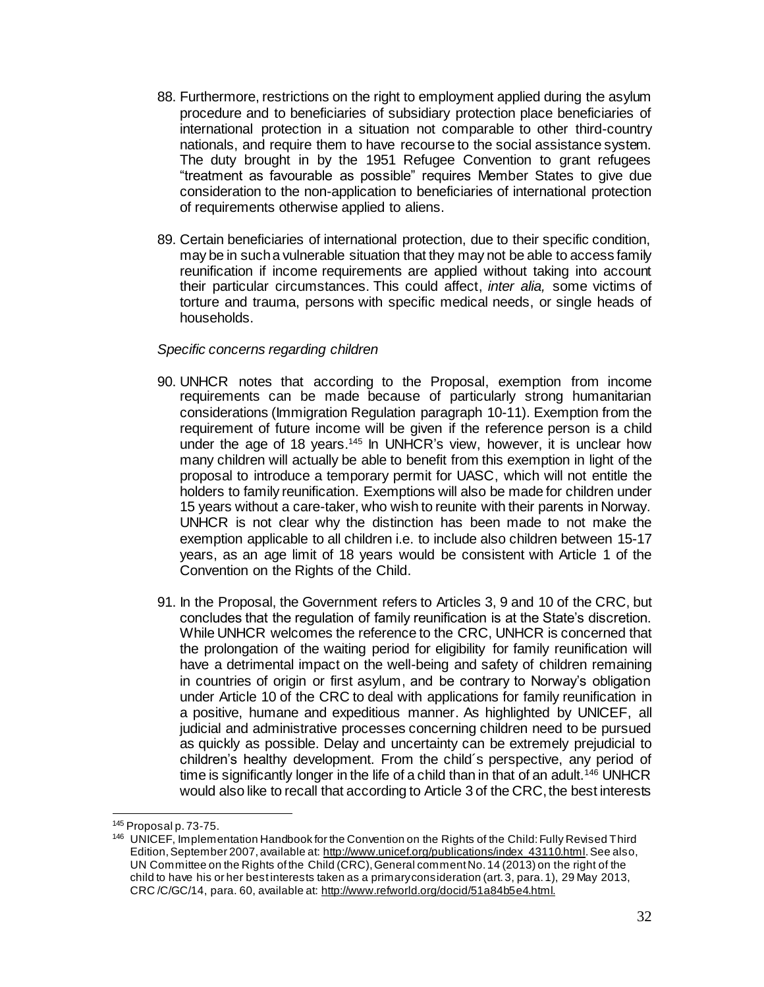- 88. Furthermore, restrictions on the right to employment applied during the asylum procedure and to beneficiaries of subsidiary protection place beneficiaries of international protection in a situation not comparable to other third-country nationals, and require them to have recourse to the social assistance system. The duty brought in by the 1951 Refugee Convention to grant refugees "treatment as favourable as possible" requires Member States to give due consideration to the non-application to beneficiaries of international protection of requirements otherwise applied to aliens.
- 89. Certain beneficiaries of international protection, due to their specific condition, may be in such a vulnerable situation that they may not be able to access family reunification if income requirements are applied without taking into account their particular circumstances. This could affect, *inter alia,* some victims of torture and trauma, persons with specific medical needs, or single heads of households.

#### *Specific concerns regarding children*

- 90. UNHCR notes that according to the Proposal, exemption from income requirements can be made because of particularly strong humanitarian considerations (Immigration Regulation paragraph 10-11). Exemption from the requirement of future income will be given if the reference person is a child under the age of 18 years.<sup>145</sup> In UNHCR's view, however, it is unclear how many children will actually be able to benefit from this exemption in light of the proposal to introduce a temporary permit for UASC, which will not entitle the holders to family reunification. Exemptions will also be made for children under 15 years without a care-taker, who wish to reunite with their parents in Norway. UNHCR is not clear why the distinction has been made to not make the exemption applicable to all children i.e. to include also children between 15-17 years, as an age limit of 18 years would be consistent with Article 1 of the Convention on the Rights of the Child.
- 91. In the Proposal, the Government refers to Articles 3, 9 and 10 of the CRC, but concludes that the regulation of family reunification is at the State's discretion. While UNHCR welcomes the reference to the CRC, UNHCR is concerned that the prolongation of the waiting period for eligibility for family reunification will have a detrimental impact on the well-being and safety of children remaining in countries of origin or first asylum, and be contrary to Norway's obligation under Article 10 of the CRC to deal with applications for family reunification in a positive, humane and expeditious manner. As highlighted by UNICEF, all judicial and administrative processes concerning children need to be pursued as quickly as possible. Delay and uncertainty can be extremely prejudicial to children's healthy development. From the child´s perspective, any period of time is significantly longer in the life of a child than in that of an adult.<sup>146</sup> UNHCR would also like to recall that according to Article 3 of the CRC, the best interests

j

<sup>145</sup> Proposal p. 73-75.

<sup>146</sup> UNICEF, Implementation Handbook for the Convention on the Rights of the Child: Fully Revised Third Edition, September 2007, available at: [http://www.unicef.org/publications/index\\_43110.html](http://www.unicef.org/publications/index_43110.html). See also, UN Committee on the Rights of the Child (CRC), General comment No. 14 (2013) on the right of the child to have his or her best interests taken as a primary consideration (art. 3, para. 1), 29 May 2013, CRC /C/GC/14, para. 60, available at[: http://www.refworld.org/docid/51a84b5e4.html](http://www.refworld.org/docid/51a84b5e4.html).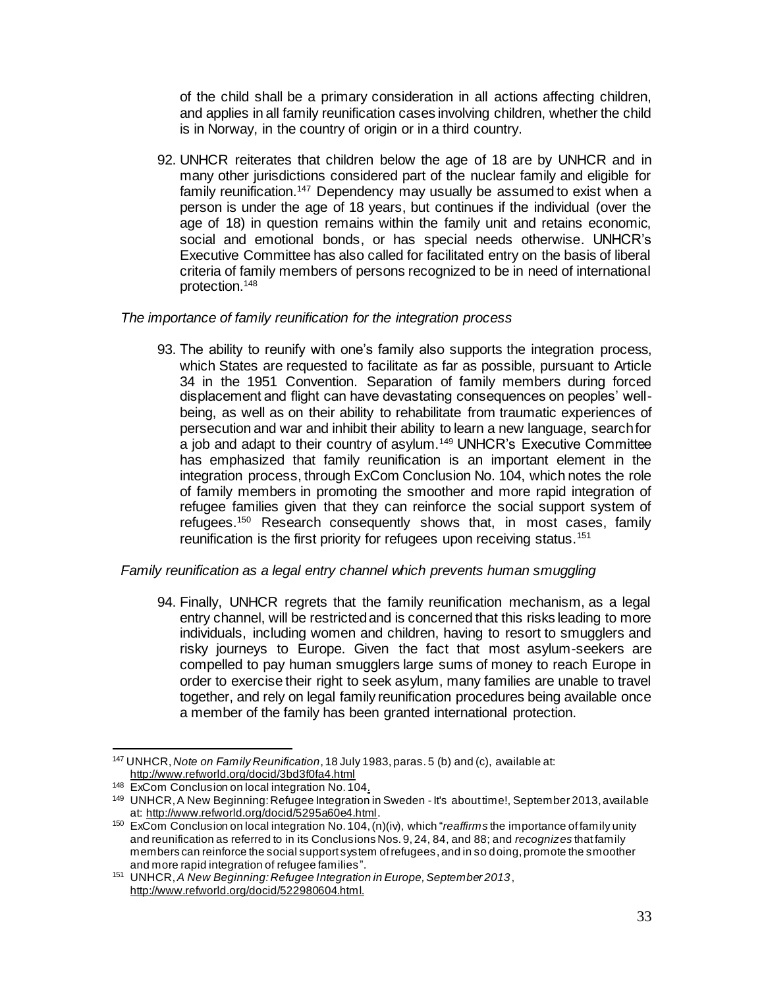of the child shall be a primary consideration in all actions affecting children, and applies in all family reunification cases involving children, whether the child is in Norway, in the country of origin or in a third country.

92. UNHCR reiterates that children below the age of 18 are by UNHCR and in many other jurisdictions considered part of the nuclear family and eligible for family reunification.<sup>147</sup> Dependency may usually be assumed to exist when a person is under the age of 18 years, but continues if the individual (over the age of 18) in question remains within the family unit and retains economic, social and emotional bonds, or has special needs otherwise. UNHCR's Executive Committee has also called for facilitated entry on the basis of liberal criteria of family members of persons recognized to be in need of international protection.<sup>148</sup>

#### *The importance of family reunification for the integration process*

93. The ability to reunify with one's family also supports the integration process, which States are requested to facilitate as far as possible, pursuant to Article 34 in the 1951 Convention. Separation of family members during forced displacement and flight can have devastating consequences on peoples' wellbeing, as well as on their ability to rehabilitate from traumatic experiences of persecution and war and inhibit their ability to learn a new language, search for a job and adapt to their country of asylum.<sup>149</sup> UNHCR's Executive Committee has emphasized that family reunification is an important element in the integration process, through ExCom Conclusion No. 104, which notes the role of family members in promoting the smoother and more rapid integration of refugee families given that they can reinforce the social support system of refugees.<sup>150</sup> Research consequently shows that, in most cases, family reunification is the first priority for refugees upon receiving status.<sup>151</sup>

## *Family reunification as a legal entry channel which prevents human smuggling*

94. Finally, UNHCR regrets that the family reunification mechanism, as a legal entry channel, will be restricted and is concerned that this risks leading to more individuals, including women and children, having to resort to smugglers and risky journeys to Europe. Given the fact that most asylum-seekers are compelled to pay human smugglers large sums of money to reach Europe in order to exercise their right to seek asylum, many families are unable to travel together, and rely on legal family reunification procedures being available once a member of the family has been granted international protection.

l <sup>147</sup> UNHCR, *Note on Family Reunification*, 18 July 1983, paras. 5 (b) and (c), available at: <http://www.refworld.org/docid/3bd3f0fa4.html>

<sup>&</sup>lt;sup>148</sup> ExCom Conclusion on local integration No. 104.

<sup>149</sup> UNHCR, A New Beginning: Refugee Integration in Sweden - It's about time!, September 2013, available at[: http://www.refworld.org/docid/5295a60e4.html](http://www.refworld.org/docid/5295a60e4.html).

<sup>150</sup> ExCom Conclusion on local integration No. 104, (n)(iv), which "*reaffirms* the importance of family unity and reunification as referred to in its Conclusions Nos. 9, 24, 84, and 88; and *recognizes* that family members can reinforce the social support system of refugees, and in so doing, promote the smoother and more rapid integration of refugee families".

<sup>151</sup> UNHCR, *A New Beginning: Refugee Integration in Europe, September 2013*, [http://www.refworld.org/docid/522980604.html.](http://www.refworld.org/docid/522980604.html)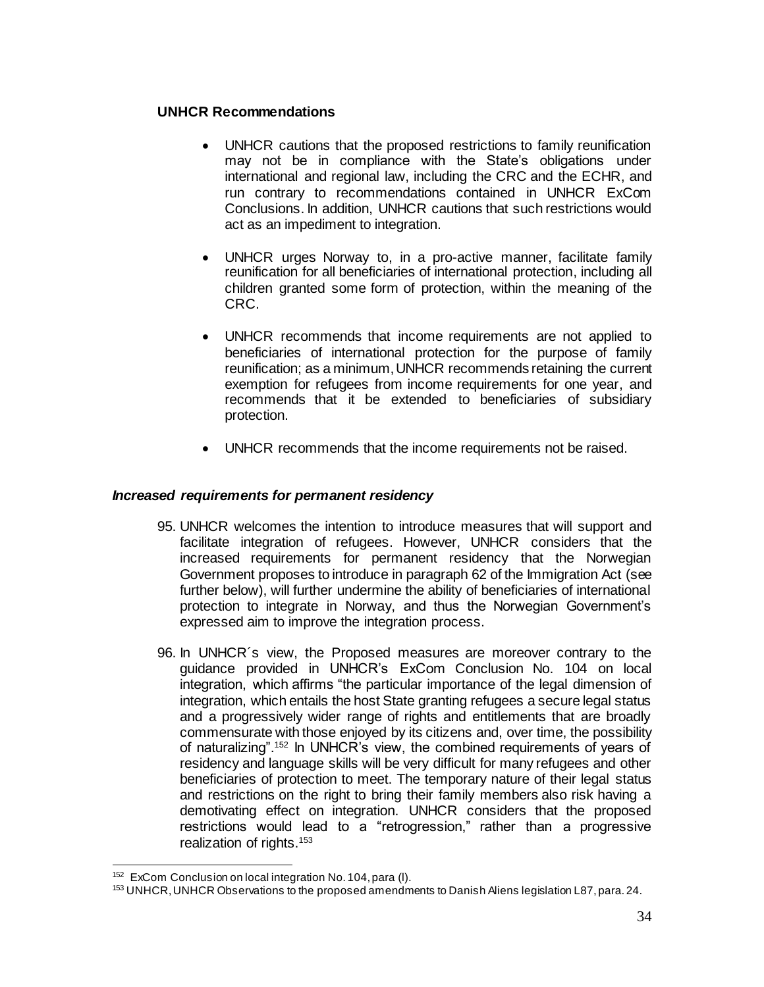## **UNHCR Recommendations**

- UNHCR cautions that the proposed restrictions to family reunification may not be in compliance with the State's obligations under international and regional law, including the CRC and the ECHR, and run contrary to recommendations contained in UNHCR ExCom Conclusions. In addition, UNHCR cautions that such restrictions would act as an impediment to integration.
- UNHCR urges Norway to, in a pro-active manner, facilitate family reunification for all beneficiaries of international protection, including all children granted some form of protection, within the meaning of the CRC.
- UNHCR recommends that income requirements are not applied to beneficiaries of international protection for the purpose of family reunification; as a minimum, UNHCR recommends retaining the current exemption for refugees from income requirements for one year, and recommends that it be extended to beneficiaries of subsidiary protection.
- UNHCR recommends that the income requirements not be raised.

## *Increased requirements for permanent residency*

- 95. UNHCR welcomes the intention to introduce measures that will support and facilitate integration of refugees. However, UNHCR considers that the increased requirements for permanent residency that the Norwegian Government proposes to introduce in paragraph 62 of the Immigration Act (see further below), will further undermine the ability of beneficiaries of international protection to integrate in Norway, and thus the Norwegian Government's expressed aim to improve the integration process.
- 96. In UNHCR´s view, the Proposed measures are moreover contrary to the guidance provided in UNHCR's ExCom Conclusion No. 104 on local integration, which affirms "the particular importance of the legal dimension of integration, which entails the host State granting refugees a secure legal status and a progressively wider range of rights and entitlements that are broadly commensurate with those enjoyed by its citizens and, over time, the possibility of naturalizing".<sup>152</sup> In UNHCR's view, the combined requirements of years of residency and language skills will be very difficult for many refugees and other beneficiaries of protection to meet. The temporary nature of their legal status and restrictions on the right to bring their family members also risk having a demotivating effect on integration. UNHCR considers that the proposed restrictions would lead to a "retrogression," rather than a progressive realization of rights.<sup>153</sup>

l <sup>152</sup> ExCom Conclusion on local integration No. 104, para (I).

<sup>153</sup> UNHCR, UNHCR Observations to the proposed amendments to Danish Aliens legislation L87, para. 24.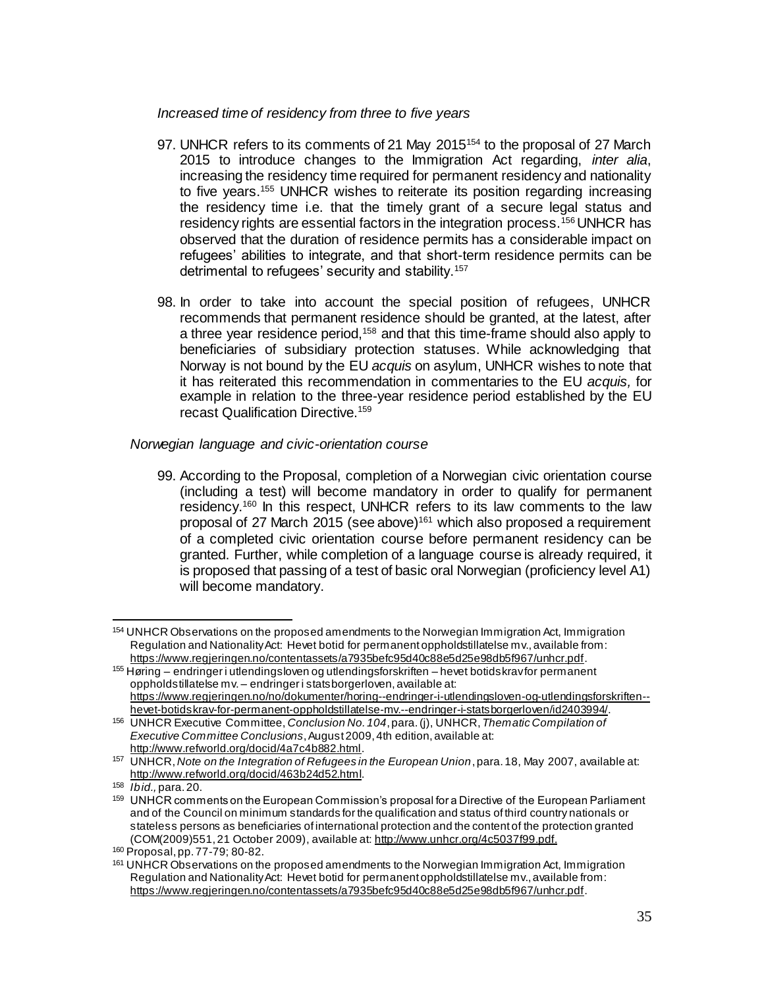#### *Increased time of residency from three to five years*

- 97. UNHCR refers to its comments of 21 May 2015<sup>154</sup> to the proposal of 27 March 2015 to introduce changes to the Immigration Act regarding, *inter alia*, increasing the residency time required for permanent residency and nationality to five years.<sup>155</sup> UNHCR wishes to reiterate its position regarding increasing the residency time i.e. that the timely grant of a secure legal status and residency rights are essential factors in the integration process.<sup>156</sup> UNHCR has observed that the duration of residence permits has a considerable impact on refugees' abilities to integrate, and that short-term residence permits can be detrimental to refugees' security and stability.<sup>157</sup>
- 98. In order to take into account the special position of refugees, UNHCR recommends that permanent residence should be granted, at the latest, after a three year residence period,<sup>158</sup> and that this time-frame should also apply to beneficiaries of subsidiary protection statuses. While acknowledging that Norway is not bound by the EU *acquis* on asylum, UNHCR wishes to note that it has reiterated this recommendation in commentaries to the EU *acquis,* for example in relation to the three-year residence period established by the EU recast Qualification Directive.<sup>159</sup>

#### *Norwegian language and civic-orientation course*

99. According to the Proposal, completion of a Norwegian civic orientation course (including a test) will become mandatory in order to qualify for permanent residency.<sup>160</sup> In this respect, UNHCR refers to its law comments to the law proposal of 27 March 2015 (see above)<sup>161</sup> which also proposed a requirement of a completed civic orientation course before permanent residency can be granted. Further, while completion of a language course is already required, it is proposed that passing of a test of basic oral Norwegian (proficiency level A1) will become mandatory.

 $\overline{a}$ <sup>154</sup> UNHCR Observations on the proposed amendments to the Norwegian Immigration Act, Immigration Regulation and Nationality Act: Hevet botid for permanent oppholdstillatelse mv., available from: <https://www.regjeringen.no/contentassets/a7935befc95d40c88e5d25e98db5f967/unhcr.pdf>.

<sup>155</sup> Høring – endringer i utlendingsloven og utlendingsforskriften – hevet botidskrav for permanent oppholdstillatelse mv. – endringer i statsborgerloven, available at: [https://www.regjeringen.no/no/dokumenter/horing--endringer-i-utlendingsloven-og-utlendingsforskriften-](https://www.regjeringen.no/no/dokumenter/horing--endringer-i-utlendingsloven-og-utlendingsforskriften--hevet-botidskrav-for-permanent-oppholdstillatelse-mv.--endringer-i-statsborgerloven/id2403994/) [hevet-botidskrav-for-permanent-oppholdstillatelse-mv.--endringer-i-statsborgerloven/id2403994/](https://www.regjeringen.no/no/dokumenter/horing--endringer-i-utlendingsloven-og-utlendingsforskriften--hevet-botidskrav-for-permanent-oppholdstillatelse-mv.--endringer-i-statsborgerloven/id2403994/).

<sup>156</sup> UNHCR Executive Committee, *Conclusion No. 104*, para. (j), UNHCR, *Thematic Compilation of Executive Committee Conclusions*, August 2009, 4th edition, available at: <http://www.refworld.org/docid/4a7c4b882.html>.

<sup>157</sup> UNHCR, *Note on the Integration of Refugees in the European Union*, para. 18, May 2007, available at: [http://www.refworld.org/docid/463b24d52.html.](http://www.refworld.org/docid/463b24d52.html)

<sup>158</sup> *Ibid.,* para. 20.

<sup>159</sup> UNHCR comments on the European Commission's proposal for a Directive of the European Parliament and of the Council on minimum standards for the qualification and status of third country nationals or stateless persons as beneficiaries of international protection and the content of the protection granted (COM(2009)551, 21 October 2009), available at[: http://www.unhcr.org/4c5037f99.pdf](http://www.unhcr.org/4c5037f99.pdf).

<sup>160</sup> Proposal, pp. 77-79; 80-82.

<sup>&</sup>lt;sup>161</sup> UNHCR Observations on the proposed amendments to the Norwegian Immigration Act, Immigration Regulation and Nationality Act: Hevet botid for permanent oppholdstillatelse mv., available from: <https://www.regjeringen.no/contentassets/a7935befc95d40c88e5d25e98db5f967/unhcr.pdf>.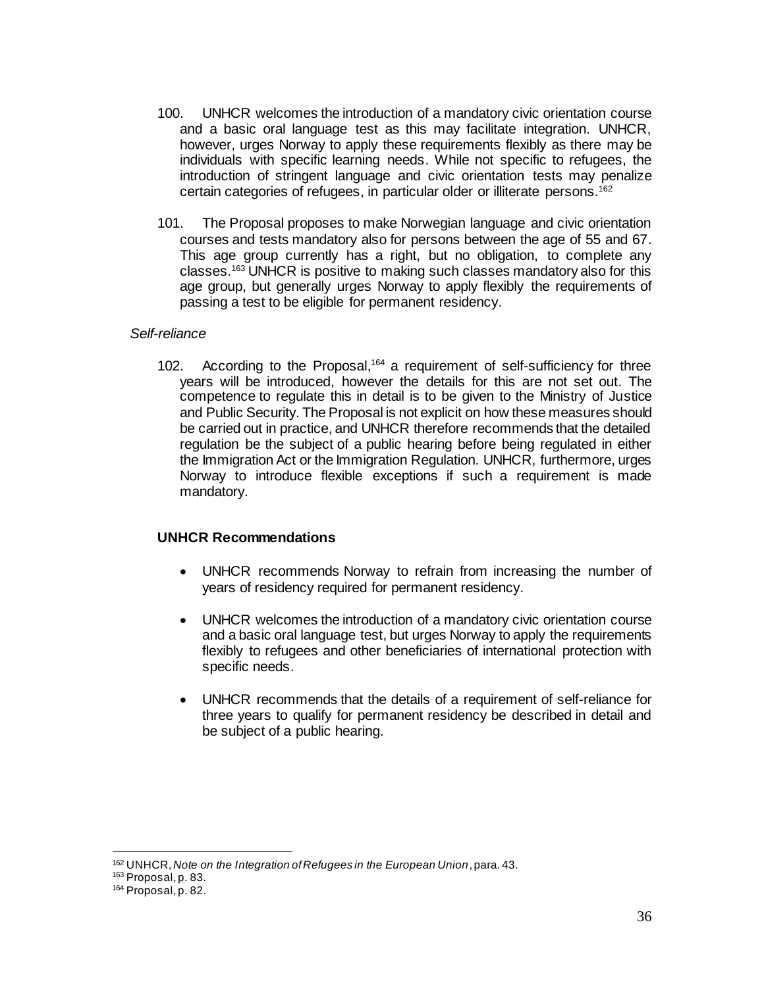- 100. UNHCR welcomes the introduction of a mandatory civic orientation course and a basic oral language test as this may facilitate integration. UNHCR, however, urges Norway to apply these requirements flexibly as there may be individuals with specific learning needs. While not specific to refugees, the introduction of stringent language and civic orientation tests may penalize certain categories of refugees, in particular older or illiterate persons.<sup>162</sup>
- 101. The Proposal proposes to make Norwegian language and civic orientation courses and tests mandatory also for persons between the age of 55 and 67. This age group currently has a right, but no obligation, to complete any classes.<sup>163</sup> UNHCR is positive to making such classes mandatory also for this age group, but generally urges Norway to apply flexibly the requirements of passing a test to be eligible for permanent residency.

#### *Self-reliance*

102. According to the Proposal, <sup>164</sup> a requirement of self-sufficiency for three years will be introduced, however the details for this are not set out. The competence to regulate this in detail is to be given to the Ministry of Justice and Public Security. The Proposal is not explicit on how these measures should be carried out in practice, and UNHCR therefore recommends that the detailed regulation be the subject of a public hearing before being regulated in either the Immigration Act or the Immigration Regulation. UNHCR, furthermore, urges Norway to introduce flexible exceptions if such a requirement is made mandatory.

#### **UNHCR Recommendations**

- UNHCR recommends Norway to refrain from increasing the number of years of residency required for permanent residency.
- UNHCR welcomes the introduction of a mandatory civic orientation course and a basic oral language test, but urges Norway to apply the requirements flexibly to refugees and other beneficiaries of international protection with specific needs.
- UNHCR recommends that the details of a requirement of self-reliance for three years to qualify for permanent residency be described in detail and be subject of a public hearing.

<sup>162</sup> UNHCR, *Note on the Integration of Refugees in the European Union*, para. 43.

<sup>163</sup> Proposal, p. 83.

<sup>164</sup> Proposal, p. 82.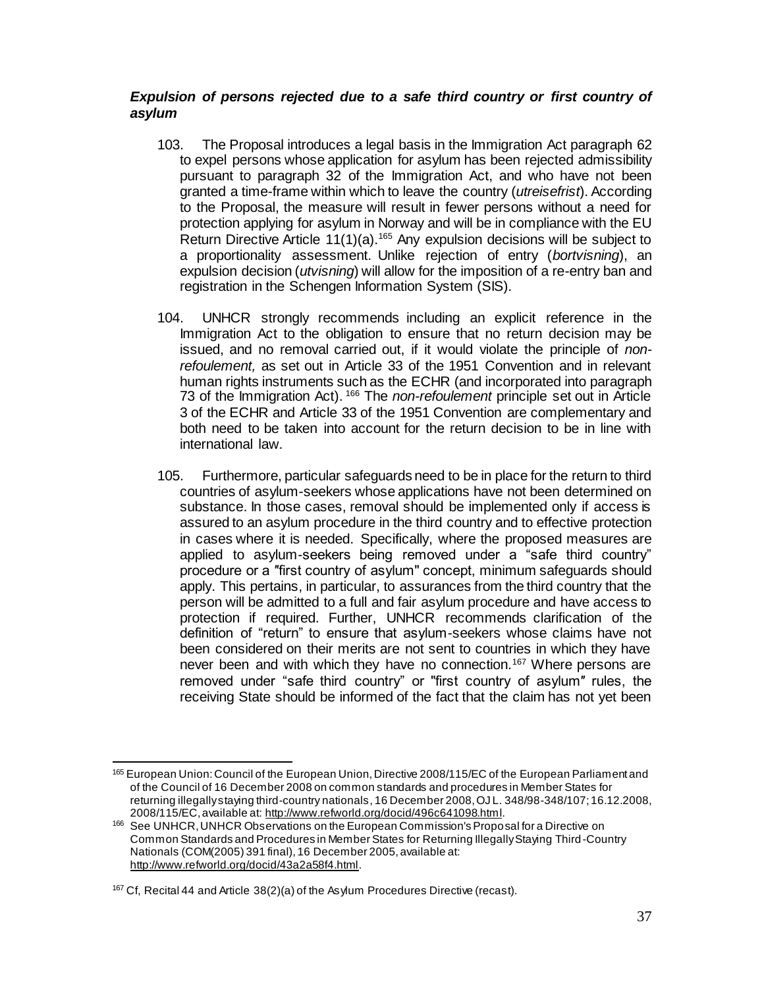## *Expulsion of persons rejected due to a safe third country or first country of asylum*

- 103. The Proposal introduces a legal basis in the Immigration Act paragraph 62 to expel persons whose application for asylum has been rejected admissibility pursuant to paragraph 32 of the Immigration Act, and who have not been granted a time-frame within which to leave the country (*utreisefrist*). According to the Proposal, the measure will result in fewer persons without a need for protection applying for asylum in Norway and will be in compliance with the EU Return Directive Article 11(1)(a).<sup>165</sup> Any expulsion decisions will be subject to a proportionality assessment. Unlike rejection of entry (*bortvisning*), an expulsion decision (*utvisning*) will allow for the imposition of a re-entry ban and registration in the Schengen Information System (SIS).
- 104. UNHCR strongly recommends including an explicit reference in the Immigration Act to the obligation to ensure that no return decision may be issued, and no removal carried out, if it would violate the principle of *nonrefoulement,* as set out in Article 33 of the 1951 Convention and in relevant human rights instruments such as the ECHR (and incorporated into paragraph 73 of the Immigration Act). <sup>166</sup> The *non-refoulement* principle set out in Article 3 of the ECHR and Article 33 of the 1951 Convention are complementary and both need to be taken into account for the return decision to be in line with international law.
- 105. Furthermore, particular safeguards need to be in place for the return to third countries of asylum-seekers whose applications have not been determined on substance. In those cases, removal should be implemented only if access is assured to an asylum procedure in the third country and to effective protection in cases where it is needed. Specifically, where the proposed measures are applied to asylum-seekers being removed under a "safe third country" procedure or a ″first country of asylum" concept, minimum safeguards should apply. This pertains, in particular, to assurances from the third country that the person will be admitted to a full and fair asylum procedure and have access to protection if required. Further, UNHCR recommends clarification of the definition of "return" to ensure that asylum-seekers whose claims have not been considered on their merits are not sent to countries in which they have never been and with which they have no connection.<sup>167</sup> Where persons are removed under "safe third country" or "first country of asylum″ rules, the receiving State should be informed of the fact that the claim has not yet been

l 165 European Union: Council of the European Union, Directive 2008/115/EC of the European Parliament and of the Council of 16 December 2008 on common standards and procedures in Member States for returning illegally staying third-country nationals, 16 December 2008, OJ L. 348/98-348/107; 16.12.2008, 2008/115/EC, available at[: http://www.refworld.org/docid/496c641098.html](http://www.refworld.org/docid/496c641098.html).

<sup>166</sup> See UNHCR, UNHCR Observations on the European Commission's Proposal for a Directive on Common Standards and Procedures in Member States for Returning Illegally Staying Third-Country Nationals (COM(2005) 391 final), 16 December 2005, available at: <http://www.refworld.org/docid/43a2a58f4.html>.

<sup>&</sup>lt;sup>167</sup> Cf, Recital 44 and Article 38(2)(a) of the Asylum Procedures Directive (recast).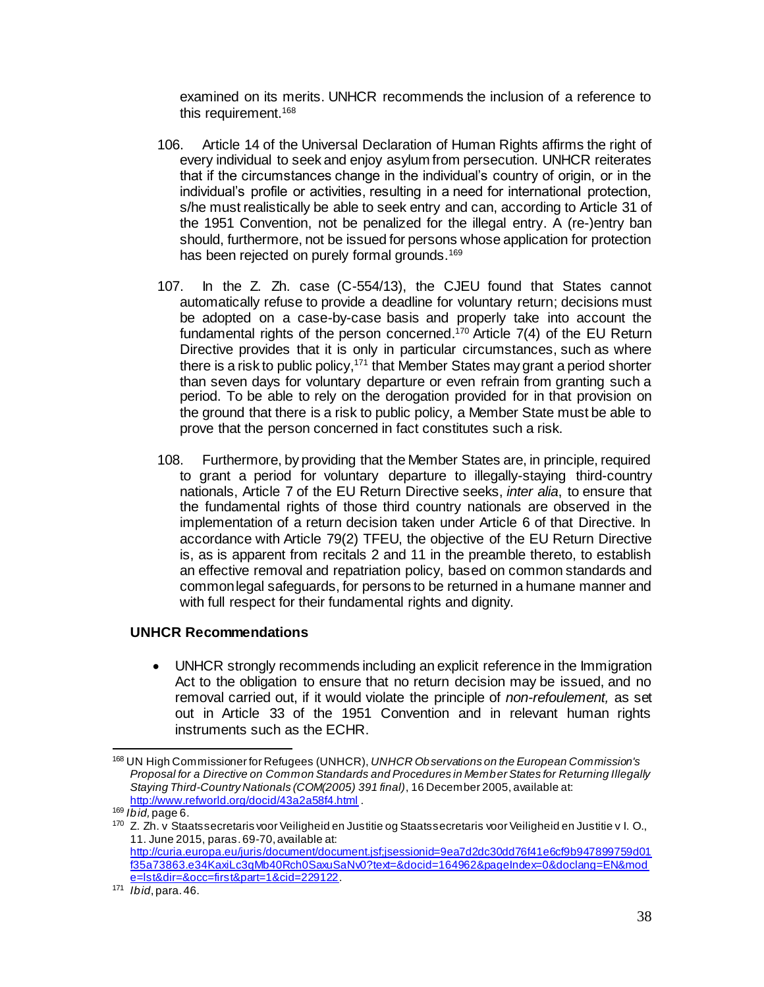examined on its merits. UNHCR recommends the inclusion of a reference to this requirement.<sup>168</sup>

- 106. Article 14 of the Universal Declaration of Human Rights affirms the right of every individual to seek and enjoy asylum from persecution. UNHCR reiterates that if the circumstances change in the individual's country of origin, or in the individual's profile or activities, resulting in a need for international protection, s/he must realistically be able to seek entry and can, according to Article 31 of the 1951 Convention, not be penalized for the illegal entry. A (re-)entry ban should, furthermore, not be issued for persons whose application for protection has been rejected on purely formal grounds.<sup>169</sup>
- 107. In the Z. Zh. case (C-554/13), the CJEU found that States cannot automatically refuse to provide a deadline for voluntary return; decisions must be adopted on a case-by-case basis and properly take into account the fundamental rights of the person concerned. <sup>170</sup> Article 7(4) of the EU Return Directive provides that it is only in particular circumstances, such as where there is a risk to public policy, <sup>171</sup> that Member States may grant a period shorter than seven days for voluntary departure or even refrain from granting such a period. To be able to rely on the derogation provided for in that provision on the ground that there is a risk to public policy, a Member State must be able to prove that the person concerned in fact constitutes such a risk.
- 108. Furthermore, by providing that the Member States are, in principle, required to grant a period for voluntary departure to illegally-staying third-country nationals, Article 7 of the EU Return Directive seeks, *inter alia*, to ensure that the fundamental rights of those third country nationals are observed in the implementation of a return decision taken under Article 6 of that Directive. In accordance with Article 79(2) TFEU, the objective of the EU Return Directive is, as is apparent from recitals 2 and 11 in the preamble thereto, to establish an effective removal and repatriation policy, based on common standards and common legal safeguards, for persons to be returned in a humane manner and with full respect for their fundamental rights and dignity.

## **UNHCR Recommendations**

 UNHCR strongly recommends including an explicit reference in the Immigration Act to the obligation to ensure that no return decision may be issued, and no removal carried out, if it would violate the principle of *non-refoulement,* as set out in Article 33 of the 1951 Convention and in relevant human rights instruments such as the ECHR.

l <sup>168</sup> UN High Commissioner for Refugees (UNHCR), *UNHCR Observations on the European Commission's Proposal for a Directive on Common Standards and Procedures in Member States for Returning Illegally Staying Third-Country Nationals (COM(2005) 391 final)*, 16 December 2005, available at: <http://www.refworld.org/docid/43a2a58f4.html> .

<sup>169</sup> *Ibid,* page 6.

<sup>170</sup> Z. Zh. v Staatssecretaris voor Veiligheid en Justitie og Staatssecretaris voor Veiligheid en Justitie v I. O., 11. June 2015, paras. 69-70, available at: [http://curia.europa.eu/juris/document/document.jsf;jsessionid=9ea7d2dc30dd76f41e6cf9b947899759d01](http://curia.europa.eu/juris/document/document.jsf;jsessionid=9ea7d2dc30dd76f41e6cf9b947899759d01f35a73863.e34KaxiLc3qMb40Rch0SaxuSaNv0?text=&docid=164962&pageIndex=0&doclang=EN&mode=lst&dir=&occ=first&part=1&cid=229122)

[f35a73863.e34KaxiLc3qMb40Rch0SaxuSaNv0?text=&docid=164962&pageIndex=0&doclang=EN&mod](http://curia.europa.eu/juris/document/document.jsf;jsessionid=9ea7d2dc30dd76f41e6cf9b947899759d01f35a73863.e34KaxiLc3qMb40Rch0SaxuSaNv0?text=&docid=164962&pageIndex=0&doclang=EN&mode=lst&dir=&occ=first&part=1&cid=229122) [e=lst&dir=&occ=first&part=1&cid=229122](http://curia.europa.eu/juris/document/document.jsf;jsessionid=9ea7d2dc30dd76f41e6cf9b947899759d01f35a73863.e34KaxiLc3qMb40Rch0SaxuSaNv0?text=&docid=164962&pageIndex=0&doclang=EN&mode=lst&dir=&occ=first&part=1&cid=229122).

<sup>171</sup> *Ibid*, para. 46.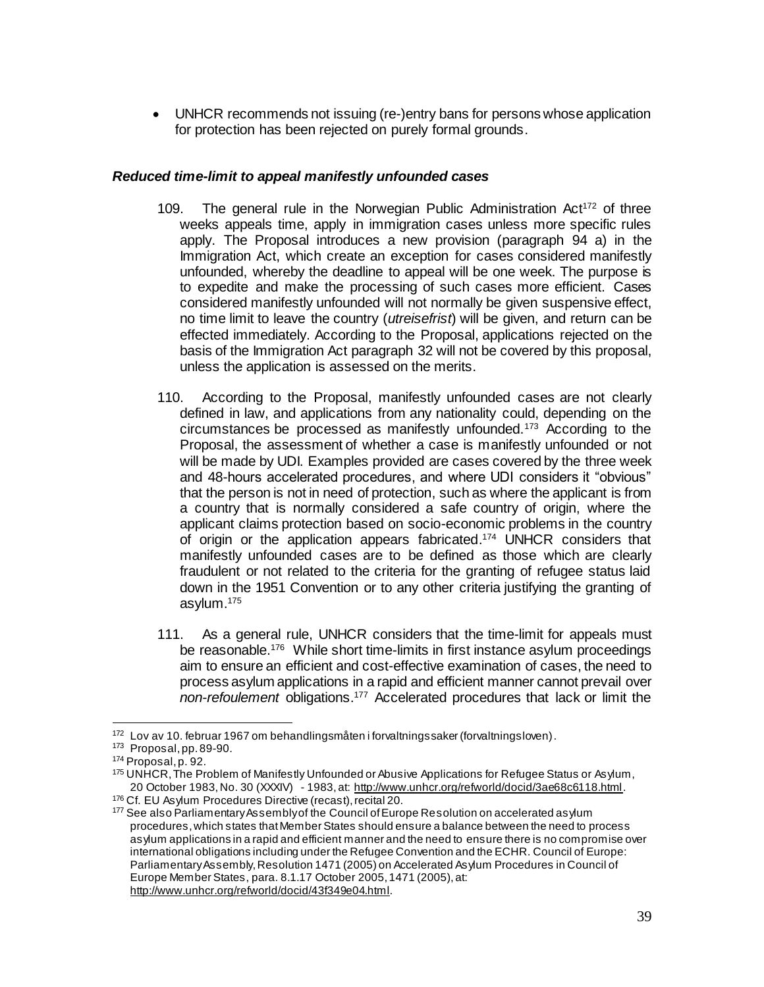UNHCR recommends not issuing (re-)entry bans for persons whose application for protection has been rejected on purely formal grounds.

#### *Reduced time-limit to appeal manifestly unfounded cases*

- 109. The general rule in the Norwegian Public Administration  $Act^{172}$  of three weeks appeals time, apply in immigration cases unless more specific rules apply. The Proposal introduces a new provision (paragraph 94 a) in the Immigration Act, which create an exception for cases considered manifestly unfounded, whereby the deadline to appeal will be one week. The purpose is to expedite and make the processing of such cases more efficient. Cases considered manifestly unfounded will not normally be given suspensive effect, no time limit to leave the country (*utreisefrist*) will be given, and return can be effected immediately. According to the Proposal, applications rejected on the basis of the Immigration Act paragraph 32 will not be covered by this proposal, unless the application is assessed on the merits.
- 110. According to the Proposal, manifestly unfounded cases are not clearly defined in law, and applications from any nationality could, depending on the circumstances be processed as manifestly unfounded.<sup>173</sup> According to the Proposal, the assessment of whether a case is manifestly unfounded or not will be made by UDI. Examples provided are cases covered by the three week and 48-hours accelerated procedures, and where UDI considers it "obvious" that the person is not in need of protection, such as where the applicant is from a country that is normally considered a safe country of origin, where the applicant claims protection based on socio-economic problems in the country of origin or the application appears fabricated. <sup>174</sup> UNHCR considers that manifestly unfounded cases are to be defined as those which are clearly fraudulent or not related to the criteria for the granting of refugee status laid down in the 1951 Convention or to any other criteria justifying the granting of asylum.<sup>175</sup>
- 111. As a general rule, UNHCR considers that the time-limit for appeals must be reasonable.<sup>176</sup> While short time-limits in first instance asylum proceedings aim to ensure an efficient and cost-effective examination of cases, the need to process asylum applications in a rapid and efficient manner cannot prevail over *non-refoulement* obligations. <sup>177</sup> Accelerated procedures that lack or limit the

<sup>172</sup> Lov av 10. februar 1967 om behandlingsmåten i forvaltningssaker (forvaltningsloven).

<sup>173</sup> Proposal, pp. 89-90.

<sup>174</sup> Proposal, p. 92.

<sup>175</sup> UNHCR, The Problem of Manifestly Unfounded or Abusive Applications for Refugee Status or Asylum, 20 October 1983, No. 30 (XXXIV) - 1983, at:<http://www.unhcr.org/refworld/docid/3ae68c6118.html>. <sup>176</sup> Cf. EU Asylum Procedures Directive (recast), recital 20.

<sup>177</sup> See also Parliamentary Assembly of the Council of Europe Resolution on accelerated asylum procedures, which states that Member States should ensure a balance between the need to process asylum applications in a rapid and efficient manner and the need to ensure there is no compromise over international obligations including under the Refugee Convention and the ECHR. Council of Europe: Parliamentary Assembly, Resolution 1471 (2005) on Accelerated Asylum Procedures in Council of Europe Member States, para. 8.1.17 October 2005, 1471 (2005), at: <http://www.unhcr.org/refworld/docid/43f349e04.html>.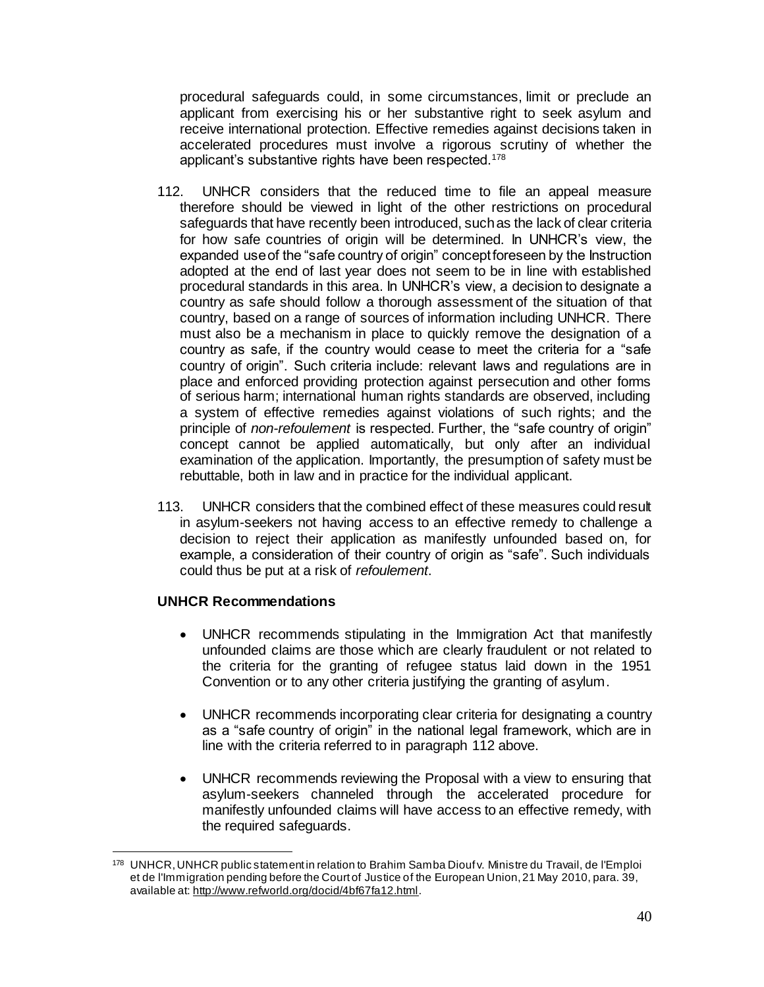procedural safeguards could, in some circumstances, limit or preclude an applicant from exercising his or her substantive right to seek asylum and receive international protection. Effective remedies against decisions taken in accelerated procedures must involve a rigorous scrutiny of whether the applicant's substantive rights have been respected.<sup>178</sup>

- 112. UNHCR considers that the reduced time to file an appeal measure therefore should be viewed in light of the other restrictions on procedural safeguards that have recently been introduced, such as the lack of clear criteria for how safe countries of origin will be determined. In UNHCR's view, the expanded use of the "safe country of origin" concept foreseen by the Instruction adopted at the end of last year does not seem to be in line with established procedural standards in this area. In UNHCR's view, a decision to designate a country as safe should follow a thorough assessment of the situation of that country, based on a range of sources of information including UNHCR. There must also be a mechanism in place to quickly remove the designation of a country as safe, if the country would cease to meet the criteria for a "safe country of origin". Such criteria include: relevant laws and regulations are in place and enforced providing protection against persecution and other forms of serious harm; international human rights standards are observed, including a system of effective remedies against violations of such rights; and the principle of *non-refoulement* is respected. Further, the "safe country of origin" concept cannot be applied automatically, but only after an individual examination of the application. Importantly, the presumption of safety must be rebuttable, both in law and in practice for the individual applicant.
- 113. UNHCR considers that the combined effect of these measures could result in asylum-seekers not having access to an effective remedy to challenge a decision to reject their application as manifestly unfounded based on, for example, a consideration of their country of origin as "safe". Such individuals could thus be put at a risk of *refoulement*.

# **UNHCR Recommendations**

- UNHCR recommends stipulating in the Immigration Act that manifestly unfounded claims are those which are clearly fraudulent or not related to the criteria for the granting of refugee status laid down in the 1951 Convention or to any other criteria justifying the granting of asylum.
- UNHCR recommends incorporating clear criteria for designating a country as a "safe country of origin" in the national legal framework, which are in line with the criteria referred to in paragraph 112 above.
- UNHCR recommends reviewing the Proposal with a view to ensuring that asylum-seekers channeled through the accelerated procedure for manifestly unfounded claims will have access to an effective remedy, with the required safeguards.

l <sup>178</sup> UNHCR, UNHCR public statement in relation to Brahim Samba Diouf v. Ministre du Travail, de l'Emploi et de l'Immigration pending before the Court of Justice of the European Union, 21 May 2010, para. 39, available at[: http://www.refworld.org/docid/4bf67fa12.html](http://www.refworld.org/docid/4bf67fa12.html).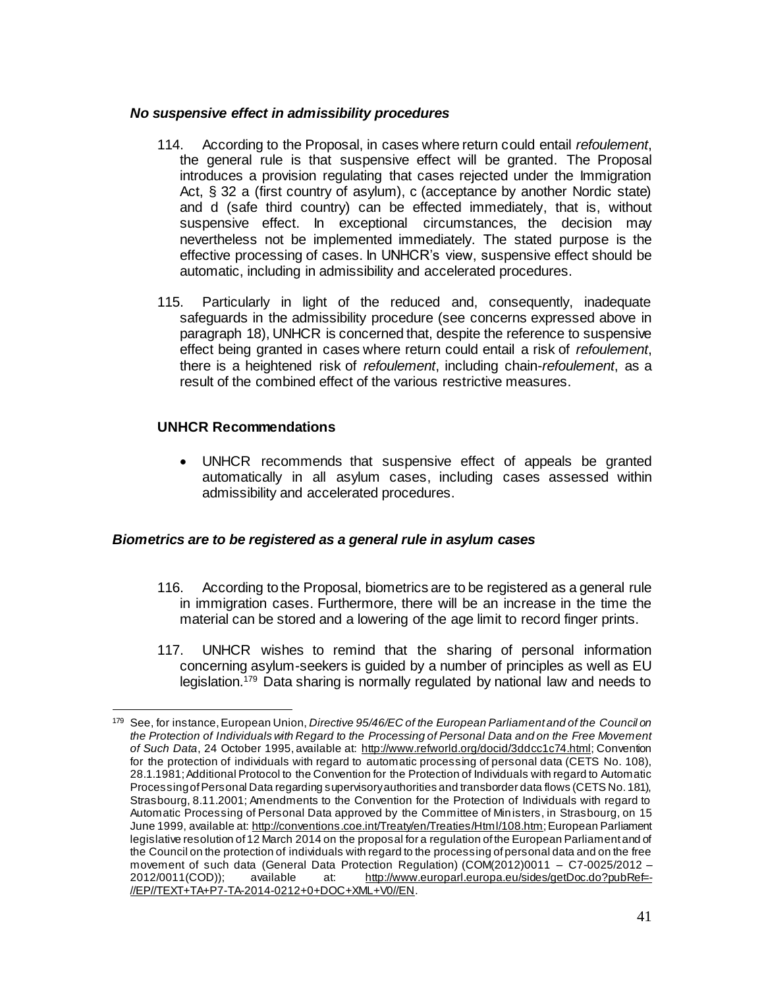#### *No suspensive effect in admissibility procedures*

- 114. According to the Proposal, in cases where return could entail *refoulement*, the general rule is that suspensive effect will be granted. The Proposal introduces a provision regulating that cases rejected under the Immigration Act, § 32 a (first country of asylum), c (acceptance by another Nordic state) and d (safe third country) can be effected immediately, that is, without suspensive effect. In exceptional circumstances, the decision may nevertheless not be implemented immediately. The stated purpose is the effective processing of cases. In UNHCR's view, suspensive effect should be automatic, including in admissibility and accelerated procedures.
- 115. Particularly in light of the reduced and, consequently, inadequate safeguards in the admissibility procedure (see concerns expressed above in paragraph 18), UNHCR is concerned that, despite the reference to suspensive effect being granted in cases where return could entail a risk of *refoulement*, there is a heightened risk of *refoulement*, including chain-*refoulement*, as a result of the combined effect of the various restrictive measures.

## **UNHCR Recommendations**

 $\overline{a}$ 

 UNHCR recommends that suspensive effect of appeals be granted automatically in all asylum cases, including cases assessed within admissibility and accelerated procedures.

## *Biometrics are to be registered as a general rule in asylum cases*

- 116. According to the Proposal, biometrics are to be registered as a general rule in immigration cases. Furthermore, there will be an increase in the time the material can be stored and a lowering of the age limit to record finger prints.
- 117. UNHCR wishes to remind that the sharing of personal information concerning asylum-seekers is guided by a number of principles as well as EU legislation.<sup>179</sup> Data sharing is normally regulated by national law and needs to

<sup>179</sup> See, for instance, European Union, *Directive 95/46/EC of the European Parliament and of the Council on the Protection of Individuals with Regard to the Processing of Personal Data and on the Free Movement of Such Data*, 24 October 1995, available at:<http://www.refworld.org/docid/3ddcc1c74.html>; Convention for the protection of individuals with regard to automatic processing of personal data (CETS No. 108), 28.1.1981; Additional Protocol to the Convention for the Protection of Individuals with regard to Automatic Processing of Personal Data regarding supervisory authorities and transborder data flows (CETS No. 181), Strasbourg, 8.11.2001; Amendments to the Convention for the Protection of Individuals with regard to Automatic Processing of Personal Data approved by the Committee of Ministers, in Strasbourg, on 15 June 1999, available at[: http://conventions.coe.int/Treaty/en/Treaties/Html/108.htm](http://conventions.coe.int/Treaty/en/Treaties/Html/108.htm); European Parliament legislative resolution of 12 March 2014 on the proposal for a regulation of the European Parliament and of the Council on the protection of individuals with regard to the processing of personal data and on the free movement of such data (General Data Protection Regulation) (COM(2012)0011 – C7-0025/2012 –<br>2012/0011(COD)); available at: http://www.europarl.europa.eu/sides/getDoc.do?pubRef=available at: [http://www.europarl.europa.eu/sides/getDoc.do?pubRef=-](http://www.europarl.europa.eu/sides/getDoc.do?pubRef=-//EP//TEXT+TA+P7-TA-2014-0212+0+DOC+XML+V0//EN) [//EP//TEXT+TA+P7-TA-2014-0212+0+DOC+XML+V0//EN.](http://www.europarl.europa.eu/sides/getDoc.do?pubRef=-//EP//TEXT+TA+P7-TA-2014-0212+0+DOC+XML+V0//EN)